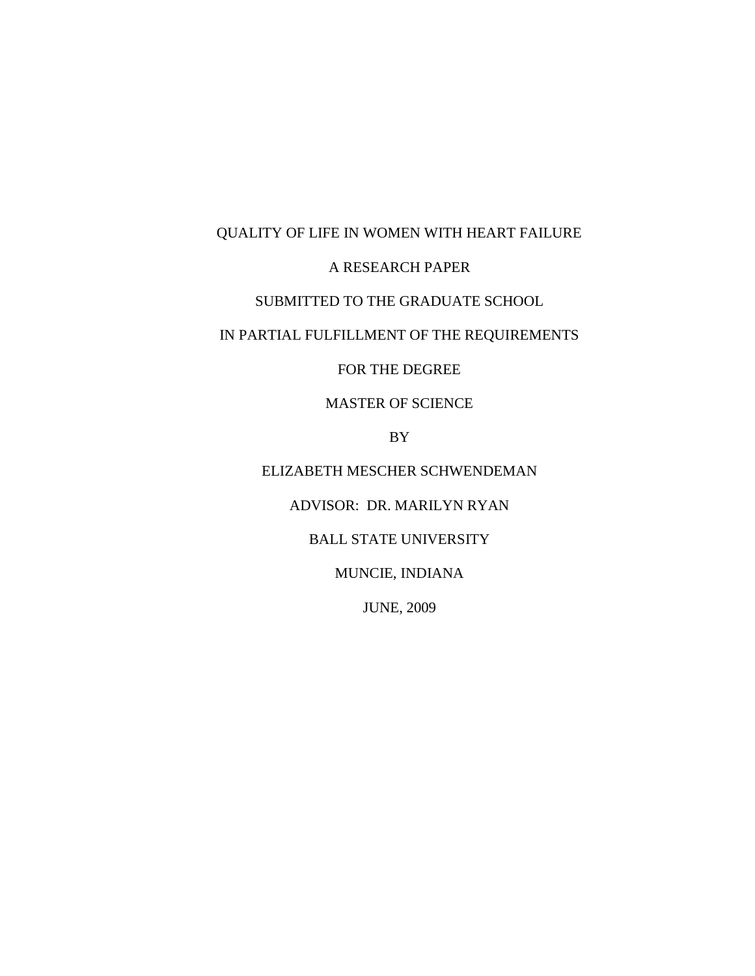# QUALITY OF LIFE IN WOMEN WITH HEART FAILURE

## A RESEARCH PAPER

## SUBMITTED TO THE GRADUATE SCHOOL

# IN PARTIAL FULFILLMENT OF THE REQUIREMENTS

## FOR THE DEGREE

## MASTER OF SCIENCE

## BY

# ELIZABETH MESCHER SCHWENDEMAN

# ADVISOR: DR. MARILYN RYAN

## BALL STATE UNIVERSITY

## MUNCIE, INDIANA

## JUNE, 2009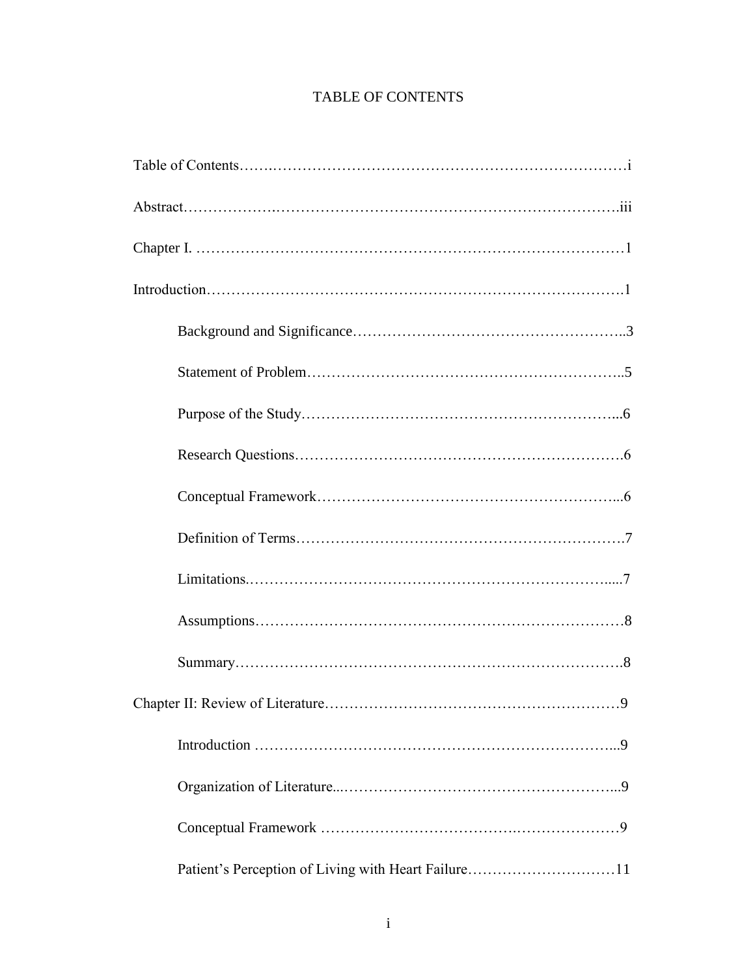# TABLE OF CONTENTS

| Chapter II: Review of Literature.<br>9              |  |  |  |
|-----------------------------------------------------|--|--|--|
|                                                     |  |  |  |
|                                                     |  |  |  |
|                                                     |  |  |  |
| Patient's Perception of Living with Heart Failure11 |  |  |  |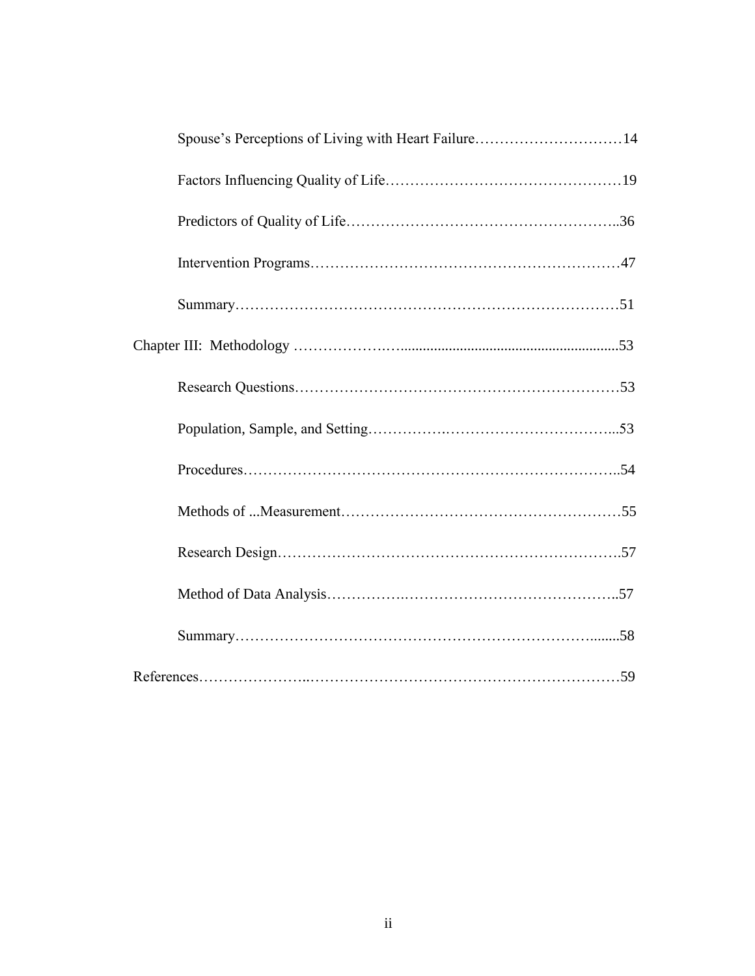| Spouse's Perceptions of Living with Heart Failure14 |  |
|-----------------------------------------------------|--|
|                                                     |  |
|                                                     |  |
|                                                     |  |
|                                                     |  |
|                                                     |  |
|                                                     |  |
|                                                     |  |
|                                                     |  |
|                                                     |  |
|                                                     |  |
|                                                     |  |
|                                                     |  |
|                                                     |  |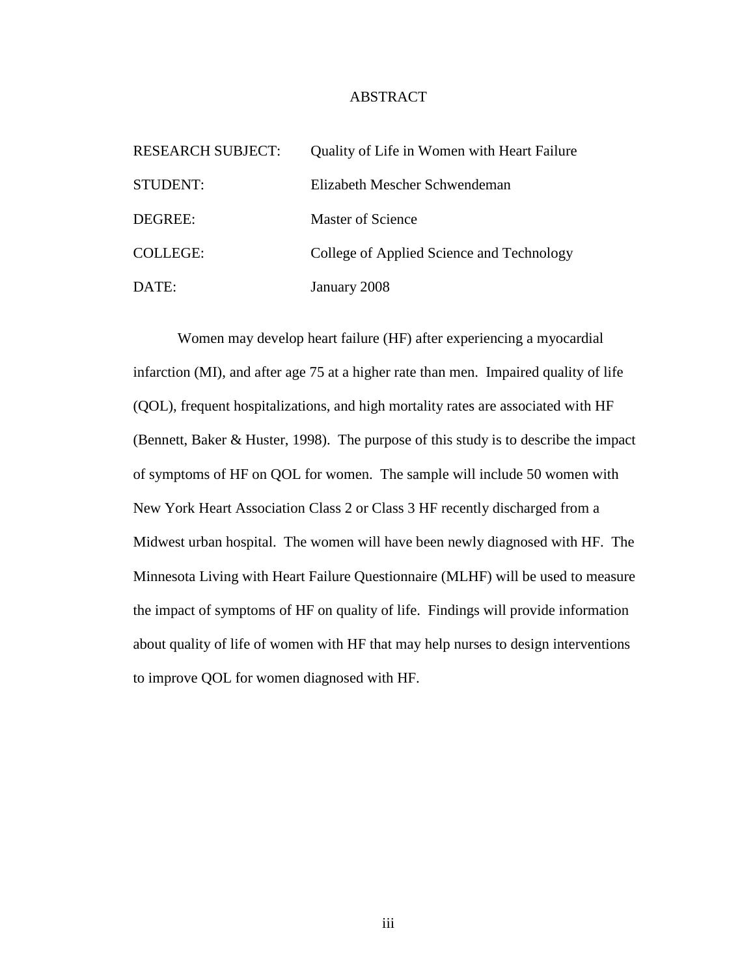### ABSTRACT

| <b>RESEARCH SUBJECT:</b> | Quality of Life in Women with Heart Failure |
|--------------------------|---------------------------------------------|
| STUDENT:                 | Elizabeth Mescher Schwendeman               |
| DEGREE:                  | Master of Science                           |
| <b>COLLEGE:</b>          | College of Applied Science and Technology   |
| DATE:                    | January 2008                                |

Women may develop heart failure (HF) after experiencing a myocardial infarction (MI), and after age 75 at a higher rate than men. Impaired quality of life (QOL), frequent hospitalizations, and high mortality rates are associated with HF (Bennett, Baker & Huster, 1998). The purpose of this study is to describe the impact of symptoms of HF on QOL for women. The sample will include 50 women with New York Heart Association Class 2 or Class 3 HF recently discharged from a Midwest urban hospital. The women will have been newly diagnosed with HF. The Minnesota Living with Heart Failure Questionnaire (MLHF) will be used to measure the impact of symptoms of HF on quality of life. Findings will provide information about quality of life of women with HF that may help nurses to design interventions to improve QOL for women diagnosed with HF.

iii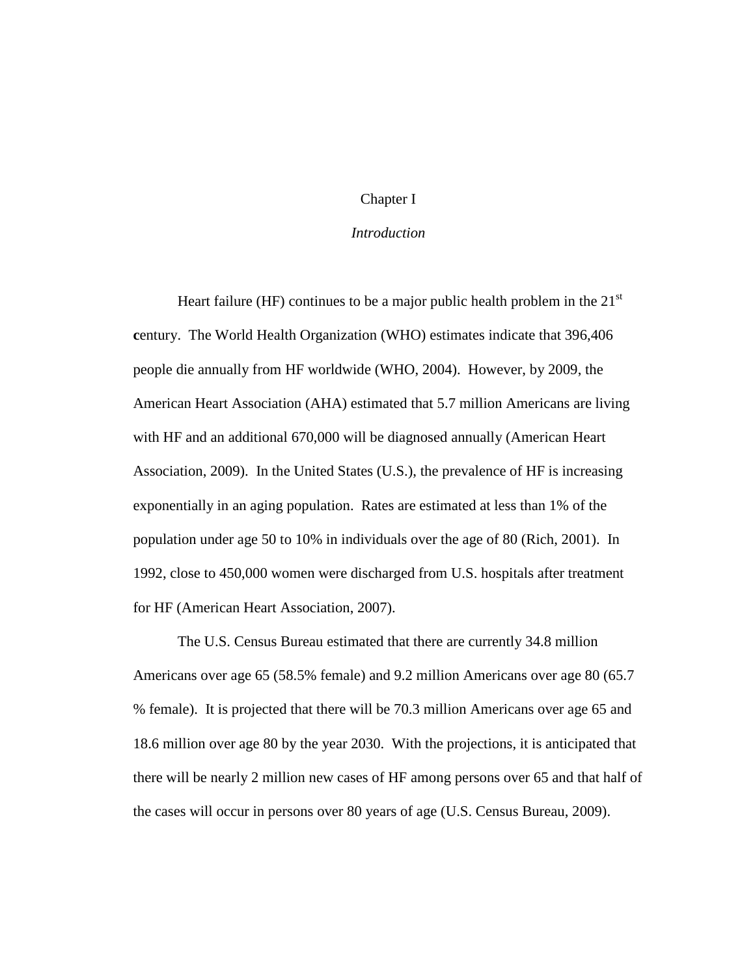## Chapter I

#### *Introduction*

Heart failure (HF) continues to be a major public health problem in the  $21<sup>st</sup>$ **c**entury. The World Health Organization (WHO) estimates indicate that 396,406 people die annually from HF worldwide (WHO, 2004). However, by 2009, the American Heart Association (AHA) estimated that 5.7 million Americans are living with HF and an additional 670,000 will be diagnosed annually (American Heart Association, 2009). In the United States (U.S.), the prevalence of HF is increasing exponentially in an aging population. Rates are estimated at less than 1% of the population under age 50 to 10% in individuals over the age of 80 (Rich, 2001). In 1992, close to 450,000 women were discharged from U.S. hospitals after treatment for HF (American Heart Association, 2007).

The U.S. Census Bureau estimated that there are currently 34.8 million Americans over age 65 (58.5% female) and 9.2 million Americans over age 80 (65.7 % female). It is projected that there will be 70.3 million Americans over age 65 and 18.6 million over age 80 by the year 2030. With the projections, it is anticipated that there will be nearly 2 million new cases of HF among persons over 65 and that half of the cases will occur in persons over 80 years of age (U.S. Census Bureau, 2009).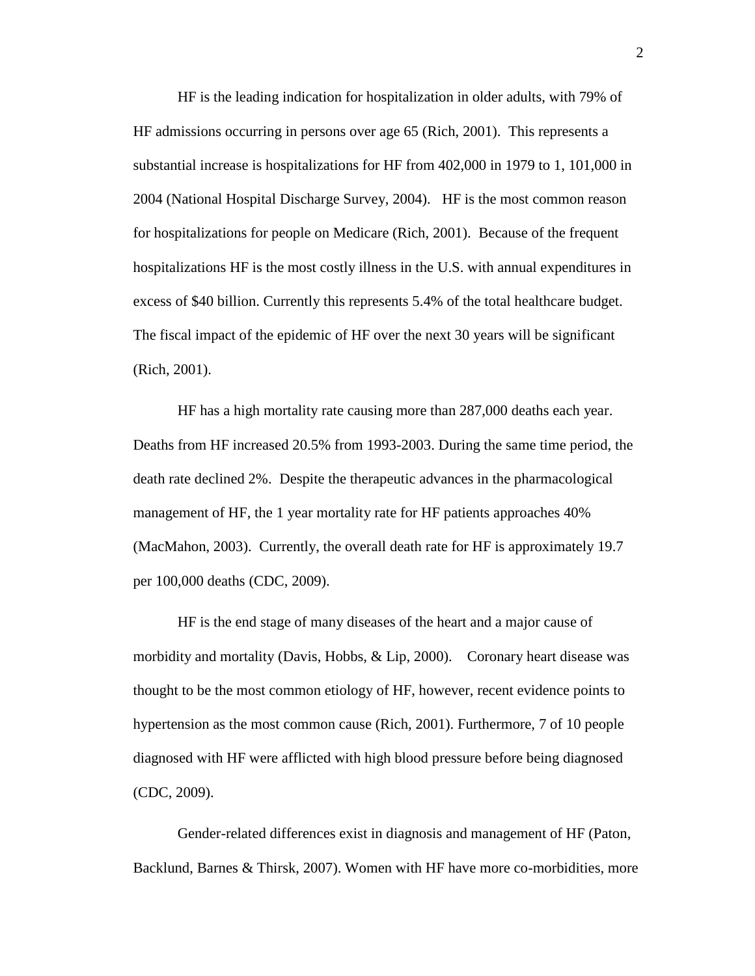HF is the leading indication for hospitalization in older adults, with 79% of HF admissions occurring in persons over age 65 (Rich, 2001). This represents a substantial increase is hospitalizations for HF from 402,000 in 1979 to 1, 101,000 in 2004 (National Hospital Discharge Survey, 2004). HF is the most common reason for hospitalizations for people on Medicare (Rich, 2001). Because of the frequent hospitalizations HF is the most costly illness in the U.S. with annual expenditures in excess of \$40 billion. Currently this represents 5.4% of the total healthcare budget. The fiscal impact of the epidemic of HF over the next 30 years will be significant (Rich, 2001).

HF has a high mortality rate causing more than 287,000 deaths each year. Deaths from HF increased 20.5% from 1993-2003. During the same time period, the death rate declined 2%. Despite the therapeutic advances in the pharmacological management of HF, the 1 year mortality rate for HF patients approaches 40% (MacMahon, 2003). Currently, the overall death rate for HF is approximately 19.7 per 100,000 deaths (CDC, 2009).

HF is the end stage of many diseases of the heart and a major cause of morbidity and mortality (Davis, Hobbs,  $\&$  Lip, 2000). Coronary heart disease was thought to be the most common etiology of HF, however, recent evidence points to hypertension as the most common cause (Rich, 2001). Furthermore, 7 of 10 people diagnosed with HF were afflicted with high blood pressure before being diagnosed (CDC, 2009).

Gender-related differences exist in diagnosis and management of HF (Paton, Backlund, Barnes & Thirsk, 2007). Women with HF have more co-morbidities, more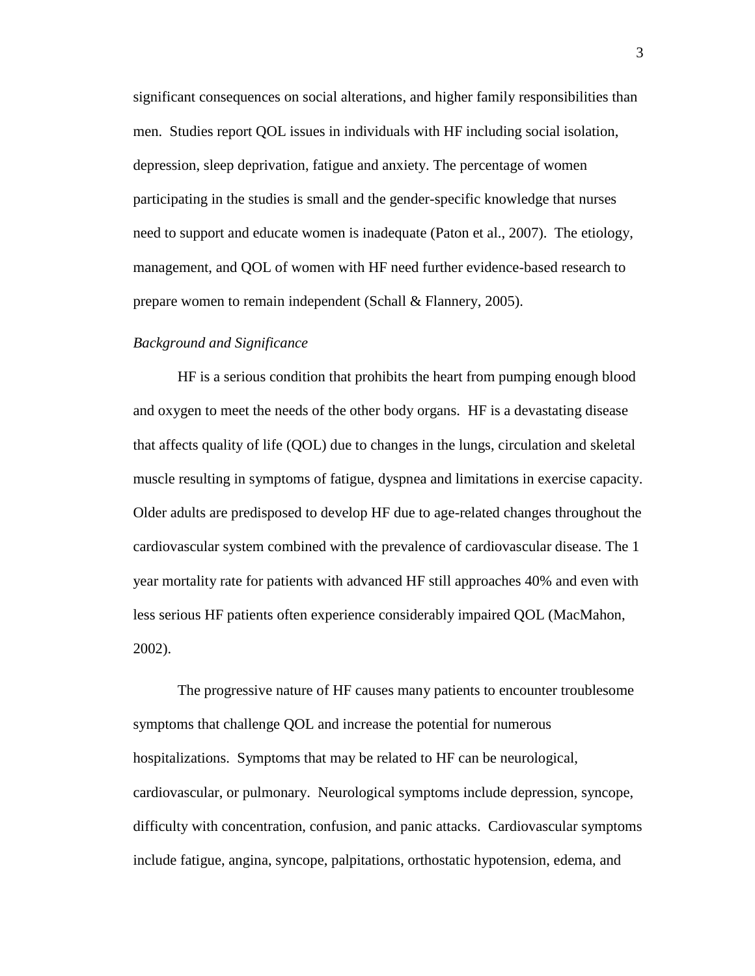significant consequences on social alterations, and higher family responsibilities than men. Studies report QOL issues in individuals with HF including social isolation, depression, sleep deprivation, fatigue and anxiety. The percentage of women participating in the studies is small and the gender-specific knowledge that nurses need to support and educate women is inadequate (Paton et al., 2007). The etiology, management, and QOL of women with HF need further evidence-based research to prepare women to remain independent (Schall & Flannery, 2005).

#### *Background and Significance*

HF is a serious condition that prohibits the heart from pumping enough blood and oxygen to meet the needs of the other body organs. HF is a devastating disease that affects quality of life (QOL) due to changes in the lungs, circulation and skeletal muscle resulting in symptoms of fatigue, dyspnea and limitations in exercise capacity. Older adults are predisposed to develop HF due to age-related changes throughout the cardiovascular system combined with the prevalence of cardiovascular disease. The 1 year mortality rate for patients with advanced HF still approaches 40% and even with less serious HF patients often experience considerably impaired QOL (MacMahon, 2002).

The progressive nature of HF causes many patients to encounter troublesome symptoms that challenge QOL and increase the potential for numerous hospitalizations. Symptoms that may be related to HF can be neurological, cardiovascular, or pulmonary. Neurological symptoms include depression, syncope, difficulty with concentration, confusion, and panic attacks. Cardiovascular symptoms include fatigue, angina, syncope, palpitations, orthostatic hypotension, edema, and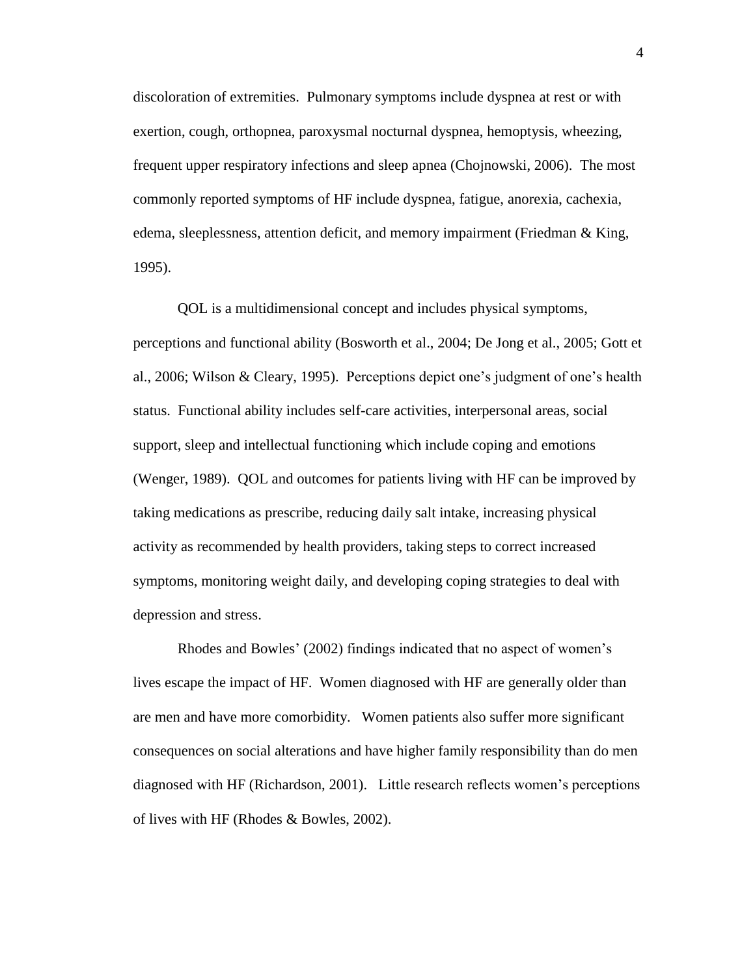discoloration of extremities. Pulmonary symptoms include dyspnea at rest or with exertion, cough, orthopnea, paroxysmal nocturnal dyspnea, hemoptysis, wheezing, frequent upper respiratory infections and sleep apnea (Chojnowski, 2006). The most commonly reported symptoms of HF include dyspnea, fatigue, anorexia, cachexia, edema, sleeplessness, attention deficit, and memory impairment (Friedman & King, 1995).

QOL is a multidimensional concept and includes physical symptoms, perceptions and functional ability (Bosworth et al., 2004; De Jong et al., 2005; Gott et al., 2006; Wilson & Cleary, 1995). Perceptions depict one's judgment of one's health status. Functional ability includes self-care activities, interpersonal areas, social support, sleep and intellectual functioning which include coping and emotions (Wenger, 1989). QOL and outcomes for patients living with HF can be improved by taking medications as prescribe, reducing daily salt intake, increasing physical activity as recommended by health providers, taking steps to correct increased symptoms, monitoring weight daily, and developing coping strategies to deal with depression and stress.

Rhodes and Bowles' (2002) findings indicated that no aspect of women's lives escape the impact of HF. Women diagnosed with HF are generally older than are men and have more comorbidity. Women patients also suffer more significant consequences on social alterations and have higher family responsibility than do men diagnosed with HF (Richardson, 2001). Little research reflects women's perceptions of lives with HF (Rhodes & Bowles, 2002).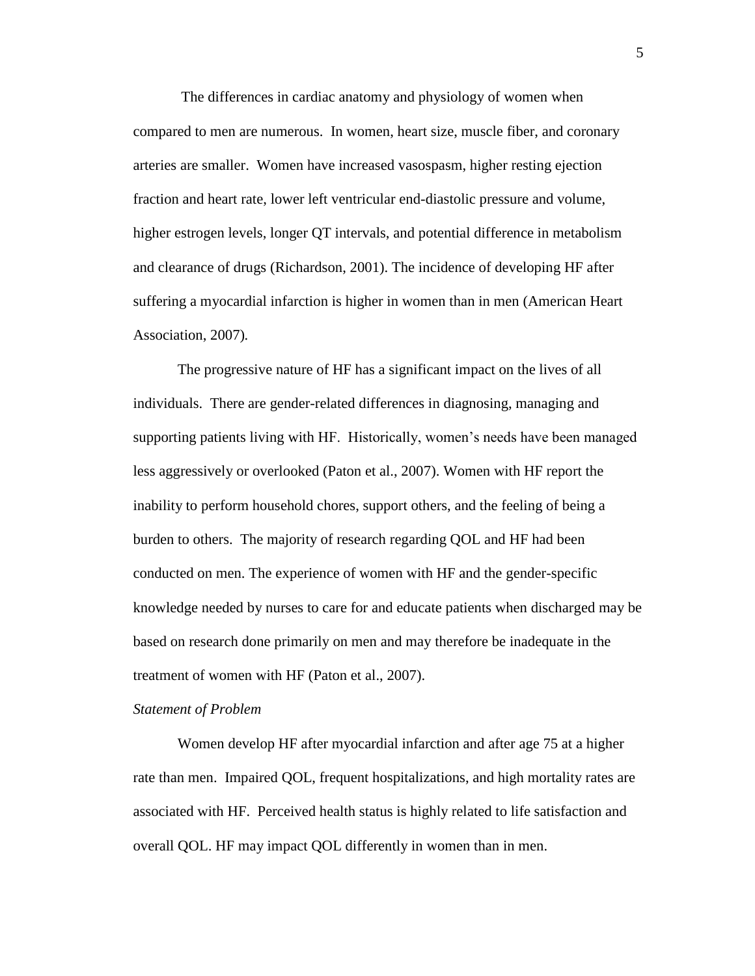The differences in cardiac anatomy and physiology of women when compared to men are numerous. In women, heart size, muscle fiber, and coronary arteries are smaller. Women have increased vasospasm, higher resting ejection fraction and heart rate, lower left ventricular end-diastolic pressure and volume, higher estrogen levels, longer QT intervals, and potential difference in metabolism and clearance of drugs (Richardson, 2001). The incidence of developing HF after suffering a myocardial infarction is higher in women than in men (American Heart Association, 2007)*.* 

The progressive nature of HF has a significant impact on the lives of all individuals. There are gender-related differences in diagnosing, managing and supporting patients living with HF. Historically, women's needs have been managed less aggressively or overlooked (Paton et al., 2007). Women with HF report the inability to perform household chores, support others, and the feeling of being a burden to others. The majority of research regarding QOL and HF had been conducted on men. The experience of women with HF and the gender-specific knowledge needed by nurses to care for and educate patients when discharged may be based on research done primarily on men and may therefore be inadequate in the treatment of women with HF (Paton et al., 2007).

#### *Statement of Problem*

Women develop HF after myocardial infarction and after age 75 at a higher rate than men. Impaired QOL, frequent hospitalizations, and high mortality rates are associated with HF. Perceived health status is highly related to life satisfaction and overall QOL. HF may impact QOL differently in women than in men.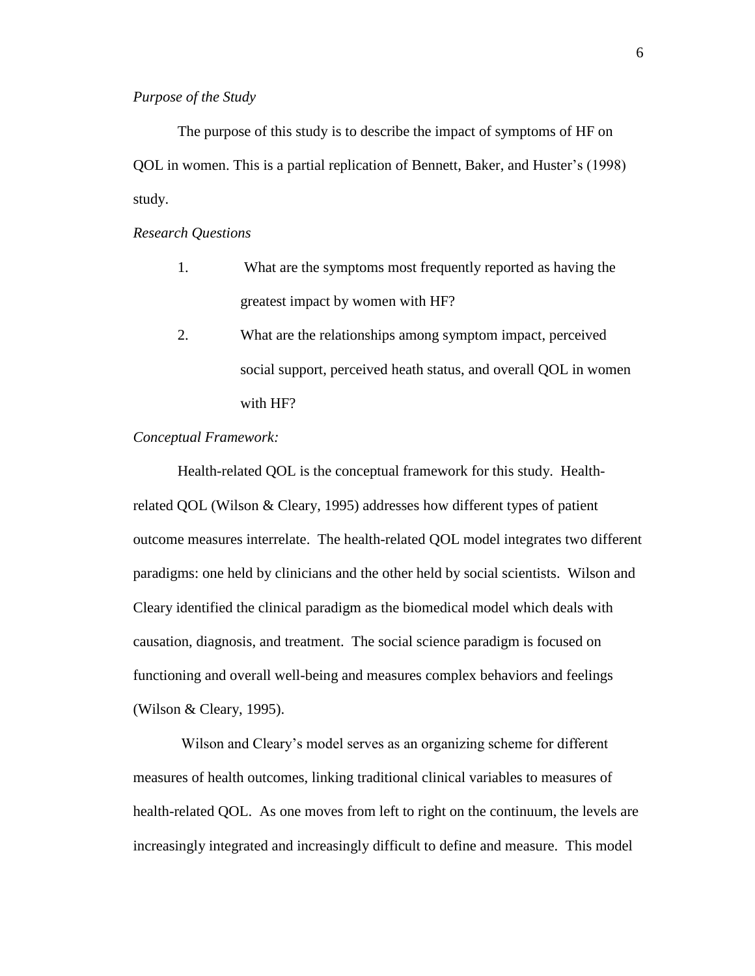The purpose of this study is to describe the impact of symptoms of HF on QOL in women. This is a partial replication of Bennett, Baker, and Huster's (1998) study.

*Research Questions*

- 1. What are the symptoms most frequently reported as having the greatest impact by women with HF?
- 2. What are the relationships among symptom impact, perceived social support, perceived heath status, and overall QOL in women with HF?

### *Conceptual Framework:*

Health-related QOL is the conceptual framework for this study. Healthrelated QOL (Wilson & Cleary, 1995) addresses how different types of patient outcome measures interrelate. The health-related QOL model integrates two different paradigms: one held by clinicians and the other held by social scientists. Wilson and Cleary identified the clinical paradigm as the biomedical model which deals with causation, diagnosis, and treatment. The social science paradigm is focused on functioning and overall well-being and measures complex behaviors and feelings (Wilson & Cleary, 1995).

Wilson and Cleary's model serves as an organizing scheme for different measures of health outcomes, linking traditional clinical variables to measures of health-related QOL. As one moves from left to right on the continuum, the levels are increasingly integrated and increasingly difficult to define and measure. This model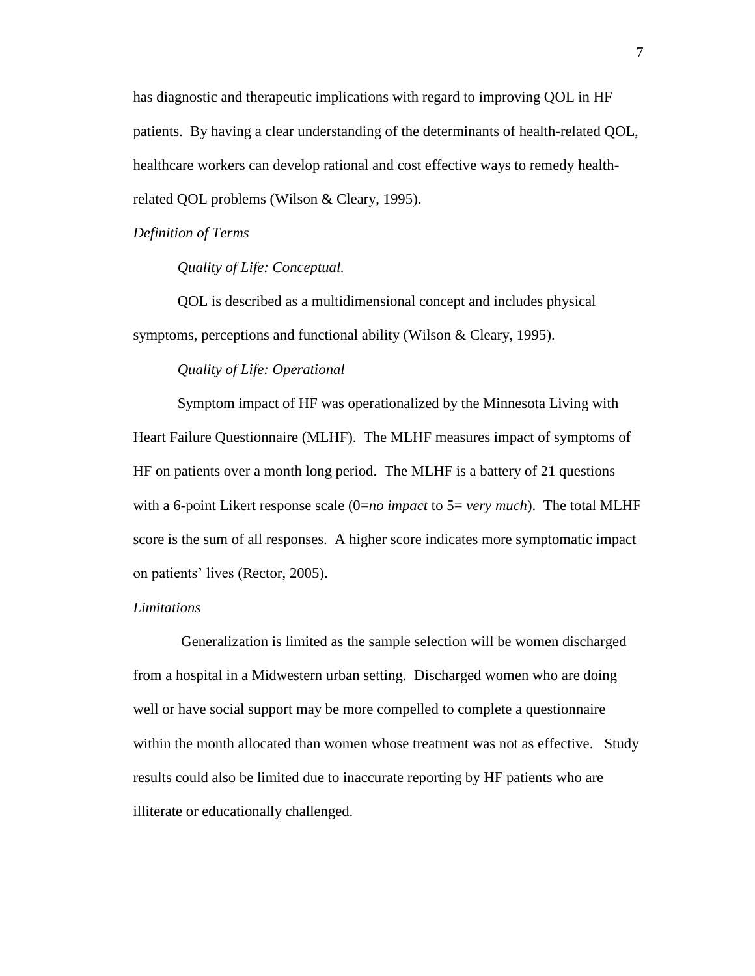has diagnostic and therapeutic implications with regard to improving QOL in HF patients. By having a clear understanding of the determinants of health-related QOL, healthcare workers can develop rational and cost effective ways to remedy healthrelated QOL problems (Wilson & Cleary, 1995).

*Definition of Terms*

*Quality of Life: Conceptual.*

QOL is described as a multidimensional concept and includes physical symptoms, perceptions and functional ability (Wilson & Cleary, 1995).

## *Quality of Life: Operational*

Symptom impact of HF was operationalized by the Minnesota Living with Heart Failure Questionnaire (MLHF). The MLHF measures impact of symptoms of HF on patients over a month long period. The MLHF is a battery of 21 questions with a 6-point Likert response scale (0=*no impact* to 5= *very much*). The total MLHF score is the sum of all responses. A higher score indicates more symptomatic impact on patients' lives (Rector, 2005).

### *Limitations*

Generalization is limited as the sample selection will be women discharged from a hospital in a Midwestern urban setting. Discharged women who are doing well or have social support may be more compelled to complete a questionnaire within the month allocated than women whose treatment was not as effective. Study results could also be limited due to inaccurate reporting by HF patients who are illiterate or educationally challenged.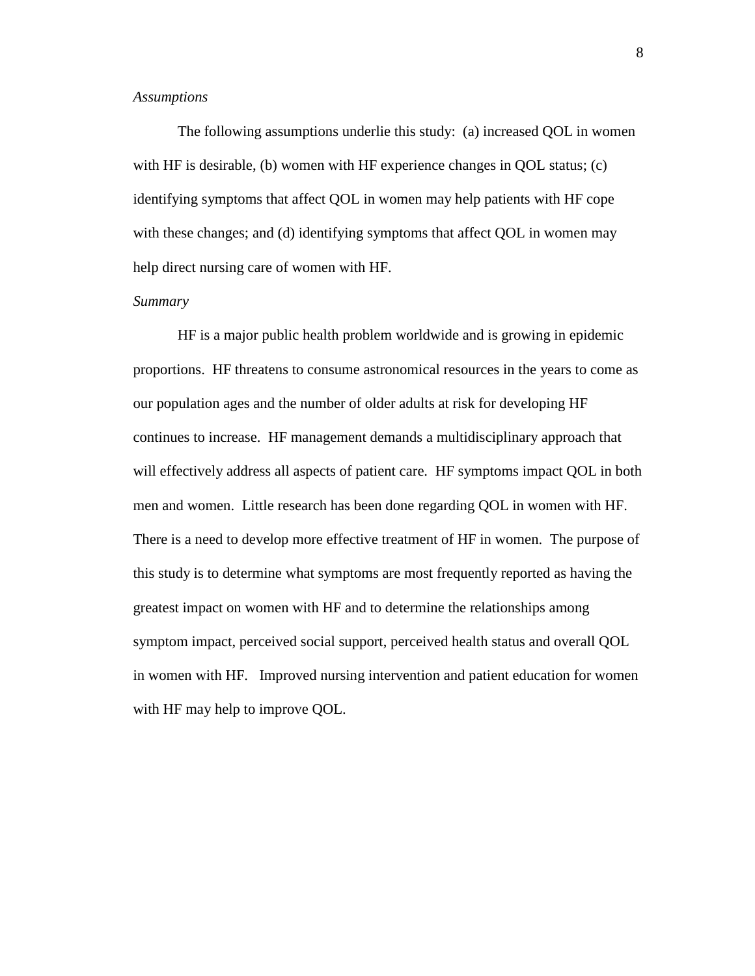## *Assumptions*

The following assumptions underlie this study: (a) increased QOL in women with HF is desirable, (b) women with HF experience changes in QOL status; (c) identifying symptoms that affect QOL in women may help patients with HF cope with these changes; and (d) identifying symptoms that affect QOL in women may help direct nursing care of women with HF.

### *Summary*

HF is a major public health problem worldwide and is growing in epidemic proportions. HF threatens to consume astronomical resources in the years to come as our population ages and the number of older adults at risk for developing HF continues to increase. HF management demands a multidisciplinary approach that will effectively address all aspects of patient care. HF symptoms impact QOL in both men and women. Little research has been done regarding QOL in women with HF. There is a need to develop more effective treatment of HF in women. The purpose of this study is to determine what symptoms are most frequently reported as having the greatest impact on women with HF and to determine the relationships among symptom impact, perceived social support, perceived health status and overall QOL in women with HF. Improved nursing intervention and patient education for women with HF may help to improve QOL.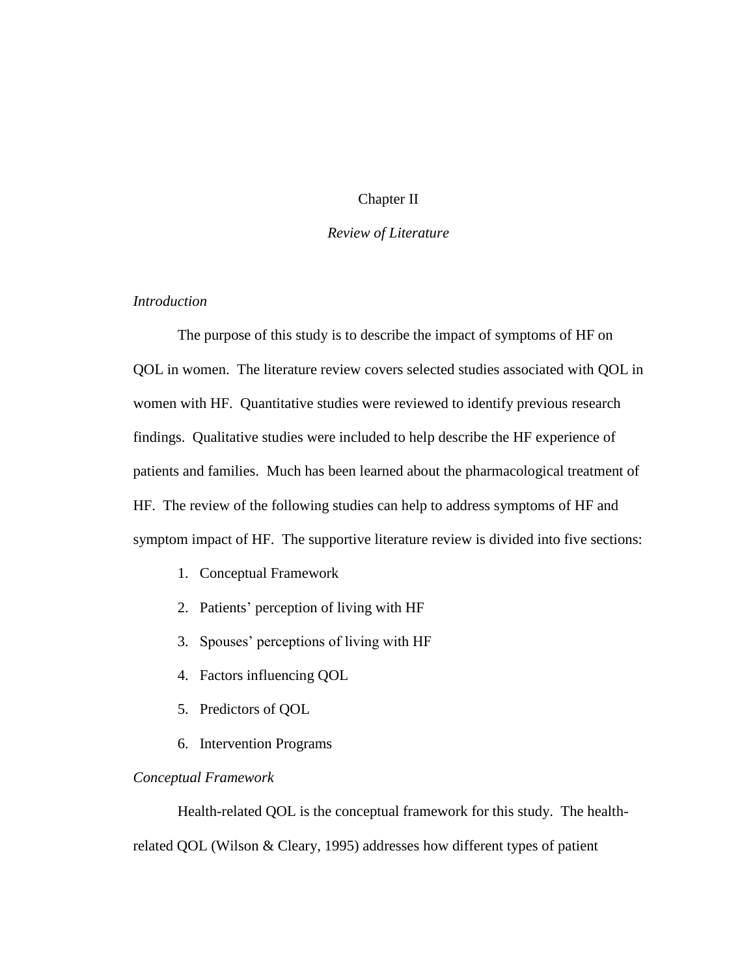## Chapter II

### *Review of Literature*

## *Introduction*

The purpose of this study is to describe the impact of symptoms of HF on QOL in women. The literature review covers selected studies associated with QOL in women with HF. Quantitative studies were reviewed to identify previous research findings. Qualitative studies were included to help describe the HF experience of patients and families. Much has been learned about the pharmacological treatment of HF. The review of the following studies can help to address symptoms of HF and symptom impact of HF. The supportive literature review is divided into five sections:

- 1. Conceptual Framework
- 2. Patients' perception of living with HF
- 3. Spouses' perceptions of living with HF
- 4. Factors influencing QOL
- 5. Predictors of QOL
- 6. Intervention Programs

## *Conceptual Framework*

Health-related QOL is the conceptual framework for this study. The healthrelated QOL (Wilson & Cleary, 1995) addresses how different types of patient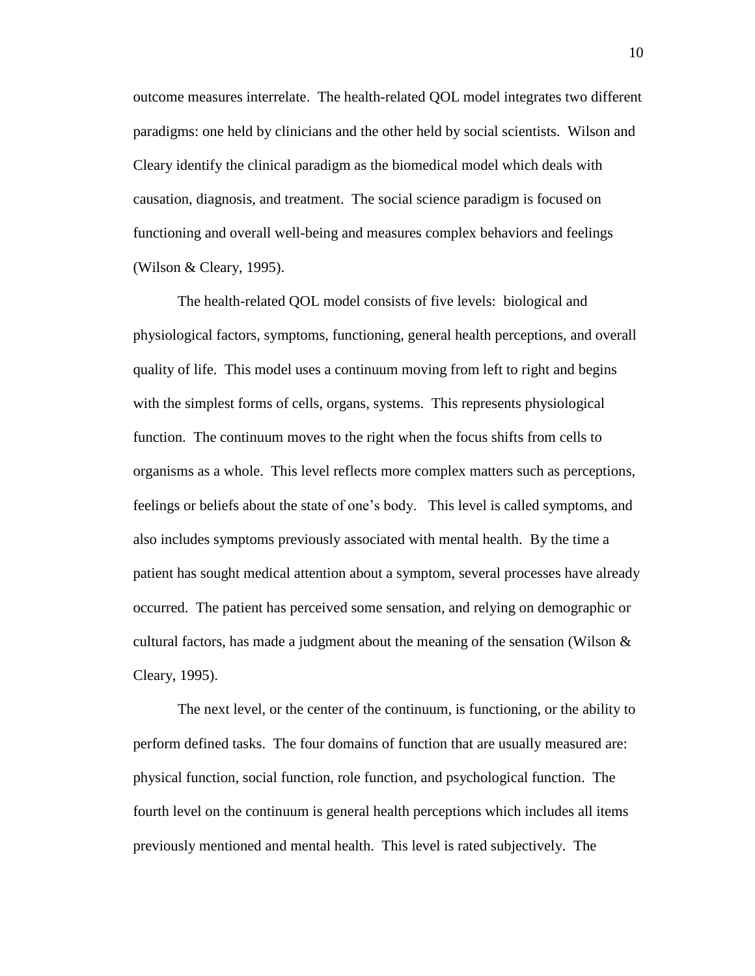outcome measures interrelate. The health-related QOL model integrates two different paradigms: one held by clinicians and the other held by social scientists. Wilson and Cleary identify the clinical paradigm as the biomedical model which deals with causation, diagnosis, and treatment. The social science paradigm is focused on functioning and overall well-being and measures complex behaviors and feelings (Wilson & Cleary, 1995).

The health-related QOL model consists of five levels: biological and physiological factors, symptoms, functioning, general health perceptions, and overall quality of life. This model uses a continuum moving from left to right and begins with the simplest forms of cells, organs, systems. This represents physiological function. The continuum moves to the right when the focus shifts from cells to organisms as a whole. This level reflects more complex matters such as perceptions, feelings or beliefs about the state of one's body. This level is called symptoms, and also includes symptoms previously associated with mental health. By the time a patient has sought medical attention about a symptom, several processes have already occurred. The patient has perceived some sensation, and relying on demographic or cultural factors, has made a judgment about the meaning of the sensation (Wilson  $\&$ Cleary, 1995).

The next level, or the center of the continuum, is functioning, or the ability to perform defined tasks. The four domains of function that are usually measured are: physical function, social function, role function, and psychological function. The fourth level on the continuum is general health perceptions which includes all items previously mentioned and mental health. This level is rated subjectively. The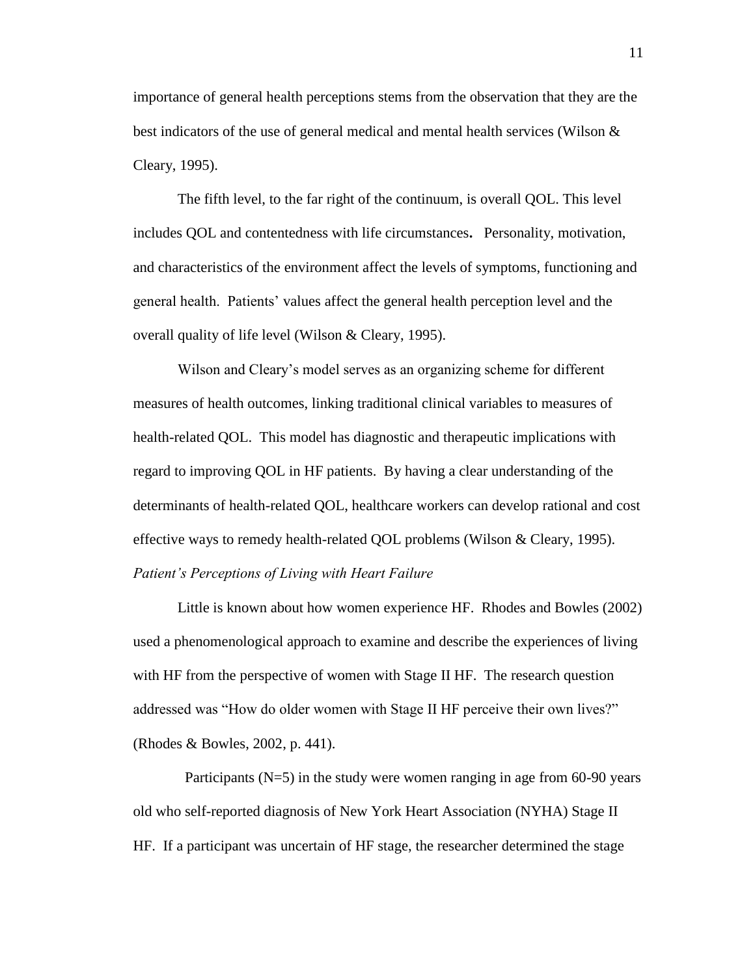importance of general health perceptions stems from the observation that they are the best indicators of the use of general medical and mental health services (Wilson  $\&$ Cleary, 1995).

The fifth level, to the far right of the continuum, is overall QOL. This level includes QOL and contentedness with life circumstances**.** Personality, motivation, and characteristics of the environment affect the levels of symptoms, functioning and general health. Patients' values affect the general health perception level and the overall quality of life level (Wilson & Cleary, 1995).

Wilson and Cleary's model serves as an organizing scheme for different measures of health outcomes, linking traditional clinical variables to measures of health-related QOL. This model has diagnostic and therapeutic implications with regard to improving QOL in HF patients. By having a clear understanding of the determinants of health-related QOL, healthcare workers can develop rational and cost effective ways to remedy health-related QOL problems (Wilson & Cleary, 1995). *Patient's Perceptions of Living with Heart Failure*

Little is known about how women experience HF. Rhodes and Bowles (2002) used a phenomenological approach to examine and describe the experiences of living with HF from the perspective of women with Stage II HF. The research question addressed was "How do older women with Stage II HF perceive their own lives?" (Rhodes & Bowles, 2002, p. 441).

Participants  $(N=5)$  in the study were women ranging in age from 60-90 years old who self-reported diagnosis of New York Heart Association (NYHA) Stage II HF. If a participant was uncertain of HF stage, the researcher determined the stage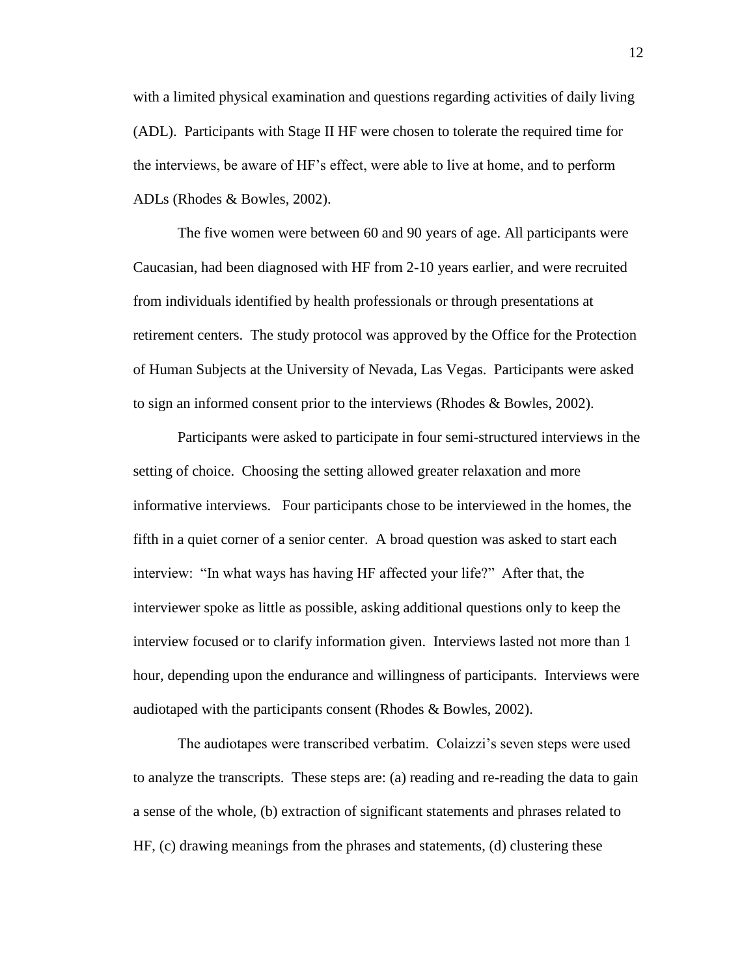with a limited physical examination and questions regarding activities of daily living (ADL). Participants with Stage II HF were chosen to tolerate the required time for the interviews, be aware of HF's effect, were able to live at home, and to perform ADLs (Rhodes & Bowles, 2002).

The five women were between 60 and 90 years of age. All participants were Caucasian, had been diagnosed with HF from 2-10 years earlier, and were recruited from individuals identified by health professionals or through presentations at retirement centers. The study protocol was approved by the Office for the Protection of Human Subjects at the University of Nevada, Las Vegas. Participants were asked to sign an informed consent prior to the interviews (Rhodes & Bowles, 2002).

Participants were asked to participate in four semi-structured interviews in the setting of choice. Choosing the setting allowed greater relaxation and more informative interviews. Four participants chose to be interviewed in the homes, the fifth in a quiet corner of a senior center. A broad question was asked to start each interview: "In what ways has having HF affected your life?" After that, the interviewer spoke as little as possible, asking additional questions only to keep the interview focused or to clarify information given. Interviews lasted not more than 1 hour, depending upon the endurance and willingness of participants. Interviews were audiotaped with the participants consent (Rhodes & Bowles, 2002).

The audiotapes were transcribed verbatim. Colaizzi's seven steps were used to analyze the transcripts. These steps are: (a) reading and re-reading the data to gain a sense of the whole, (b) extraction of significant statements and phrases related to HF, (c) drawing meanings from the phrases and statements, (d) clustering these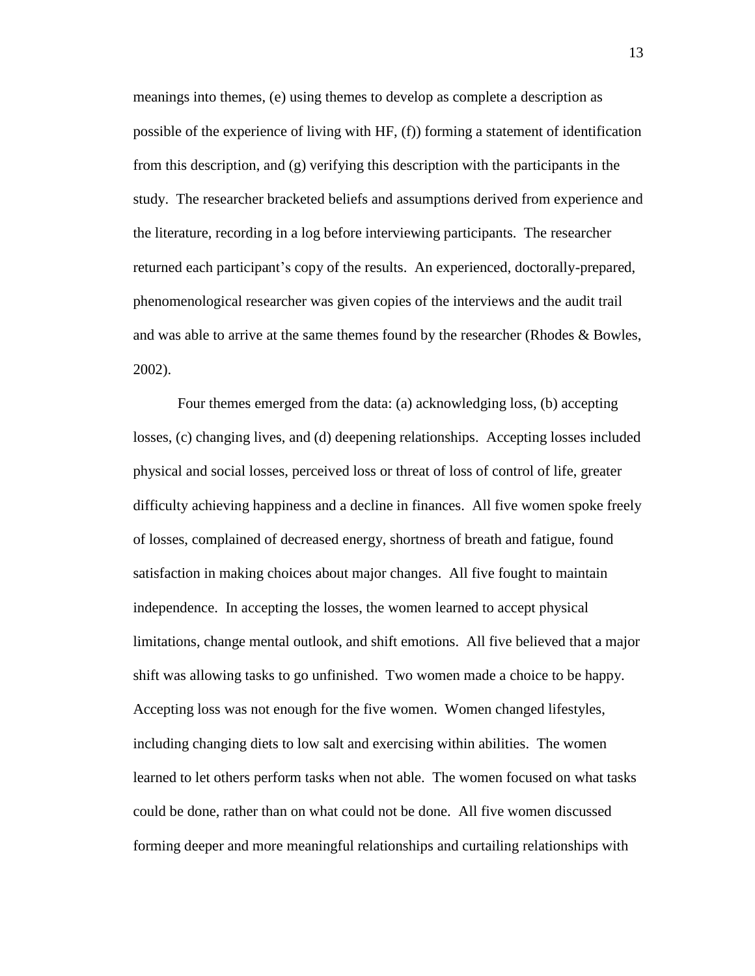meanings into themes, (e) using themes to develop as complete a description as possible of the experience of living with HF, (f)) forming a statement of identification from this description, and (g) verifying this description with the participants in the study. The researcher bracketed beliefs and assumptions derived from experience and the literature, recording in a log before interviewing participants. The researcher returned each participant's copy of the results. An experienced, doctorally-prepared, phenomenological researcher was given copies of the interviews and the audit trail and was able to arrive at the same themes found by the researcher (Rhodes & Bowles, 2002).

Four themes emerged from the data: (a) acknowledging loss, (b) accepting losses, (c) changing lives, and (d) deepening relationships. Accepting losses included physical and social losses, perceived loss or threat of loss of control of life, greater difficulty achieving happiness and a decline in finances. All five women spoke freely of losses, complained of decreased energy, shortness of breath and fatigue, found satisfaction in making choices about major changes. All five fought to maintain independence. In accepting the losses, the women learned to accept physical limitations, change mental outlook, and shift emotions. All five believed that a major shift was allowing tasks to go unfinished. Two women made a choice to be happy. Accepting loss was not enough for the five women. Women changed lifestyles, including changing diets to low salt and exercising within abilities. The women learned to let others perform tasks when not able. The women focused on what tasks could be done, rather than on what could not be done. All five women discussed forming deeper and more meaningful relationships and curtailing relationships with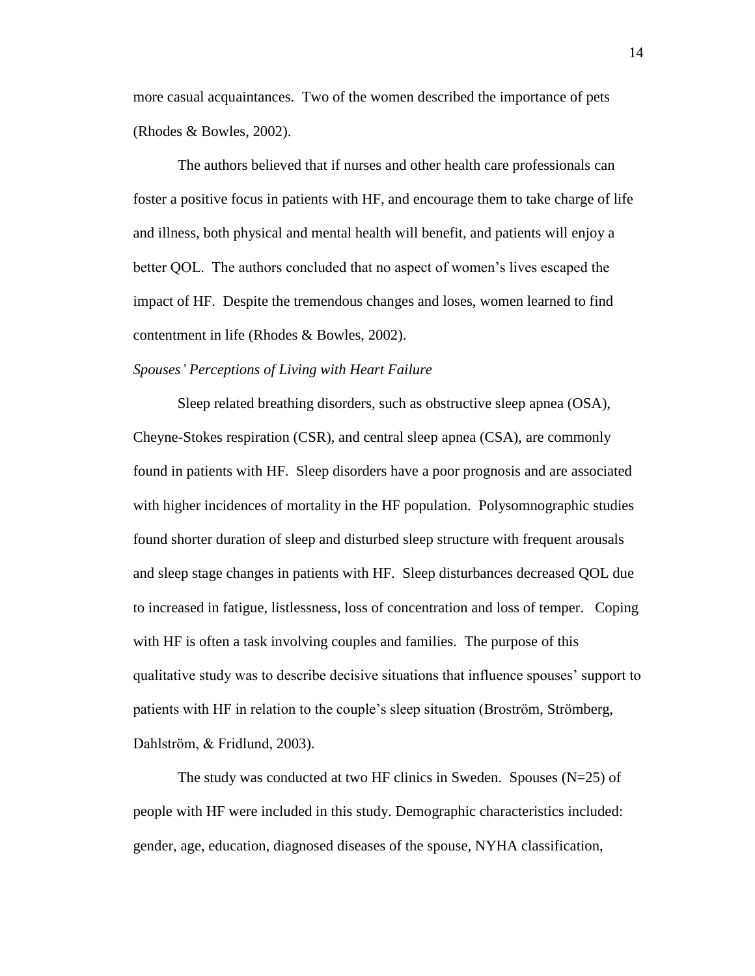more casual acquaintances. Two of the women described the importance of pets (Rhodes & Bowles, 2002).

The authors believed that if nurses and other health care professionals can foster a positive focus in patients with HF, and encourage them to take charge of life and illness, both physical and mental health will benefit, and patients will enjoy a better QOL. The authors concluded that no aspect of women's lives escaped the impact of HF. Despite the tremendous changes and loses, women learned to find contentment in life (Rhodes & Bowles, 2002).

## *Spouses' Perceptions of Living with Heart Failure*

Sleep related breathing disorders, such as obstructive sleep apnea (OSA), Cheyne-Stokes respiration (CSR), and central sleep apnea (CSA), are commonly found in patients with HF. Sleep disorders have a poor prognosis and are associated with higher incidences of mortality in the HF population. Polysomnographic studies found shorter duration of sleep and disturbed sleep structure with frequent arousals and sleep stage changes in patients with HF. Sleep disturbances decreased QOL due to increased in fatigue, listlessness, loss of concentration and loss of temper. Coping with HF is often a task involving couples and families. The purpose of this qualitative study was to describe decisive situations that influence spouses' support to patients with HF in relation to the couple's sleep situation (Broström, Strömberg, Dahlström, & Fridlund, 2003).

The study was conducted at two HF clinics in Sweden. Spouses  $(N=25)$  of people with HF were included in this study. Demographic characteristics included: gender, age, education, diagnosed diseases of the spouse, NYHA classification,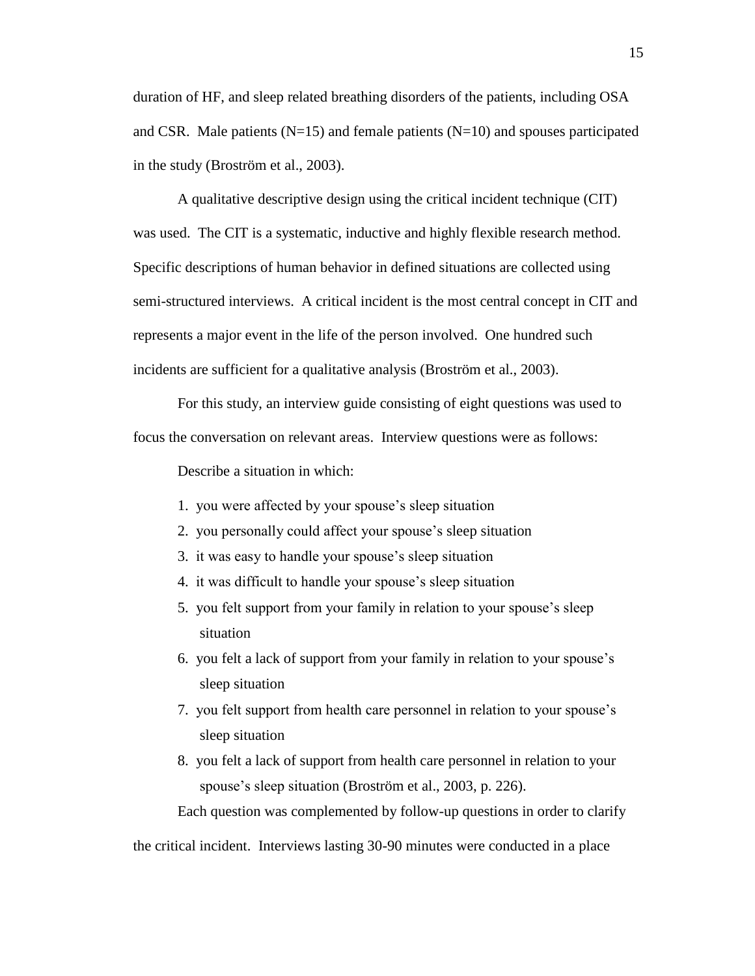duration of HF, and sleep related breathing disorders of the patients, including OSA and CSR. Male patients ( $N=15$ ) and female patients ( $N=10$ ) and spouses participated in the study (Broström et al., 2003).

A qualitative descriptive design using the critical incident technique (CIT) was used. The CIT is a systematic, inductive and highly flexible research method. Specific descriptions of human behavior in defined situations are collected using semi-structured interviews. A critical incident is the most central concept in CIT and represents a major event in the life of the person involved. One hundred such incidents are sufficient for a qualitative analysis (Broström et al., 2003).

For this study, an interview guide consisting of eight questions was used to focus the conversation on relevant areas. Interview questions were as follows:

Describe a situation in which:

- 1. you were affected by your spouse's sleep situation
- 2. you personally could affect your spouse's sleep situation
- 3. it was easy to handle your spouse's sleep situation
- 4. it was difficult to handle your spouse's sleep situation
- 5. you felt support from your family in relation to your spouse's sleep situation
- 6. you felt a lack of support from your family in relation to your spouse's sleep situation
- 7. you felt support from health care personnel in relation to your spouse's sleep situation
- 8. you felt a lack of support from health care personnel in relation to your spouse's sleep situation (Broström et al., 2003, p. 226).

Each question was complemented by follow-up questions in order to clarify

the critical incident. Interviews lasting 30-90 minutes were conducted in a place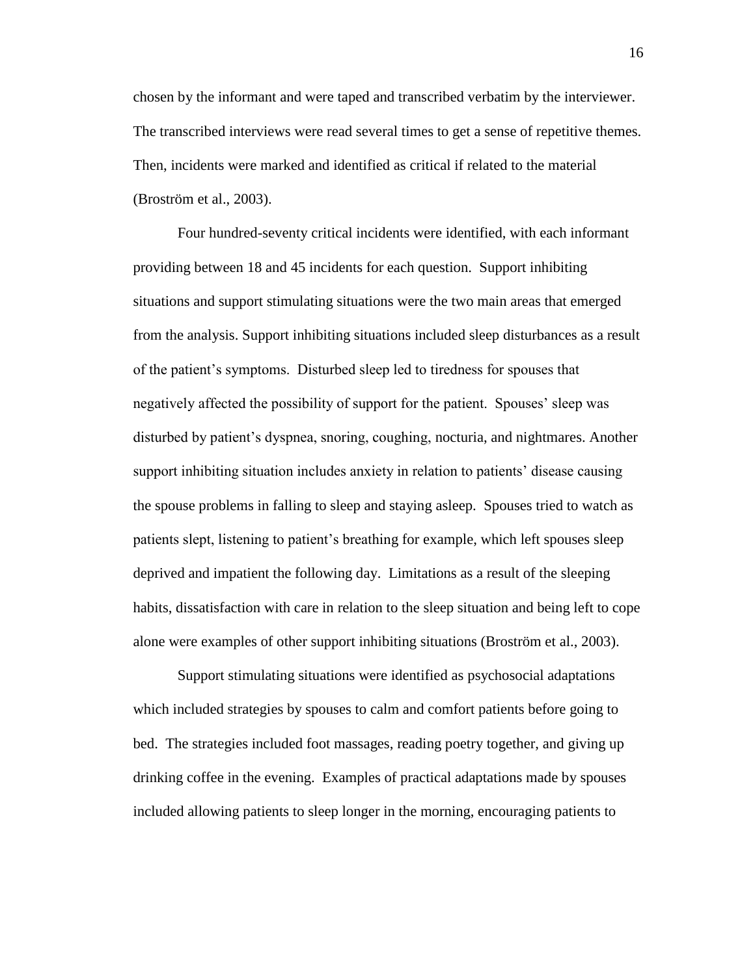chosen by the informant and were taped and transcribed verbatim by the interviewer. The transcribed interviews were read several times to get a sense of repetitive themes. Then, incidents were marked and identified as critical if related to the material (Broström et al., 2003).

Four hundred-seventy critical incidents were identified, with each informant providing between 18 and 45 incidents for each question. Support inhibiting situations and support stimulating situations were the two main areas that emerged from the analysis. Support inhibiting situations included sleep disturbances as a result of the patient's symptoms. Disturbed sleep led to tiredness for spouses that negatively affected the possibility of support for the patient. Spouses' sleep was disturbed by patient's dyspnea, snoring, coughing, nocturia, and nightmares. Another support inhibiting situation includes anxiety in relation to patients' disease causing the spouse problems in falling to sleep and staying asleep. Spouses tried to watch as patients slept, listening to patient's breathing for example, which left spouses sleep deprived and impatient the following day. Limitations as a result of the sleeping habits, dissatisfaction with care in relation to the sleep situation and being left to cope alone were examples of other support inhibiting situations (Broström et al., 2003).

Support stimulating situations were identified as psychosocial adaptations which included strategies by spouses to calm and comfort patients before going to bed. The strategies included foot massages, reading poetry together, and giving up drinking coffee in the evening. Examples of practical adaptations made by spouses included allowing patients to sleep longer in the morning, encouraging patients to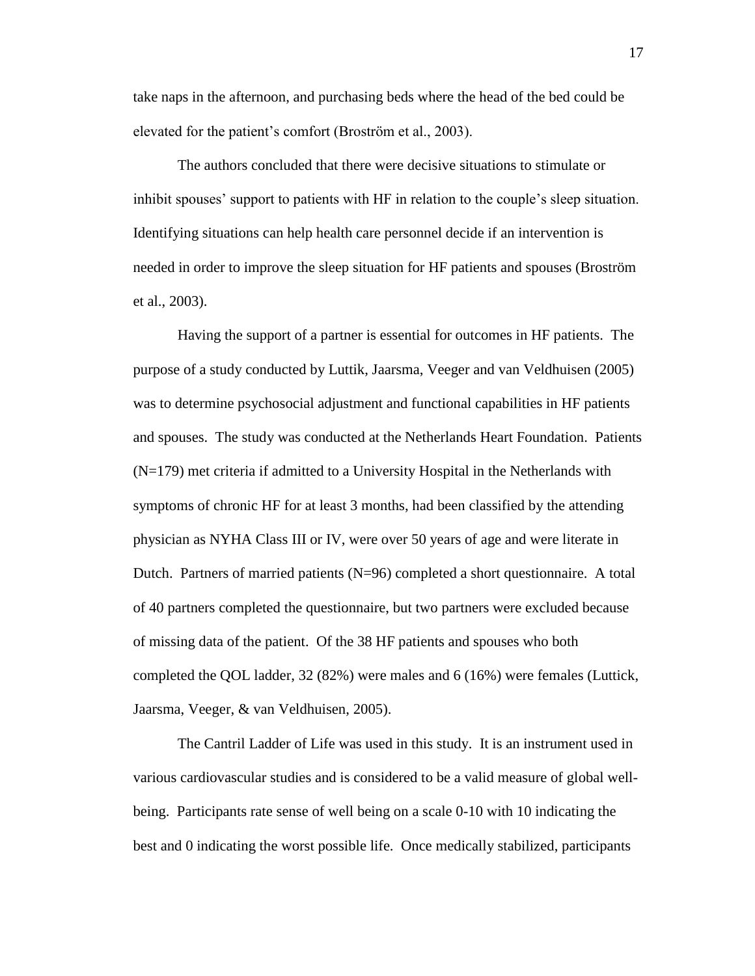take naps in the afternoon, and purchasing beds where the head of the bed could be elevated for the patient's comfort (Broström et al., 2003).

The authors concluded that there were decisive situations to stimulate or inhibit spouses' support to patients with HF in relation to the couple's sleep situation. Identifying situations can help health care personnel decide if an intervention is needed in order to improve the sleep situation for HF patients and spouses (Broström et al., 2003).

Having the support of a partner is essential for outcomes in HF patients. The purpose of a study conducted by Luttik, Jaarsma, Veeger and van Veldhuisen (2005) was to determine psychosocial adjustment and functional capabilities in HF patients and spouses. The study was conducted at the Netherlands Heart Foundation. Patients (N=179) met criteria if admitted to a University Hospital in the Netherlands with symptoms of chronic HF for at least 3 months, had been classified by the attending physician as NYHA Class III or IV, were over 50 years of age and were literate in Dutch. Partners of married patients (N=96) completed a short questionnaire. A total of 40 partners completed the questionnaire, but two partners were excluded because of missing data of the patient. Of the 38 HF patients and spouses who both completed the QOL ladder, 32 (82%) were males and 6 (16%) were females (Luttick, Jaarsma, Veeger, & van Veldhuisen, 2005).

The Cantril Ladder of Life was used in this study. It is an instrument used in various cardiovascular studies and is considered to be a valid measure of global wellbeing. Participants rate sense of well being on a scale 0-10 with 10 indicating the best and 0 indicating the worst possible life. Once medically stabilized, participants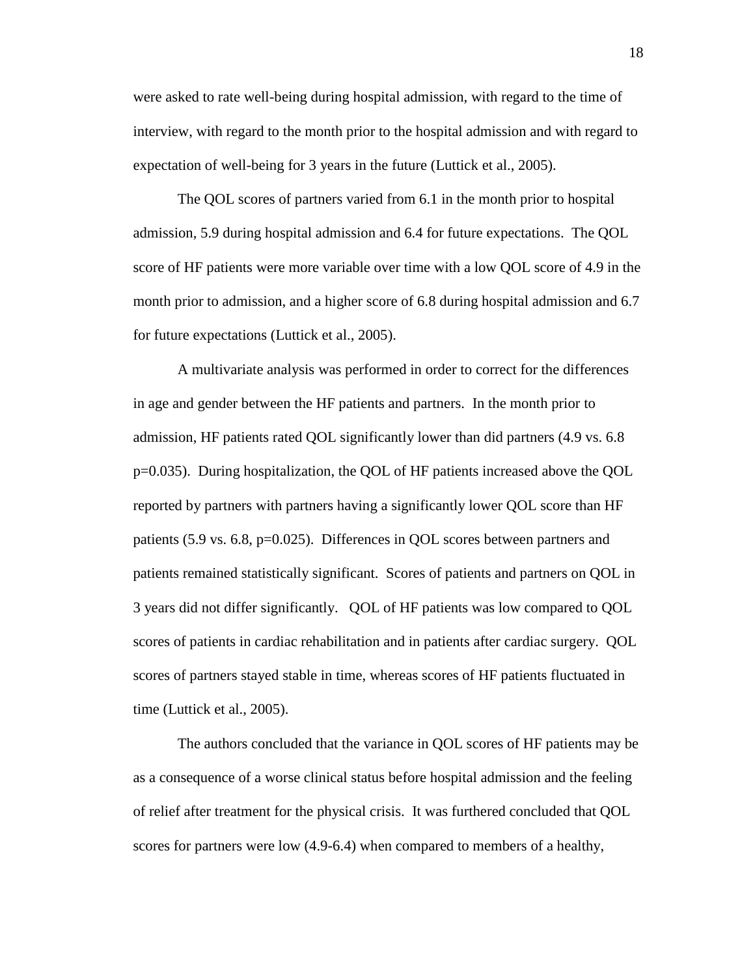were asked to rate well-being during hospital admission, with regard to the time of interview, with regard to the month prior to the hospital admission and with regard to expectation of well-being for 3 years in the future (Luttick et al., 2005).

The QOL scores of partners varied from 6.1 in the month prior to hospital admission, 5.9 during hospital admission and 6.4 for future expectations. The QOL score of HF patients were more variable over time with a low QOL score of 4.9 in the month prior to admission, and a higher score of 6.8 during hospital admission and 6.7 for future expectations (Luttick et al., 2005).

A multivariate analysis was performed in order to correct for the differences in age and gender between the HF patients and partners. In the month prior to admission, HF patients rated QOL significantly lower than did partners (4.9 vs. 6.8 p=0.035). During hospitalization, the QOL of HF patients increased above the QOL reported by partners with partners having a significantly lower QOL score than HF patients (5.9 vs. 6.8, p=0.025). Differences in QOL scores between partners and patients remained statistically significant. Scores of patients and partners on QOL in 3 years did not differ significantly. QOL of HF patients was low compared to QOL scores of patients in cardiac rehabilitation and in patients after cardiac surgery. QOL scores of partners stayed stable in time, whereas scores of HF patients fluctuated in time (Luttick et al., 2005).

The authors concluded that the variance in QOL scores of HF patients may be as a consequence of a worse clinical status before hospital admission and the feeling of relief after treatment for the physical crisis. It was furthered concluded that QOL scores for partners were low (4.9-6.4) when compared to members of a healthy,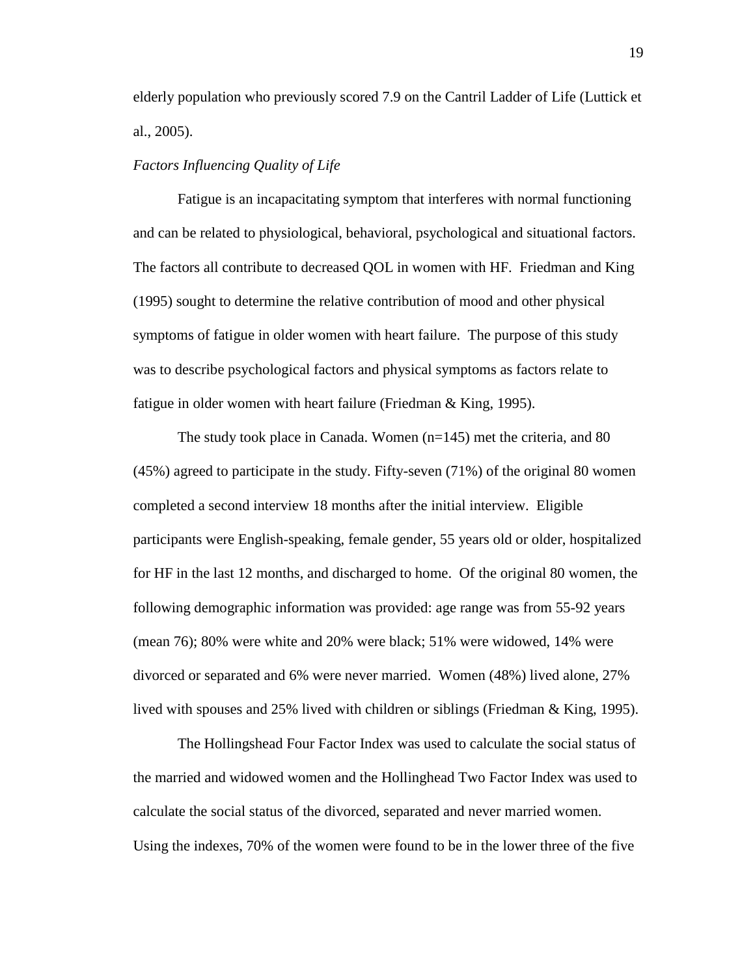elderly population who previously scored 7.9 on the Cantril Ladder of Life (Luttick et al., 2005).

### *Factors Influencing Quality of Life*

Fatigue is an incapacitating symptom that interferes with normal functioning and can be related to physiological, behavioral, psychological and situational factors. The factors all contribute to decreased QOL in women with HF. Friedman and King (1995) sought to determine the relative contribution of mood and other physical symptoms of fatigue in older women with heart failure. The purpose of this study was to describe psychological factors and physical symptoms as factors relate to fatigue in older women with heart failure (Friedman & King, 1995).

The study took place in Canada. Women (n=145) met the criteria, and 80 (45%) agreed to participate in the study. Fifty-seven (71%) of the original 80 women completed a second interview 18 months after the initial interview. Eligible participants were English-speaking, female gender, 55 years old or older, hospitalized for HF in the last 12 months, and discharged to home. Of the original 80 women, the following demographic information was provided: age range was from 55-92 years (mean 76); 80% were white and 20% were black; 51% were widowed, 14% were divorced or separated and 6% were never married. Women (48%) lived alone, 27% lived with spouses and 25% lived with children or siblings (Friedman & King, 1995).

The Hollingshead Four Factor Index was used to calculate the social status of the married and widowed women and the Hollinghead Two Factor Index was used to calculate the social status of the divorced, separated and never married women. Using the indexes, 70% of the women were found to be in the lower three of the five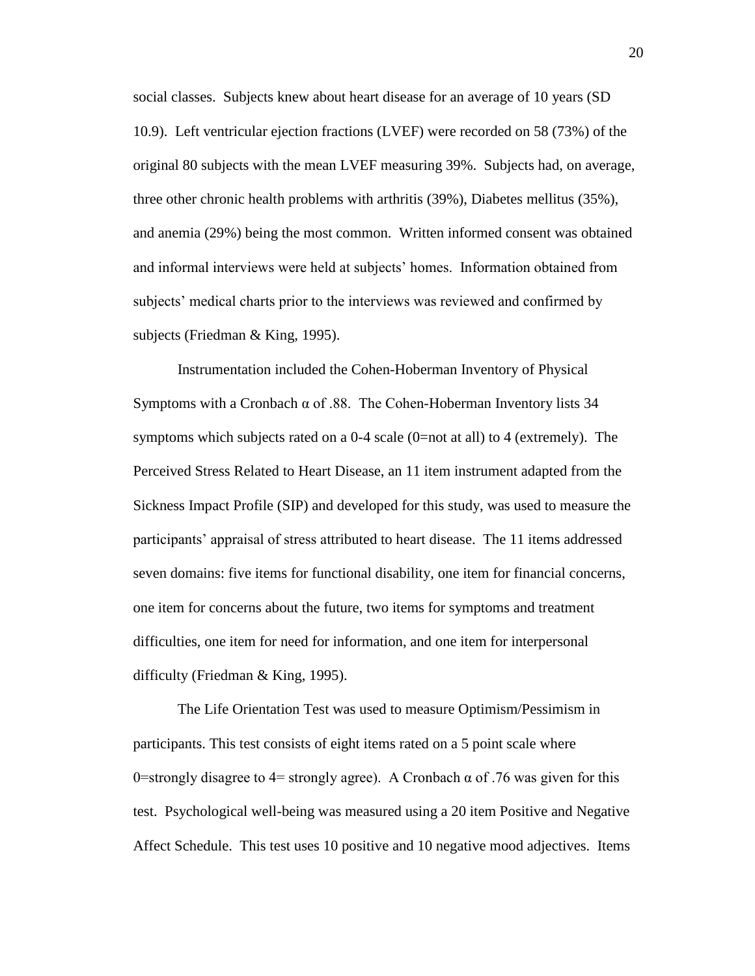social classes. Subjects knew about heart disease for an average of 10 years (SD 10.9). Left ventricular ejection fractions (LVEF) were recorded on 58 (73%) of the original 80 subjects with the mean LVEF measuring 39%. Subjects had, on average, three other chronic health problems with arthritis (39%), Diabetes mellitus (35%), and anemia (29%) being the most common. Written informed consent was obtained and informal interviews were held at subjects' homes. Information obtained from subjects' medical charts prior to the interviews was reviewed and confirmed by subjects (Friedman & King, 1995).

Instrumentation included the Cohen-Hoberman Inventory of Physical Symptoms with a Cronbach  $\alpha$  of .88. The Cohen-Hoberman Inventory lists 34 symptoms which subjects rated on a 0-4 scale (0=not at all) to 4 (extremely). The Perceived Stress Related to Heart Disease, an 11 item instrument adapted from the Sickness Impact Profile (SIP) and developed for this study, was used to measure the participants' appraisal of stress attributed to heart disease. The 11 items addressed seven domains: five items for functional disability, one item for financial concerns, one item for concerns about the future, two items for symptoms and treatment difficulties, one item for need for information, and one item for interpersonal difficulty (Friedman & King, 1995).

The Life Orientation Test was used to measure Optimism/Pessimism in participants. This test consists of eight items rated on a 5 point scale where 0=strongly disagree to 4= strongly agree). A Cronbach  $\alpha$  of .76 was given for this test. Psychological well-being was measured using a 20 item Positive and Negative Affect Schedule. This test uses 10 positive and 10 negative mood adjectives. Items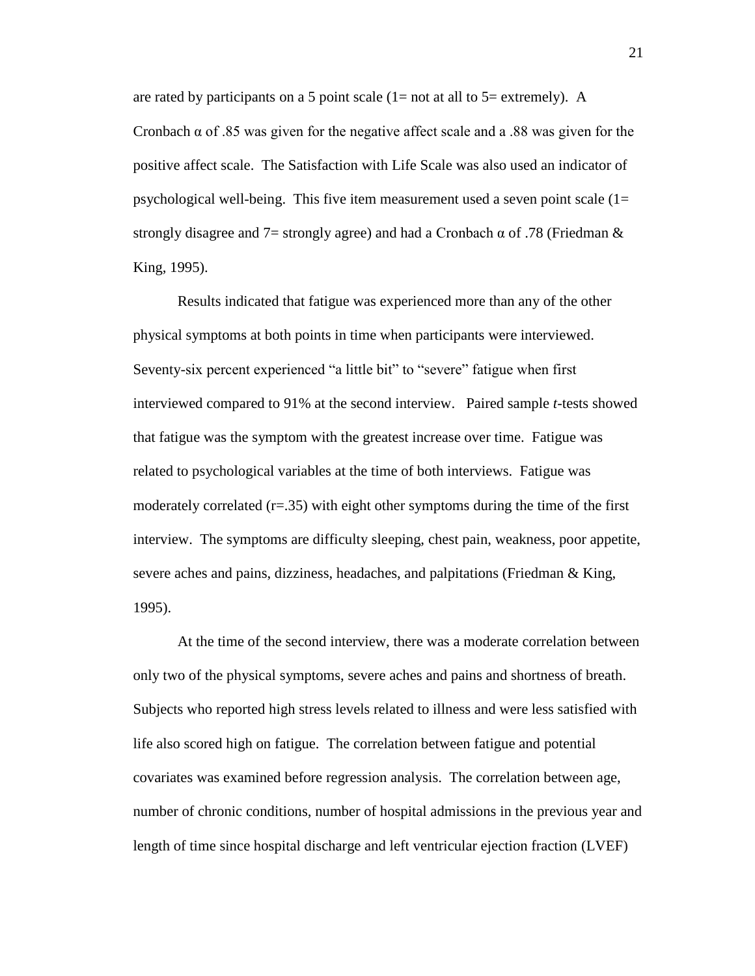are rated by participants on a 5 point scale  $(1=$  not at all to  $5=$  extremely). A Cronbach  $\alpha$  of .85 was given for the negative affect scale and a .88 was given for the positive affect scale. The Satisfaction with Life Scale was also used an indicator of psychological well-being. This five item measurement used a seven point scale  $(1=$ strongly disagree and 7= strongly agree) and had a Cronbach  $\alpha$  of .78 (Friedman  $\&$ King, 1995).

Results indicated that fatigue was experienced more than any of the other physical symptoms at both points in time when participants were interviewed. Seventy-six percent experienced "a little bit" to "severe" fatigue when first interviewed compared to 91% at the second interview. Paired sample *t*-tests showed that fatigue was the symptom with the greatest increase over time. Fatigue was related to psychological variables at the time of both interviews. Fatigue was moderately correlated  $(r=0.35)$  with eight other symptoms during the time of the first interview. The symptoms are difficulty sleeping, chest pain, weakness, poor appetite, severe aches and pains, dizziness, headaches, and palpitations (Friedman & King, 1995).

At the time of the second interview, there was a moderate correlation between only two of the physical symptoms, severe aches and pains and shortness of breath. Subjects who reported high stress levels related to illness and were less satisfied with life also scored high on fatigue. The correlation between fatigue and potential covariates was examined before regression analysis. The correlation between age, number of chronic conditions, number of hospital admissions in the previous year and length of time since hospital discharge and left ventricular ejection fraction (LVEF)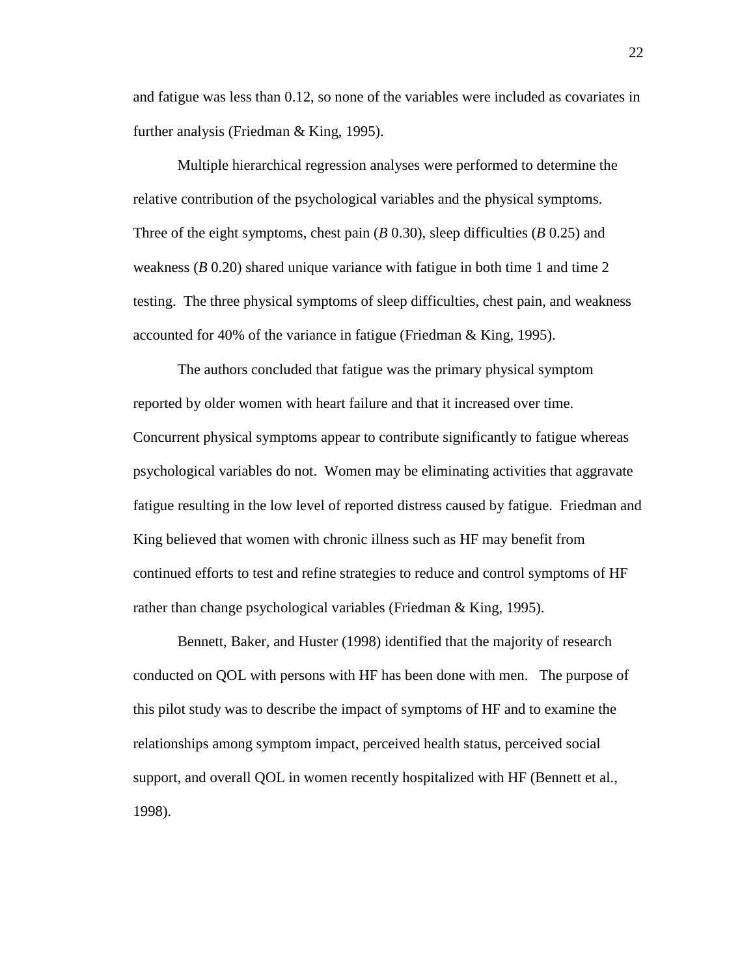and fatigue was less than 0.12, so none of the variables were included as covariates in further analysis (Friedman & King, 1995).

Multiple hierarchical regression analyses were performed to determine the relative contribution of the psychological variables and the physical symptoms. Three of the eight symptoms, chest pain (*B* 0.30), sleep difficulties (*B* 0.25) and weakness (*B* 0.20) shared unique variance with fatigue in both time 1 and time 2 testing. The three physical symptoms of sleep difficulties, chest pain, and weakness accounted for 40% of the variance in fatigue (Friedman & King, 1995).

The authors concluded that fatigue was the primary physical symptom reported by older women with heart failure and that it increased over time. Concurrent physical symptoms appear to contribute significantly to fatigue whereas psychological variables do not. Women may be eliminating activities that aggravate fatigue resulting in the low level of reported distress caused by fatigue. Friedman and King believed that women with chronic illness such as HF may benefit from continued efforts to test and refine strategies to reduce and control symptoms of HF rather than change psychological variables (Friedman & King, 1995).

Bennett, Baker, and Huster (1998) identified that the majority of research conducted on QOL with persons with HF has been done with men. The purpose of this pilot study was to describe the impact of symptoms of HF and to examine the relationships among symptom impact, perceived health status, perceived social support, and overall QOL in women recently hospitalized with HF (Bennett et al., 1998).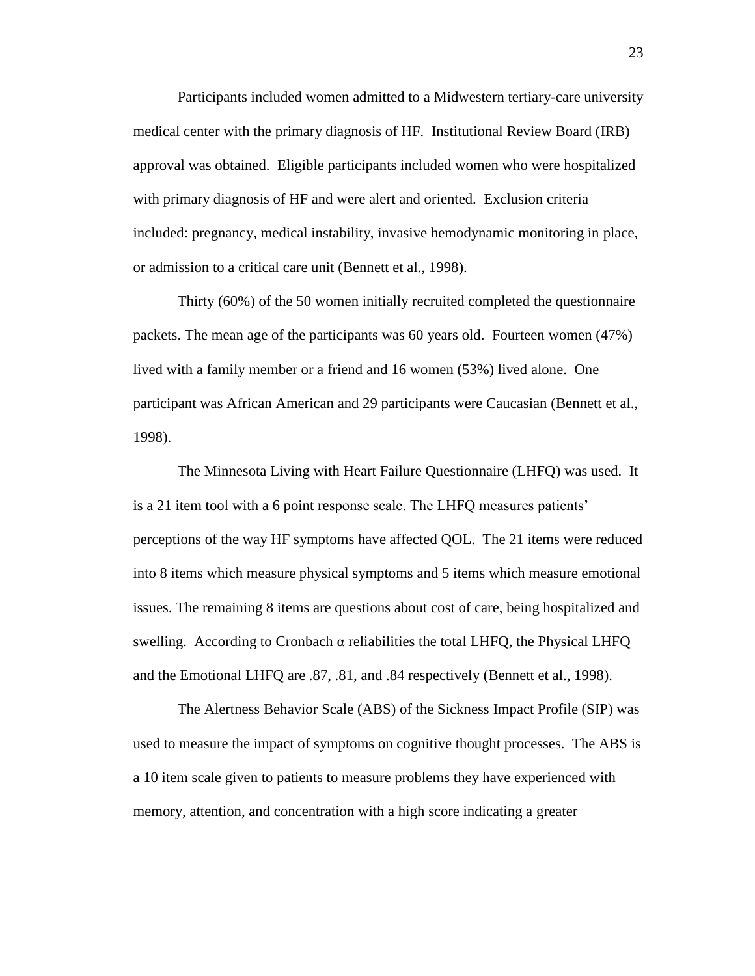Participants included women admitted to a Midwestern tertiary-care university medical center with the primary diagnosis of HF. Institutional Review Board (IRB) approval was obtained. Eligible participants included women who were hospitalized with primary diagnosis of HF and were alert and oriented. Exclusion criteria included: pregnancy, medical instability, invasive hemodynamic monitoring in place, or admission to a critical care unit (Bennett et al., 1998).

Thirty (60%) of the 50 women initially recruited completed the questionnaire packets. The mean age of the participants was 60 years old. Fourteen women (47%) lived with a family member or a friend and 16 women (53%) lived alone. One participant was African American and 29 participants were Caucasian (Bennett et al., 1998).

The Minnesota Living with Heart Failure Questionnaire (LHFQ) was used. It is a 21 item tool with a 6 point response scale. The LHFQ measures patients' perceptions of the way HF symptoms have affected QOL. The 21 items were reduced into 8 items which measure physical symptoms and 5 items which measure emotional issues. The remaining 8 items are questions about cost of care, being hospitalized and swelling. According to Cronbach  $α$  reliabilities the total LHFQ, the Physical LHFQ and the Emotional LHFQ are .87, .81, and .84 respectively (Bennett et al., 1998).

The Alertness Behavior Scale (ABS) of the Sickness Impact Profile (SIP) was used to measure the impact of symptoms on cognitive thought processes. The ABS is a 10 item scale given to patients to measure problems they have experienced with memory, attention, and concentration with a high score indicating a greater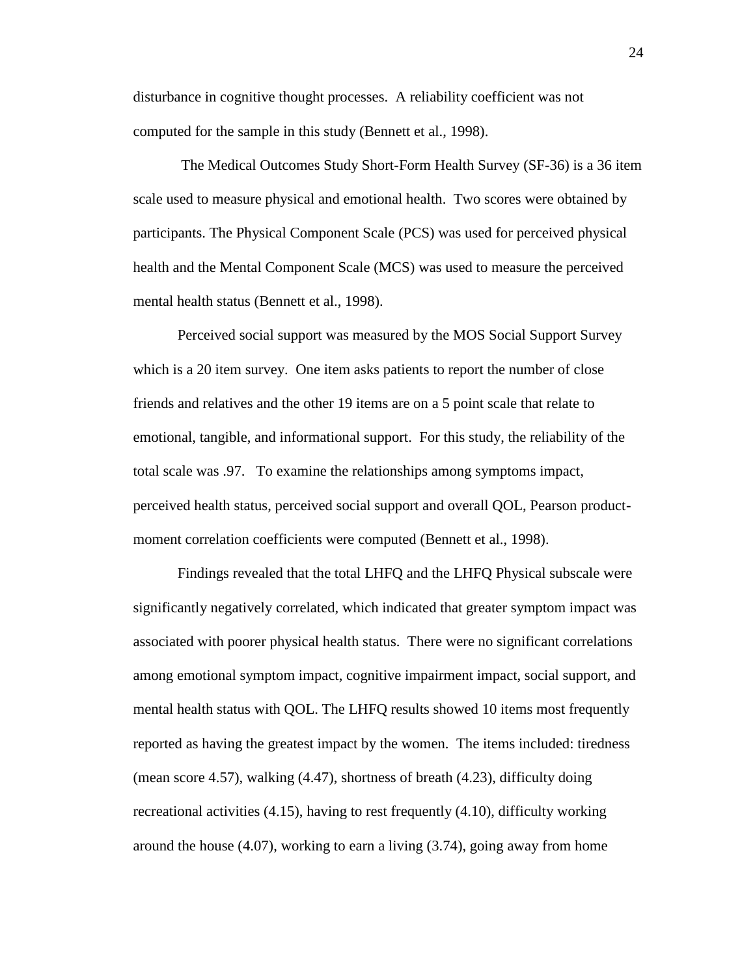disturbance in cognitive thought processes. A reliability coefficient was not computed for the sample in this study (Bennett et al., 1998).

The Medical Outcomes Study Short-Form Health Survey (SF-36) is a 36 item scale used to measure physical and emotional health. Two scores were obtained by participants. The Physical Component Scale (PCS) was used for perceived physical health and the Mental Component Scale (MCS) was used to measure the perceived mental health status (Bennett et al., 1998).

Perceived social support was measured by the MOS Social Support Survey which is a 20 item survey. One item asks patients to report the number of close friends and relatives and the other 19 items are on a 5 point scale that relate to emotional, tangible, and informational support. For this study, the reliability of the total scale was .97. To examine the relationships among symptoms impact, perceived health status, perceived social support and overall QOL, Pearson productmoment correlation coefficients were computed (Bennett et al., 1998).

Findings revealed that the total LHFQ and the LHFQ Physical subscale were significantly negatively correlated, which indicated that greater symptom impact was associated with poorer physical health status. There were no significant correlations among emotional symptom impact, cognitive impairment impact, social support, and mental health status with QOL. The LHFQ results showed 10 items most frequently reported as having the greatest impact by the women. The items included: tiredness (mean score 4.57), walking (4.47), shortness of breath (4.23), difficulty doing recreational activities (4.15), having to rest frequently (4.10), difficulty working around the house (4.07), working to earn a living (3.74), going away from home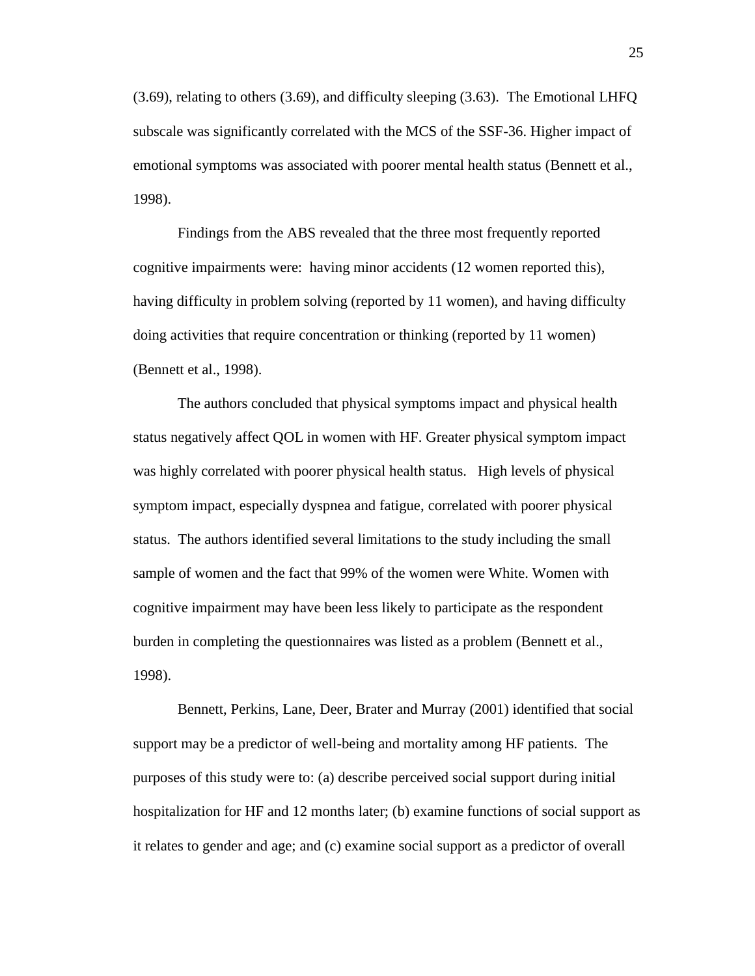(3.69), relating to others (3.69), and difficulty sleeping (3.63). The Emotional LHFQ subscale was significantly correlated with the MCS of the SSF-36. Higher impact of emotional symptoms was associated with poorer mental health status (Bennett et al., 1998).

Findings from the ABS revealed that the three most frequently reported cognitive impairments were: having minor accidents (12 women reported this), having difficulty in problem solving (reported by 11 women), and having difficulty doing activities that require concentration or thinking (reported by 11 women) (Bennett et al., 1998).

The authors concluded that physical symptoms impact and physical health status negatively affect QOL in women with HF. Greater physical symptom impact was highly correlated with poorer physical health status. High levels of physical symptom impact, especially dyspnea and fatigue, correlated with poorer physical status. The authors identified several limitations to the study including the small sample of women and the fact that 99% of the women were White. Women with cognitive impairment may have been less likely to participate as the respondent burden in completing the questionnaires was listed as a problem (Bennett et al., 1998).

Bennett, Perkins, Lane, Deer, Brater and Murray (2001) identified that social support may be a predictor of well-being and mortality among HF patients. The purposes of this study were to: (a) describe perceived social support during initial hospitalization for HF and 12 months later; (b) examine functions of social support as it relates to gender and age; and (c) examine social support as a predictor of overall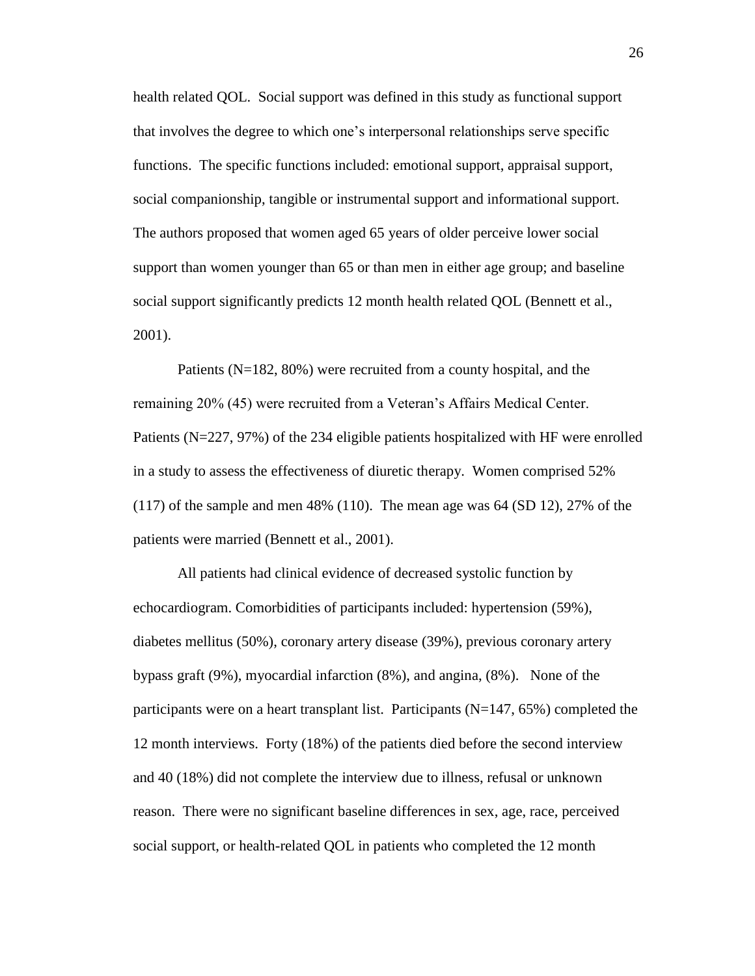health related QOL. Social support was defined in this study as functional support that involves the degree to which one's interpersonal relationships serve specific functions. The specific functions included: emotional support, appraisal support, social companionship, tangible or instrumental support and informational support. The authors proposed that women aged 65 years of older perceive lower social support than women younger than 65 or than men in either age group; and baseline social support significantly predicts 12 month health related QOL (Bennett et al., 2001).

Patients (N=182, 80%) were recruited from a county hospital, and the remaining 20% (45) were recruited from a Veteran's Affairs Medical Center. Patients (N=227, 97%) of the 234 eligible patients hospitalized with HF were enrolled in a study to assess the effectiveness of diuretic therapy. Women comprised 52% (117) of the sample and men 48% (110). The mean age was 64 (SD 12), 27% of the patients were married (Bennett et al., 2001).

All patients had clinical evidence of decreased systolic function by echocardiogram. Comorbidities of participants included: hypertension (59%), diabetes mellitus (50%), coronary artery disease (39%), previous coronary artery bypass graft (9%), myocardial infarction (8%), and angina, (8%). None of the participants were on a heart transplant list. Participants (N=147, 65%) completed the 12 month interviews. Forty (18%) of the patients died before the second interview and 40 (18%) did not complete the interview due to illness, refusal or unknown reason. There were no significant baseline differences in sex, age, race, perceived social support, or health-related QOL in patients who completed the 12 month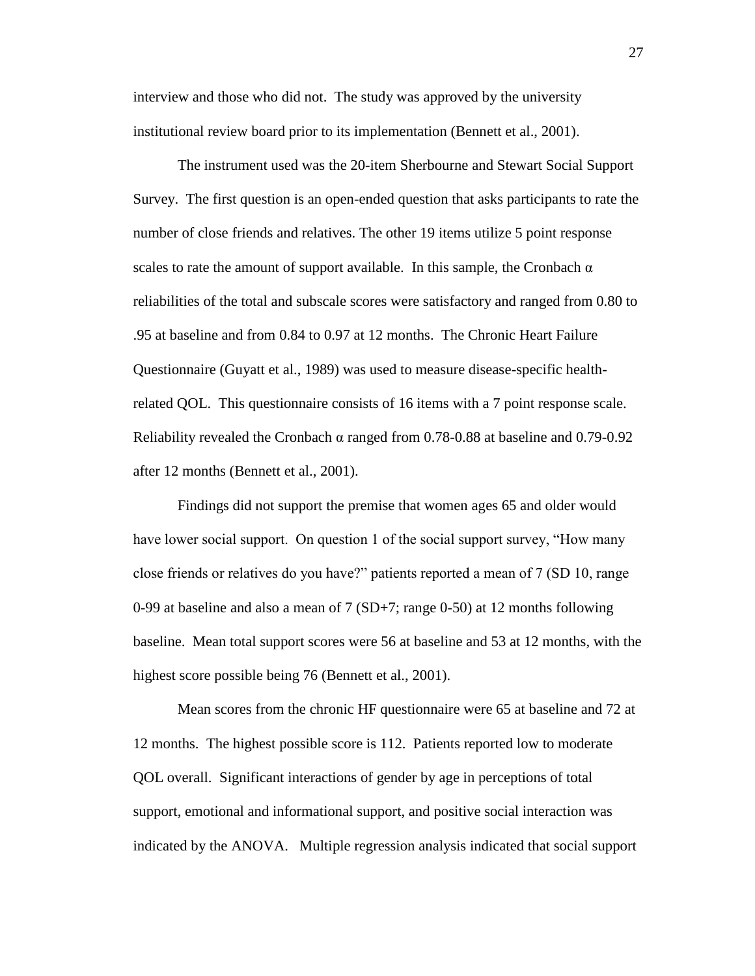interview and those who did not. The study was approved by the university institutional review board prior to its implementation (Bennett et al., 2001).

The instrument used was the 20-item Sherbourne and Stewart Social Support Survey. The first question is an open-ended question that asks participants to rate the number of close friends and relatives. The other 19 items utilize 5 point response scales to rate the amount of support available. In this sample, the Cronbach  $\alpha$ reliabilities of the total and subscale scores were satisfactory and ranged from 0.80 to .95 at baseline and from 0.84 to 0.97 at 12 months. The Chronic Heart Failure Questionnaire (Guyatt et al., 1989) was used to measure disease-specific healthrelated QOL. This questionnaire consists of 16 items with a 7 point response scale. Reliability revealed the Cronbach  $\alpha$  ranged from 0.78-0.88 at baseline and 0.79-0.92 after 12 months (Bennett et al., 2001).

Findings did not support the premise that women ages 65 and older would have lower social support. On question 1 of the social support survey, "How many close friends or relatives do you have?" patients reported a mean of 7 (SD 10, range 0-99 at baseline and also a mean of 7 (SD+7; range 0-50) at 12 months following baseline. Mean total support scores were 56 at baseline and 53 at 12 months, with the highest score possible being 76 (Bennett et al., 2001).

Mean scores from the chronic HF questionnaire were 65 at baseline and 72 at 12 months. The highest possible score is 112. Patients reported low to moderate QOL overall. Significant interactions of gender by age in perceptions of total support, emotional and informational support, and positive social interaction was indicated by the ANOVA. Multiple regression analysis indicated that social support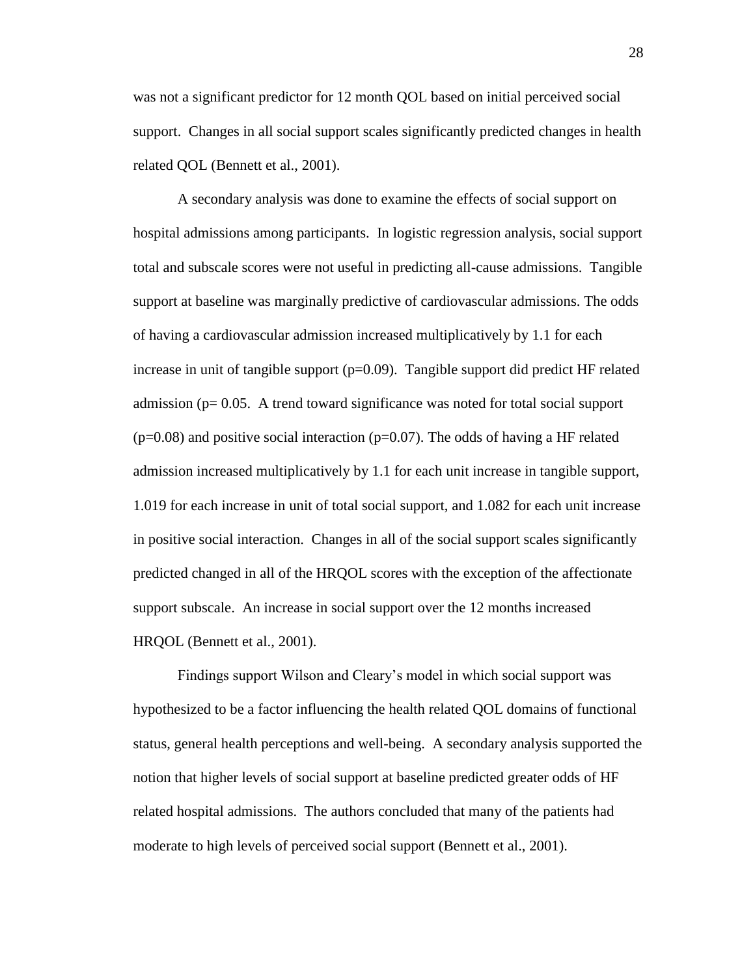was not a significant predictor for 12 month QOL based on initial perceived social support. Changes in all social support scales significantly predicted changes in health related QOL (Bennett et al., 2001).

A secondary analysis was done to examine the effects of social support on hospital admissions among participants. In logistic regression analysis, social support total and subscale scores were not useful in predicting all-cause admissions. Tangible support at baseline was marginally predictive of cardiovascular admissions. The odds of having a cardiovascular admission increased multiplicatively by 1.1 for each increase in unit of tangible support  $(p=0.09)$ . Tangible support did predict HF related admission ( $p= 0.05$ . A trend toward significance was noted for total social support  $(p=0.08)$  and positive social interaction  $(p=0.07)$ . The odds of having a HF related admission increased multiplicatively by 1.1 for each unit increase in tangible support, 1.019 for each increase in unit of total social support, and 1.082 for each unit increase in positive social interaction. Changes in all of the social support scales significantly predicted changed in all of the HRQOL scores with the exception of the affectionate support subscale. An increase in social support over the 12 months increased HRQOL (Bennett et al., 2001).

Findings support Wilson and Cleary's model in which social support was hypothesized to be a factor influencing the health related QOL domains of functional status, general health perceptions and well-being. A secondary analysis supported the notion that higher levels of social support at baseline predicted greater odds of HF related hospital admissions. The authors concluded that many of the patients had moderate to high levels of perceived social support (Bennett et al., 2001).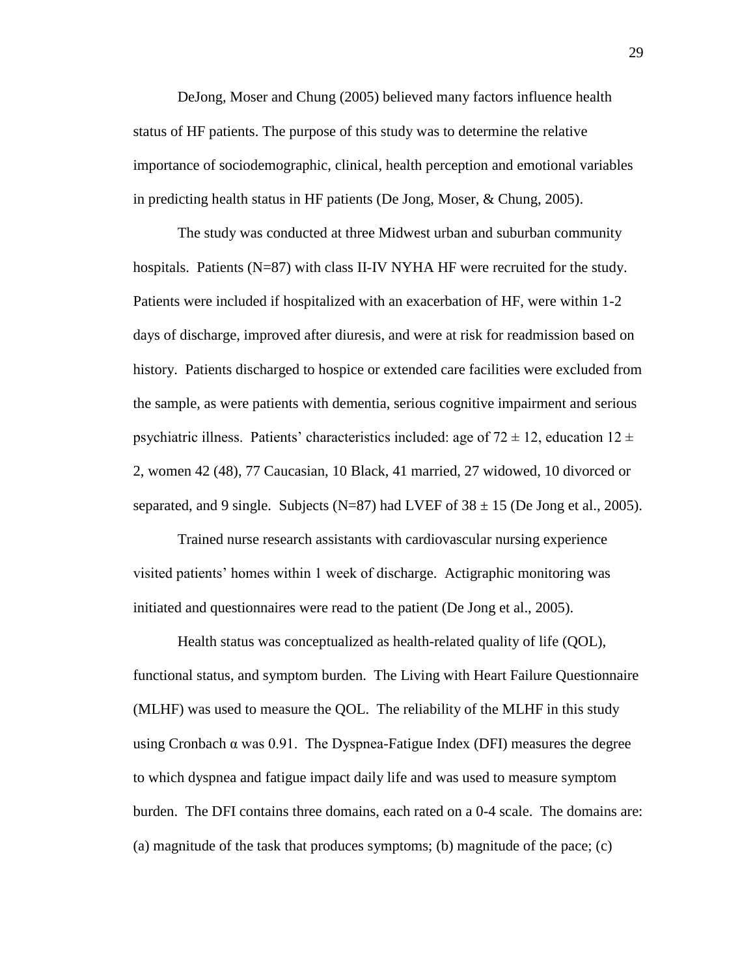DeJong, Moser and Chung (2005) believed many factors influence health status of HF patients. The purpose of this study was to determine the relative importance of sociodemographic, clinical, health perception and emotional variables in predicting health status in HF patients (De Jong, Moser, & Chung, 2005).

The study was conducted at three Midwest urban and suburban community hospitals. Patients (N=87) with class II-IV NYHA HF were recruited for the study. Patients were included if hospitalized with an exacerbation of HF, were within 1-2 days of discharge, improved after diuresis, and were at risk for readmission based on history. Patients discharged to hospice or extended care facilities were excluded from the sample, as were patients with dementia, serious cognitive impairment and serious psychiatric illness. Patients' characteristics included: age of  $72 \pm 12$ , education  $12 \pm 12$ 2, women 42 (48), 77 Caucasian, 10 Black, 41 married, 27 widowed, 10 divorced or separated, and 9 single. Subjects (N=87) had LVEF of  $38 \pm 15$  (De Jong et al., 2005).

 Trained nurse research assistants with cardiovascular nursing experience visited patients' homes within 1 week of discharge. Actigraphic monitoring was initiated and questionnaires were read to the patient (De Jong et al., 2005).

Health status was conceptualized as health-related quality of life (QOL), functional status, and symptom burden. The Living with Heart Failure Questionnaire (MLHF) was used to measure the QOL. The reliability of the MLHF in this study using Cronbach  $\alpha$  was 0.91. The Dyspnea-Fatigue Index (DFI) measures the degree to which dyspnea and fatigue impact daily life and was used to measure symptom burden. The DFI contains three domains, each rated on a 0-4 scale. The domains are: (a) magnitude of the task that produces symptoms; (b) magnitude of the pace; (c)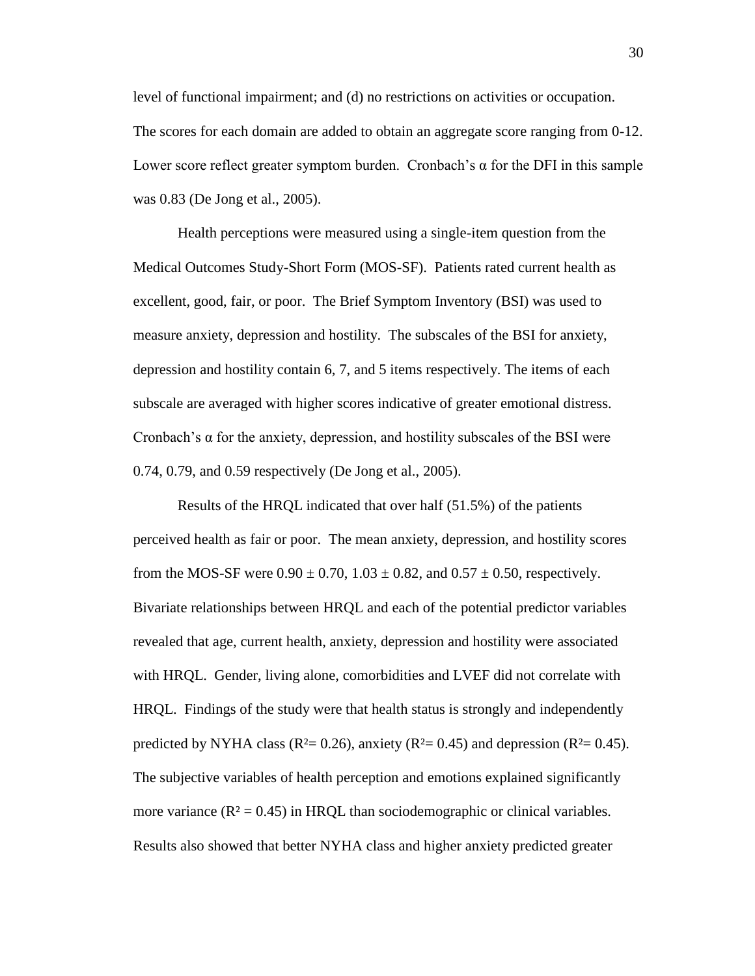level of functional impairment; and (d) no restrictions on activities or occupation. The scores for each domain are added to obtain an aggregate score ranging from 0-12. Lower score reflect greater symptom burden. Cronbach's  $\alpha$  for the DFI in this sample was 0.83 (De Jong et al., 2005).

Health perceptions were measured using a single-item question from the Medical Outcomes Study-Short Form (MOS-SF). Patients rated current health as excellent, good, fair, or poor. The Brief Symptom Inventory (BSI) was used to measure anxiety, depression and hostility. The subscales of the BSI for anxiety, depression and hostility contain 6, 7, and 5 items respectively. The items of each subscale are averaged with higher scores indicative of greater emotional distress. Cronbach's  $\alpha$  for the anxiety, depression, and hostility subscales of the BSI were 0.74, 0.79, and 0.59 respectively (De Jong et al., 2005).

Results of the HRQL indicated that over half (51.5%) of the patients perceived health as fair or poor. The mean anxiety, depression, and hostility scores from the MOS-SF were  $0.90 \pm 0.70$ ,  $1.03 \pm 0.82$ , and  $0.57 \pm 0.50$ , respectively. Bivariate relationships between HRQL and each of the potential predictor variables revealed that age, current health, anxiety, depression and hostility were associated with HRQL. Gender, living alone, comorbidities and LVEF did not correlate with HRQL. Findings of the study were that health status is strongly and independently predicted by NYHA class ( $R^2 = 0.26$ ), anxiety ( $R^2 = 0.45$ ) and depression ( $R^2 = 0.45$ ). The subjective variables of health perception and emotions explained significantly more variance  $(R^2 = 0.45)$  in HRQL than sociodemographic or clinical variables. Results also showed that better NYHA class and higher anxiety predicted greater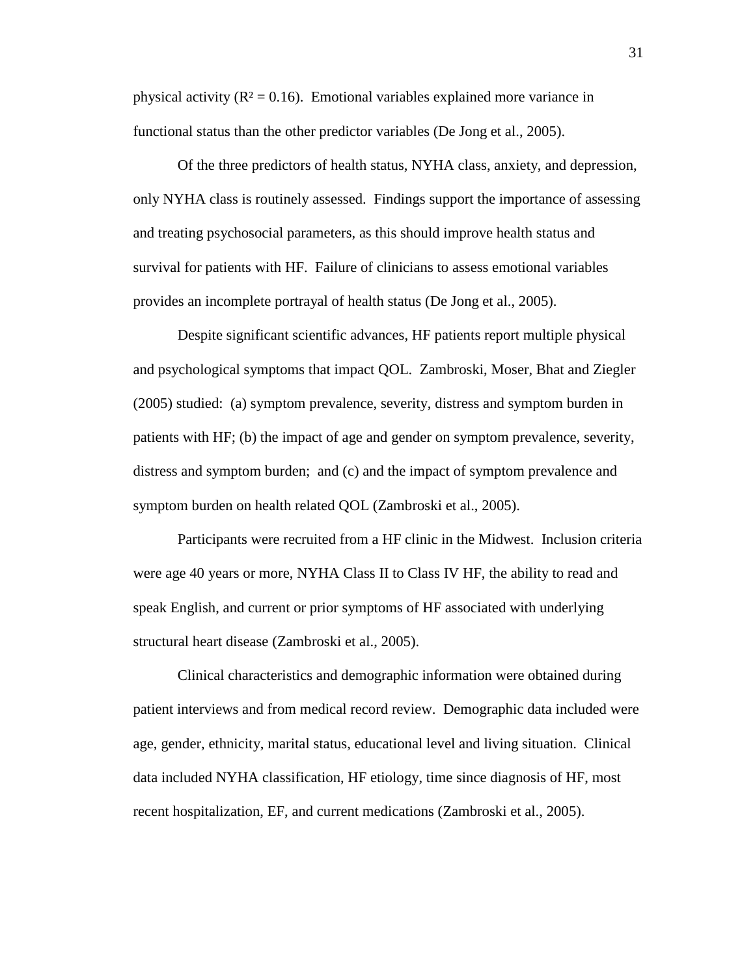physical activity ( $\mathbb{R}^2 = 0.16$ ). Emotional variables explained more variance in functional status than the other predictor variables (De Jong et al., 2005).

Of the three predictors of health status, NYHA class, anxiety, and depression, only NYHA class is routinely assessed. Findings support the importance of assessing and treating psychosocial parameters, as this should improve health status and survival for patients with HF. Failure of clinicians to assess emotional variables provides an incomplete portrayal of health status (De Jong et al., 2005).

Despite significant scientific advances, HF patients report multiple physical and psychological symptoms that impact QOL. Zambroski, Moser, Bhat and Ziegler (2005) studied: (a) symptom prevalence, severity, distress and symptom burden in patients with HF; (b) the impact of age and gender on symptom prevalence, severity, distress and symptom burden; and (c) and the impact of symptom prevalence and symptom burden on health related QOL (Zambroski et al., 2005).

Participants were recruited from a HF clinic in the Midwest. Inclusion criteria were age 40 years or more, NYHA Class II to Class IV HF, the ability to read and speak English, and current or prior symptoms of HF associated with underlying structural heart disease (Zambroski et al., 2005).

Clinical characteristics and demographic information were obtained during patient interviews and from medical record review. Demographic data included were age, gender, ethnicity, marital status, educational level and living situation. Clinical data included NYHA classification, HF etiology, time since diagnosis of HF, most recent hospitalization, EF, and current medications (Zambroski et al., 2005).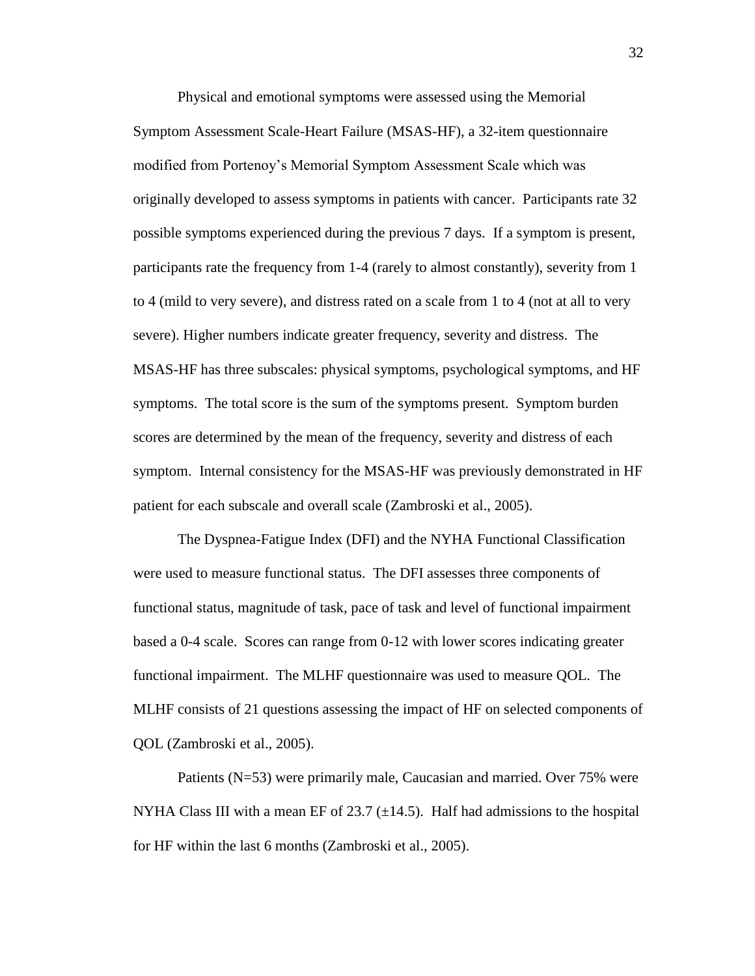Physical and emotional symptoms were assessed using the Memorial Symptom Assessment Scale-Heart Failure (MSAS-HF), a 32-item questionnaire modified from Portenoy's Memorial Symptom Assessment Scale which was originally developed to assess symptoms in patients with cancer. Participants rate 32 possible symptoms experienced during the previous 7 days. If a symptom is present, participants rate the frequency from 1-4 (rarely to almost constantly), severity from 1 to 4 (mild to very severe), and distress rated on a scale from 1 to 4 (not at all to very severe). Higher numbers indicate greater frequency, severity and distress. The MSAS-HF has three subscales: physical symptoms, psychological symptoms, and HF symptoms. The total score is the sum of the symptoms present. Symptom burden scores are determined by the mean of the frequency, severity and distress of each symptom. Internal consistency for the MSAS-HF was previously demonstrated in HF patient for each subscale and overall scale (Zambroski et al., 2005).

The Dyspnea-Fatigue Index (DFI) and the NYHA Functional Classification were used to measure functional status. The DFI assesses three components of functional status, magnitude of task, pace of task and level of functional impairment based a 0-4 scale. Scores can range from 0-12 with lower scores indicating greater functional impairment. The MLHF questionnaire was used to measure QOL. The MLHF consists of 21 questions assessing the impact of HF on selected components of QOL (Zambroski et al., 2005).

Patients (N=53) were primarily male, Caucasian and married. Over 75% were NYHA Class III with a mean EF of 23.7  $(\pm 14.5)$ . Half had admissions to the hospital for HF within the last 6 months (Zambroski et al., 2005).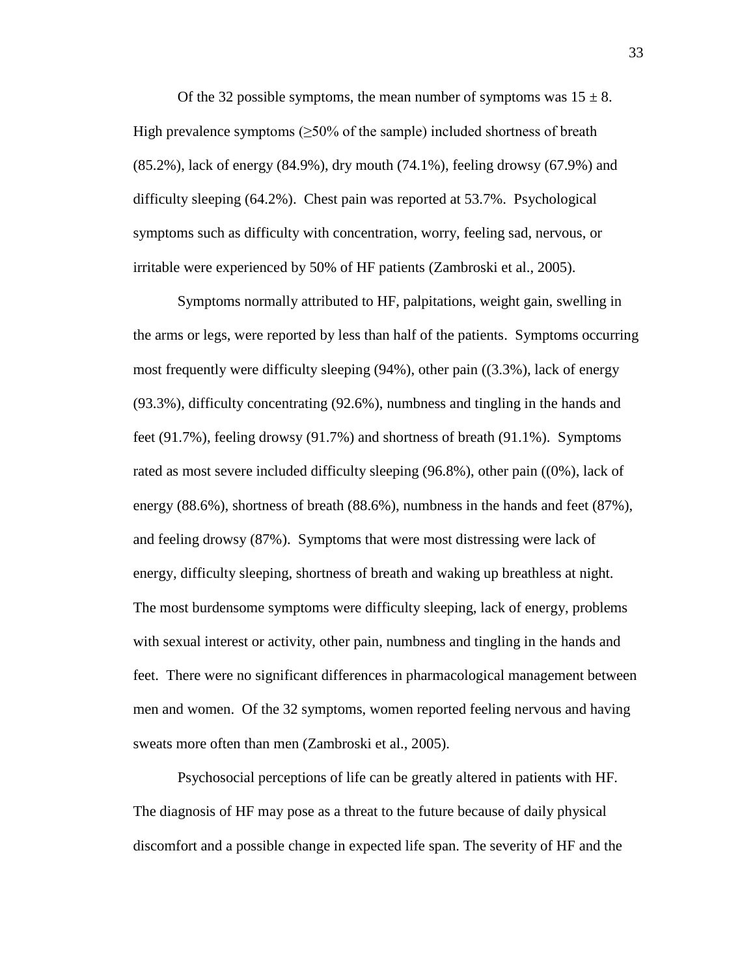Of the 32 possible symptoms, the mean number of symptoms was  $15 \pm 8$ . High prevalence symptoms  $(\geq 50\%$  of the sample) included shortness of breath (85.2%), lack of energy (84.9%), dry mouth (74.1%), feeling drowsy (67.9%) and difficulty sleeping (64.2%). Chest pain was reported at 53.7%. Psychological symptoms such as difficulty with concentration, worry, feeling sad, nervous, or irritable were experienced by 50% of HF patients (Zambroski et al., 2005).

Symptoms normally attributed to HF, palpitations, weight gain, swelling in the arms or legs, were reported by less than half of the patients. Symptoms occurring most frequently were difficulty sleeping (94%), other pain ((3.3%), lack of energy (93.3%), difficulty concentrating (92.6%), numbness and tingling in the hands and feet (91.7%), feeling drowsy (91.7%) and shortness of breath (91.1%). Symptoms rated as most severe included difficulty sleeping (96.8%), other pain ((0%), lack of energy (88.6%), shortness of breath (88.6%), numbness in the hands and feet (87%), and feeling drowsy (87%). Symptoms that were most distressing were lack of energy, difficulty sleeping, shortness of breath and waking up breathless at night. The most burdensome symptoms were difficulty sleeping, lack of energy, problems with sexual interest or activity, other pain, numbness and tingling in the hands and feet. There were no significant differences in pharmacological management between men and women. Of the 32 symptoms, women reported feeling nervous and having sweats more often than men (Zambroski et al., 2005).

Psychosocial perceptions of life can be greatly altered in patients with HF. The diagnosis of HF may pose as a threat to the future because of daily physical discomfort and a possible change in expected life span. The severity of HF and the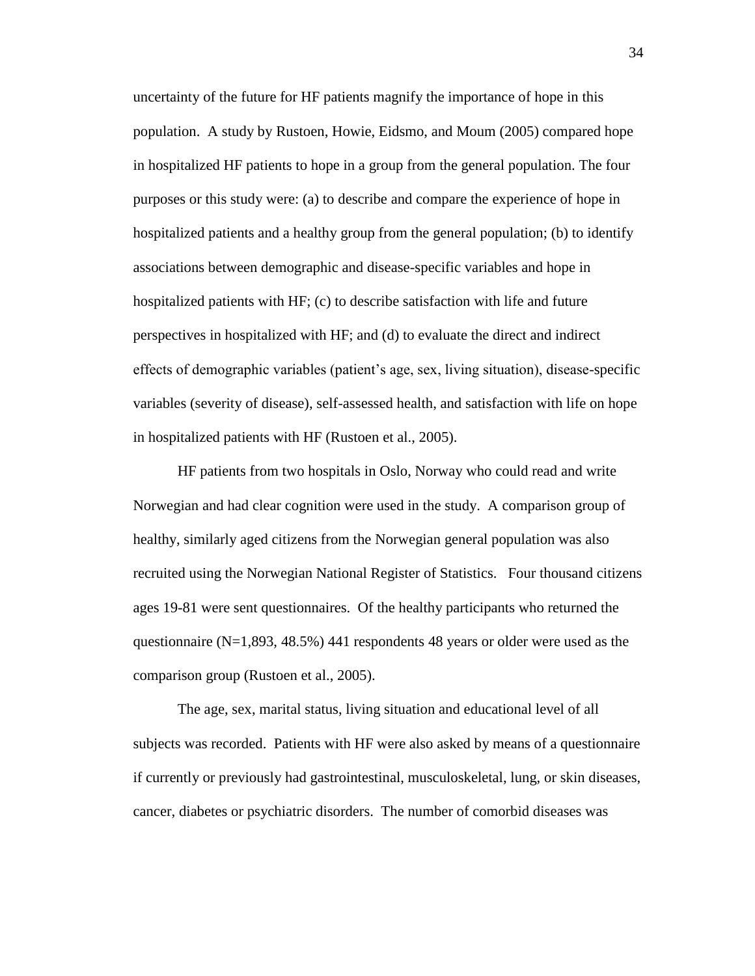uncertainty of the future for HF patients magnify the importance of hope in this population. A study by Rustoen, Howie, Eidsmo, and Moum (2005) compared hope in hospitalized HF patients to hope in a group from the general population. The four purposes or this study were: (a) to describe and compare the experience of hope in hospitalized patients and a healthy group from the general population; (b) to identify associations between demographic and disease-specific variables and hope in hospitalized patients with HF; (c) to describe satisfaction with life and future perspectives in hospitalized with HF; and (d) to evaluate the direct and indirect effects of demographic variables (patient's age, sex, living situation), disease-specific variables (severity of disease), self-assessed health, and satisfaction with life on hope in hospitalized patients with HF (Rustoen et al., 2005).

HF patients from two hospitals in Oslo, Norway who could read and write Norwegian and had clear cognition were used in the study. A comparison group of healthy, similarly aged citizens from the Norwegian general population was also recruited using the Norwegian National Register of Statistics. Four thousand citizens ages 19-81 were sent questionnaires. Of the healthy participants who returned the questionnaire ( $N=1,893, 48.5\%$ ) 441 respondents 48 years or older were used as the comparison group (Rustoen et al., 2005).

The age, sex, marital status, living situation and educational level of all subjects was recorded. Patients with HF were also asked by means of a questionnaire if currently or previously had gastrointestinal, musculoskeletal, lung, or skin diseases, cancer, diabetes or psychiatric disorders. The number of comorbid diseases was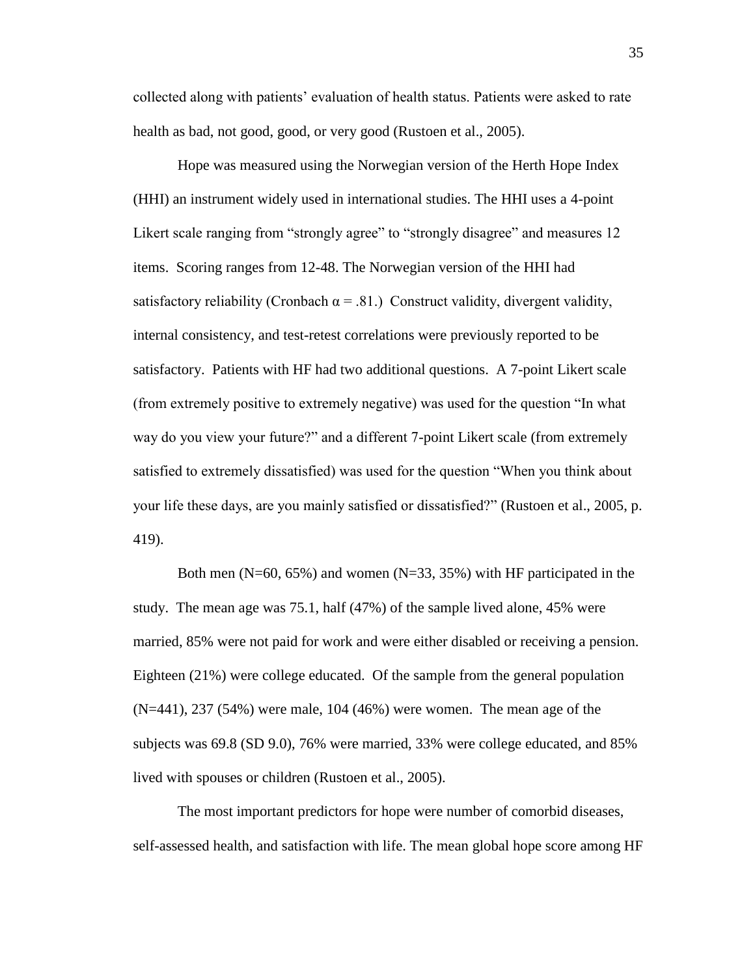collected along with patients' evaluation of health status. Patients were asked to rate health as bad, not good, good, or very good (Rustoen et al., 2005).

Hope was measured using the Norwegian version of the Herth Hope Index (HHI) an instrument widely used in international studies. The HHI uses a 4-point Likert scale ranging from "strongly agree" to "strongly disagree" and measures 12 items. Scoring ranges from 12-48. The Norwegian version of the HHI had satisfactory reliability (Cronbach  $\alpha$  = .81.) Construct validity, divergent validity, internal consistency, and test-retest correlations were previously reported to be satisfactory. Patients with HF had two additional questions. A 7-point Likert scale (from extremely positive to extremely negative) was used for the question "In what way do you view your future?" and a different 7-point Likert scale (from extremely satisfied to extremely dissatisfied) was used for the question "When you think about your life these days, are you mainly satisfied or dissatisfied?" (Rustoen et al., 2005, p. 419).

Both men (N=60, 65%) and women (N=33, 35%) with HF participated in the study. The mean age was 75.1, half (47%) of the sample lived alone, 45% were married, 85% were not paid for work and were either disabled or receiving a pension. Eighteen (21%) were college educated. Of the sample from the general population (N=441), 237 (54%) were male, 104 (46%) were women. The mean age of the subjects was 69.8 (SD 9.0), 76% were married, 33% were college educated, and 85% lived with spouses or children (Rustoen et al., 2005).

The most important predictors for hope were number of comorbid diseases, self-assessed health, and satisfaction with life. The mean global hope score among HF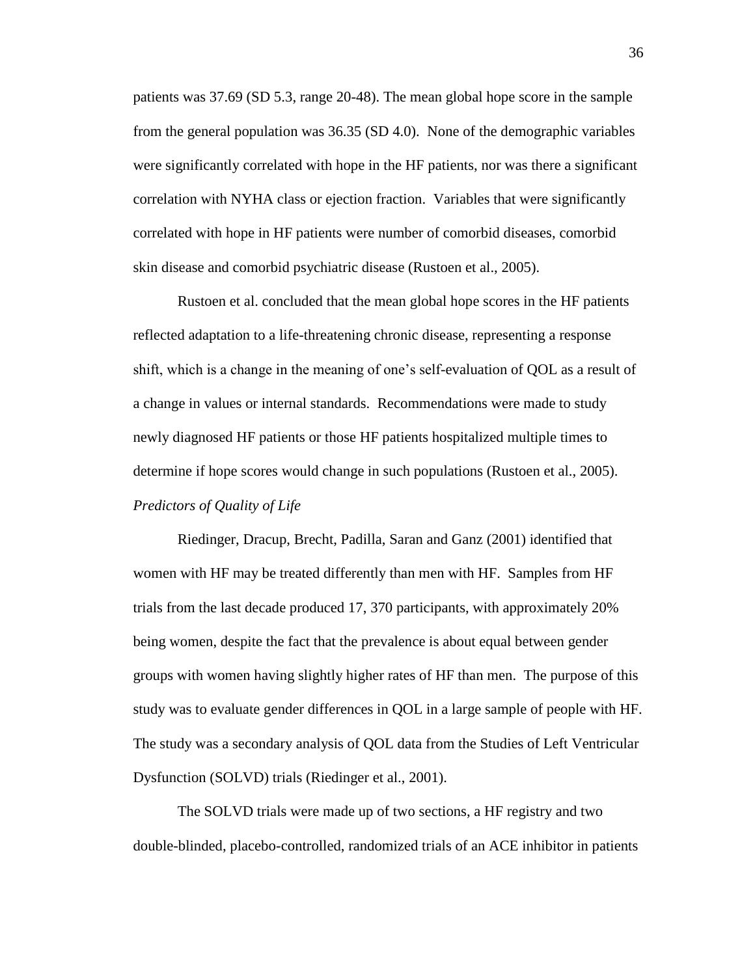patients was 37.69 (SD 5.3, range 20-48). The mean global hope score in the sample from the general population was 36.35 (SD 4.0). None of the demographic variables were significantly correlated with hope in the HF patients, nor was there a significant correlation with NYHA class or ejection fraction. Variables that were significantly correlated with hope in HF patients were number of comorbid diseases, comorbid skin disease and comorbid psychiatric disease (Rustoen et al., 2005).

Rustoen et al. concluded that the mean global hope scores in the HF patients reflected adaptation to a life-threatening chronic disease, representing a response shift, which is a change in the meaning of one's self-evaluation of QOL as a result of a change in values or internal standards. Recommendations were made to study newly diagnosed HF patients or those HF patients hospitalized multiple times to determine if hope scores would change in such populations (Rustoen et al., 2005). *Predictors of Quality of Life*

Riedinger, Dracup, Brecht, Padilla, Saran and Ganz (2001) identified that women with HF may be treated differently than men with HF. Samples from HF trials from the last decade produced 17, 370 participants, with approximately 20% being women, despite the fact that the prevalence is about equal between gender groups with women having slightly higher rates of HF than men. The purpose of this study was to evaluate gender differences in QOL in a large sample of people with HF. The study was a secondary analysis of QOL data from the Studies of Left Ventricular Dysfunction (SOLVD) trials (Riedinger et al., 2001).

The SOLVD trials were made up of two sections, a HF registry and two double-blinded, placebo-controlled, randomized trials of an ACE inhibitor in patients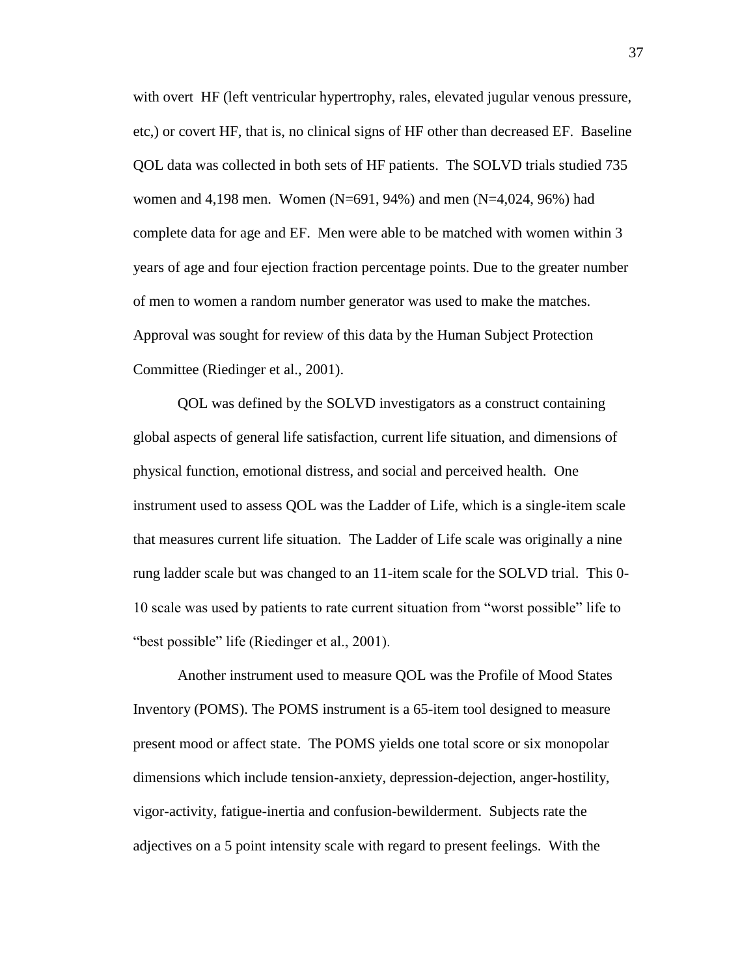with overt HF (left ventricular hypertrophy, rales, elevated jugular venous pressure, etc,) or covert HF, that is, no clinical signs of HF other than decreased EF. Baseline QOL data was collected in both sets of HF patients. The SOLVD trials studied 735 women and 4,198 men. Women (N=691, 94%) and men (N=4,024, 96%) had complete data for age and EF. Men were able to be matched with women within 3 years of age and four ejection fraction percentage points. Due to the greater number of men to women a random number generator was used to make the matches. Approval was sought for review of this data by the Human Subject Protection Committee (Riedinger et al., 2001).

QOL was defined by the SOLVD investigators as a construct containing global aspects of general life satisfaction, current life situation, and dimensions of physical function, emotional distress, and social and perceived health. One instrument used to assess QOL was the Ladder of Life, which is a single-item scale that measures current life situation. The Ladder of Life scale was originally a nine rung ladder scale but was changed to an 11-item scale for the SOLVD trial. This 0- 10 scale was used by patients to rate current situation from "worst possible" life to "best possible" life (Riedinger et al., 2001).

Another instrument used to measure QOL was the Profile of Mood States Inventory (POMS). The POMS instrument is a 65-item tool designed to measure present mood or affect state. The POMS yields one total score or six monopolar dimensions which include tension-anxiety, depression-dejection, anger-hostility, vigor-activity, fatigue-inertia and confusion-bewilderment. Subjects rate the adjectives on a 5 point intensity scale with regard to present feelings. With the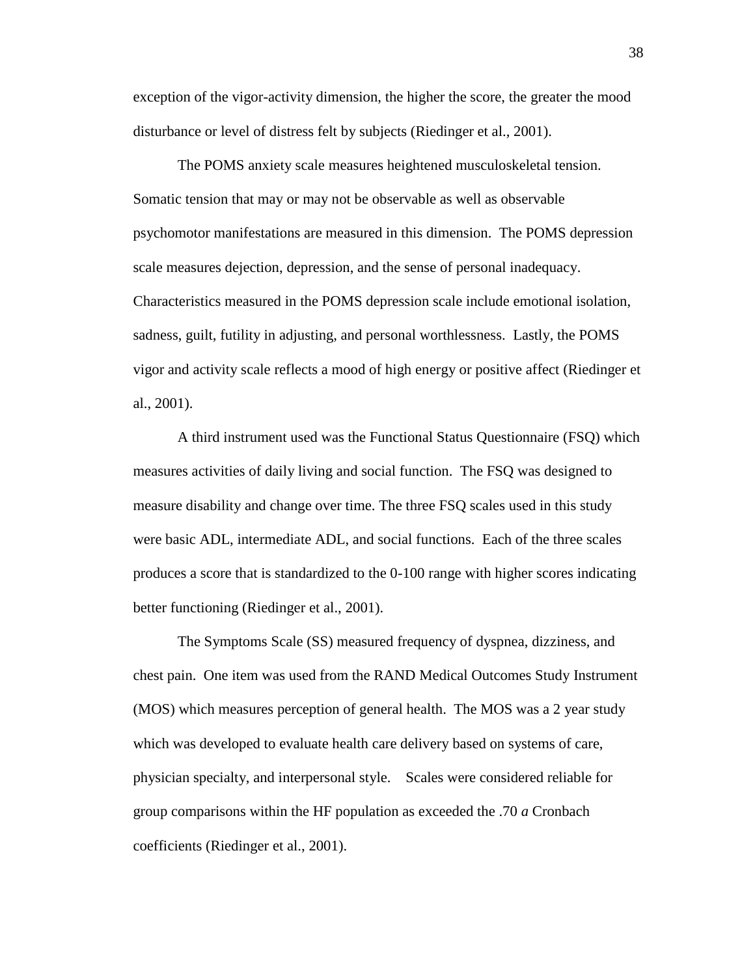exception of the vigor-activity dimension, the higher the score, the greater the mood disturbance or level of distress felt by subjects (Riedinger et al., 2001).

The POMS anxiety scale measures heightened musculoskeletal tension. Somatic tension that may or may not be observable as well as observable psychomotor manifestations are measured in this dimension. The POMS depression scale measures dejection, depression, and the sense of personal inadequacy. Characteristics measured in the POMS depression scale include emotional isolation, sadness, guilt, futility in adjusting, and personal worthlessness. Lastly, the POMS vigor and activity scale reflects a mood of high energy or positive affect (Riedinger et al., 2001).

A third instrument used was the Functional Status Questionnaire (FSQ) which measures activities of daily living and social function. The FSQ was designed to measure disability and change over time. The three FSQ scales used in this study were basic ADL, intermediate ADL, and social functions. Each of the three scales produces a score that is standardized to the 0-100 range with higher scores indicating better functioning (Riedinger et al., 2001).

The Symptoms Scale (SS) measured frequency of dyspnea, dizziness, and chest pain. One item was used from the RAND Medical Outcomes Study Instrument (MOS) which measures perception of general health. The MOS was a 2 year study which was developed to evaluate health care delivery based on systems of care, physician specialty, and interpersonal style. Scales were considered reliable for group comparisons within the HF population as exceeded the .70 *a* Cronbach coefficients (Riedinger et al., 2001).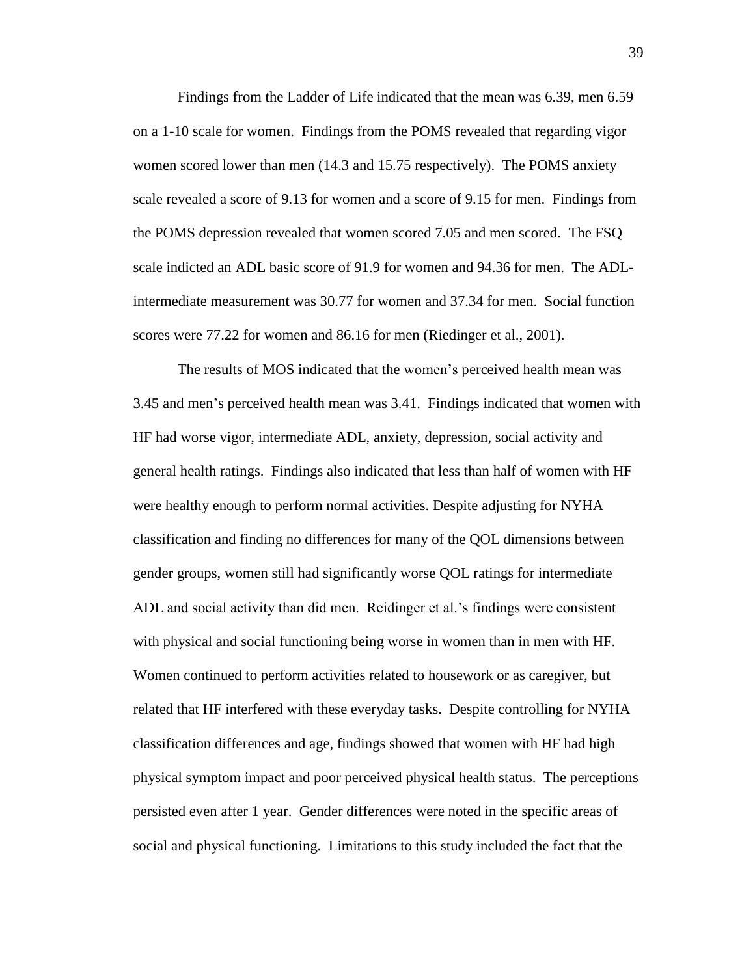Findings from the Ladder of Life indicated that the mean was 6.39, men 6.59 on a 1-10 scale for women. Findings from the POMS revealed that regarding vigor women scored lower than men (14.3 and 15.75 respectively). The POMS anxiety scale revealed a score of 9.13 for women and a score of 9.15 for men. Findings from the POMS depression revealed that women scored 7.05 and men scored. The FSQ scale indicted an ADL basic score of 91.9 for women and 94.36 for men. The ADLintermediate measurement was 30.77 for women and 37.34 for men. Social function scores were 77.22 for women and 86.16 for men (Riedinger et al., 2001).

The results of MOS indicated that the women's perceived health mean was 3.45 and men's perceived health mean was 3.41. Findings indicated that women with HF had worse vigor, intermediate ADL, anxiety, depression, social activity and general health ratings. Findings also indicated that less than half of women with HF were healthy enough to perform normal activities. Despite adjusting for NYHA classification and finding no differences for many of the QOL dimensions between gender groups, women still had significantly worse QOL ratings for intermediate ADL and social activity than did men. Reidinger et al.'s findings were consistent with physical and social functioning being worse in women than in men with HF. Women continued to perform activities related to housework or as caregiver, but related that HF interfered with these everyday tasks. Despite controlling for NYHA classification differences and age, findings showed that women with HF had high physical symptom impact and poor perceived physical health status. The perceptions persisted even after 1 year. Gender differences were noted in the specific areas of social and physical functioning. Limitations to this study included the fact that the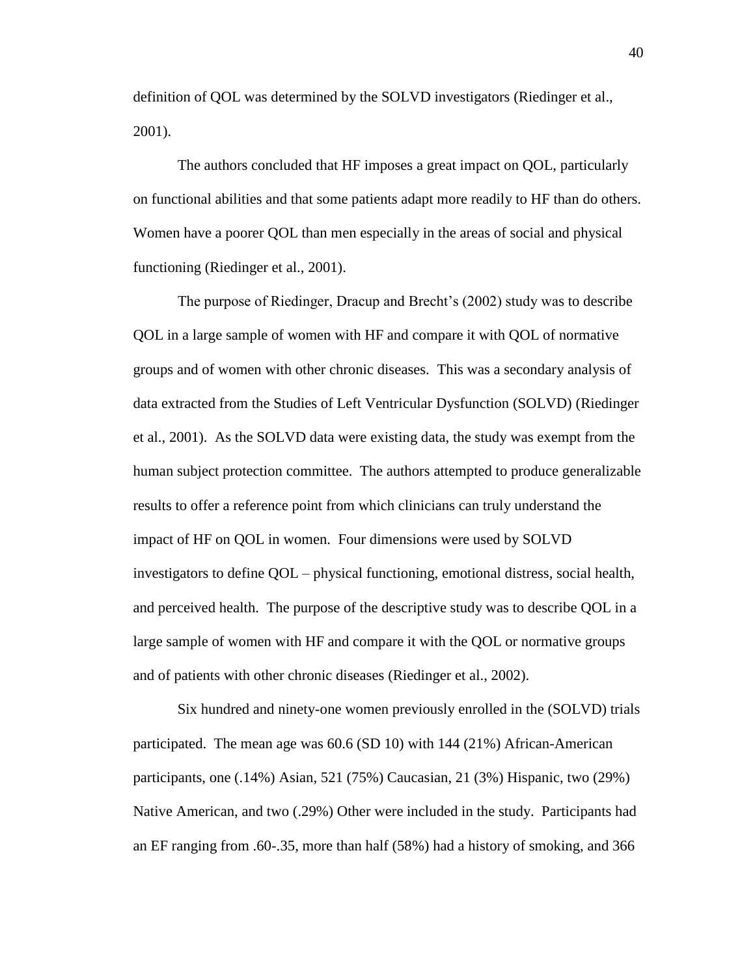definition of QOL was determined by the SOLVD investigators (Riedinger et al., 2001).

The authors concluded that HF imposes a great impact on QOL, particularly on functional abilities and that some patients adapt more readily to HF than do others. Women have a poorer QOL than men especially in the areas of social and physical functioning (Riedinger et al., 2001).

The purpose of Riedinger, Dracup and Brecht's (2002) study was to describe QOL in a large sample of women with HF and compare it with QOL of normative groups and of women with other chronic diseases. This was a secondary analysis of data extracted from the Studies of Left Ventricular Dysfunction (SOLVD) (Riedinger et al., 2001). As the SOLVD data were existing data, the study was exempt from the human subject protection committee. The authors attempted to produce generalizable results to offer a reference point from which clinicians can truly understand the impact of HF on QOL in women. Four dimensions were used by SOLVD investigators to define QOL – physical functioning, emotional distress, social health, and perceived health. The purpose of the descriptive study was to describe QOL in a large sample of women with HF and compare it with the QOL or normative groups and of patients with other chronic diseases (Riedinger et al., 2002).

Six hundred and ninety-one women previously enrolled in the (SOLVD) trials participated. The mean age was 60.6 (SD 10) with 144 (21%) African-American participants, one (.14%) Asian, 521 (75%) Caucasian, 21 (3%) Hispanic, two (29%) Native American, and two (.29%) Other were included in the study. Participants had an EF ranging from .60-.35, more than half (58%) had a history of smoking, and 366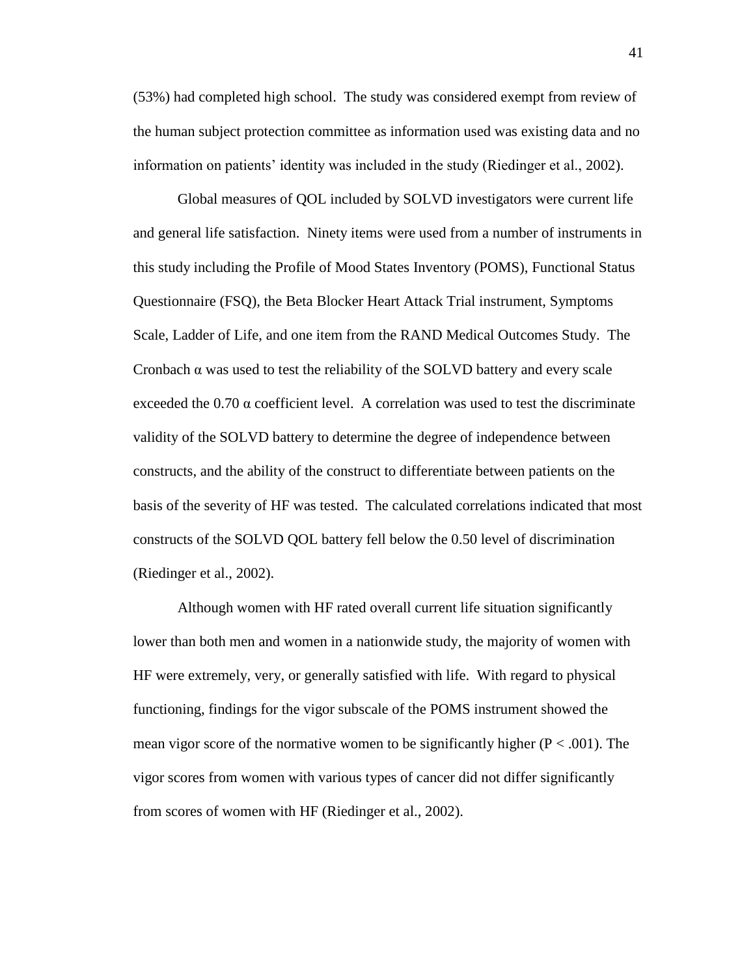(53%) had completed high school. The study was considered exempt from review of the human subject protection committee as information used was existing data and no information on patients' identity was included in the study (Riedinger et al., 2002).

Global measures of QOL included by SOLVD investigators were current life and general life satisfaction. Ninety items were used from a number of instruments in this study including the Profile of Mood States Inventory (POMS), Functional Status Questionnaire (FSQ), the Beta Blocker Heart Attack Trial instrument, Symptoms Scale, Ladder of Life, and one item from the RAND Medical Outcomes Study. The Cronbach  $\alpha$  was used to test the reliability of the SOLVD battery and every scale exceeded the  $0.70 \alpha$  coefficient level. A correlation was used to test the discriminate validity of the SOLVD battery to determine the degree of independence between constructs, and the ability of the construct to differentiate between patients on the basis of the severity of HF was tested. The calculated correlations indicated that most constructs of the SOLVD QOL battery fell below the 0.50 level of discrimination (Riedinger et al., 2002).

Although women with HF rated overall current life situation significantly lower than both men and women in a nationwide study, the majority of women with HF were extremely, very, or generally satisfied with life. With regard to physical functioning, findings for the vigor subscale of the POMS instrument showed the mean vigor score of the normative women to be significantly higher  $(P < .001)$ . The vigor scores from women with various types of cancer did not differ significantly from scores of women with HF (Riedinger et al., 2002).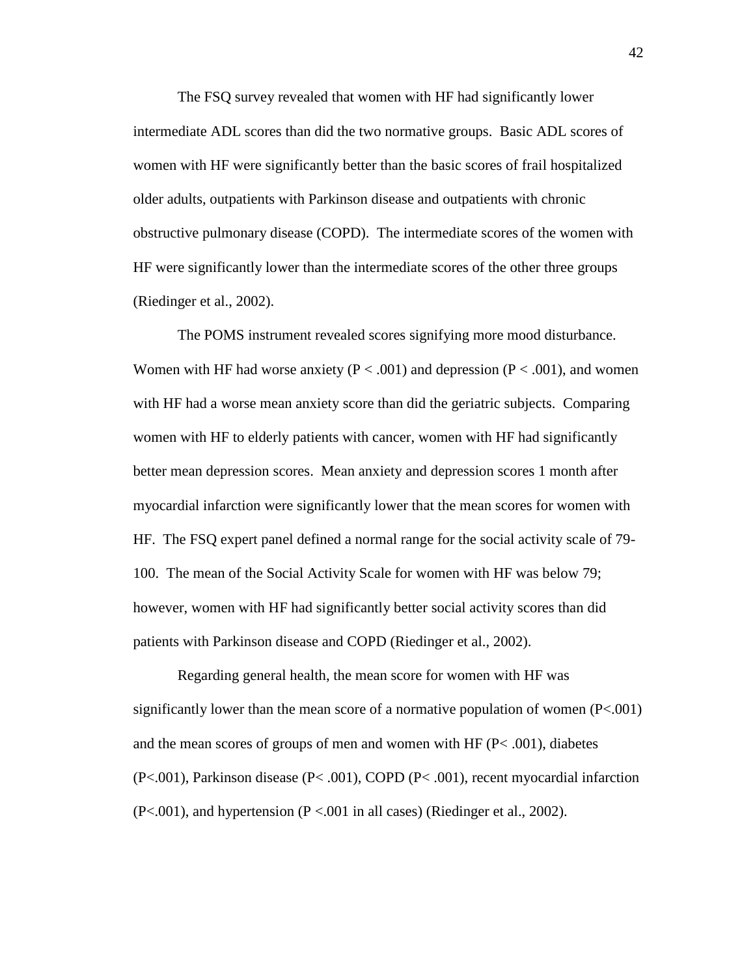The FSQ survey revealed that women with HF had significantly lower intermediate ADL scores than did the two normative groups. Basic ADL scores of women with HF were significantly better than the basic scores of frail hospitalized older adults, outpatients with Parkinson disease and outpatients with chronic obstructive pulmonary disease (COPD). The intermediate scores of the women with HF were significantly lower than the intermediate scores of the other three groups (Riedinger et al., 2002).

The POMS instrument revealed scores signifying more mood disturbance. Women with HF had worse anxiety ( $P < .001$ ) and depression ( $P < .001$ ), and women with HF had a worse mean anxiety score than did the geriatric subjects. Comparing women with HF to elderly patients with cancer, women with HF had significantly better mean depression scores. Mean anxiety and depression scores 1 month after myocardial infarction were significantly lower that the mean scores for women with HF. The FSQ expert panel defined a normal range for the social activity scale of 79- 100. The mean of the Social Activity Scale for women with HF was below 79; however, women with HF had significantly better social activity scores than did patients with Parkinson disease and COPD (Riedinger et al., 2002).

Regarding general health, the mean score for women with HF was significantly lower than the mean score of a normative population of women  $(P<.001)$ and the mean scores of groups of men and women with HF  $(P< .001)$ , diabetes (P<.001), Parkinson disease (P< .001), COPD (P< .001), recent myocardial infarction  $(P<.001)$ , and hypertension  $(P < .001$  in all cases) (Riedinger et al., 2002).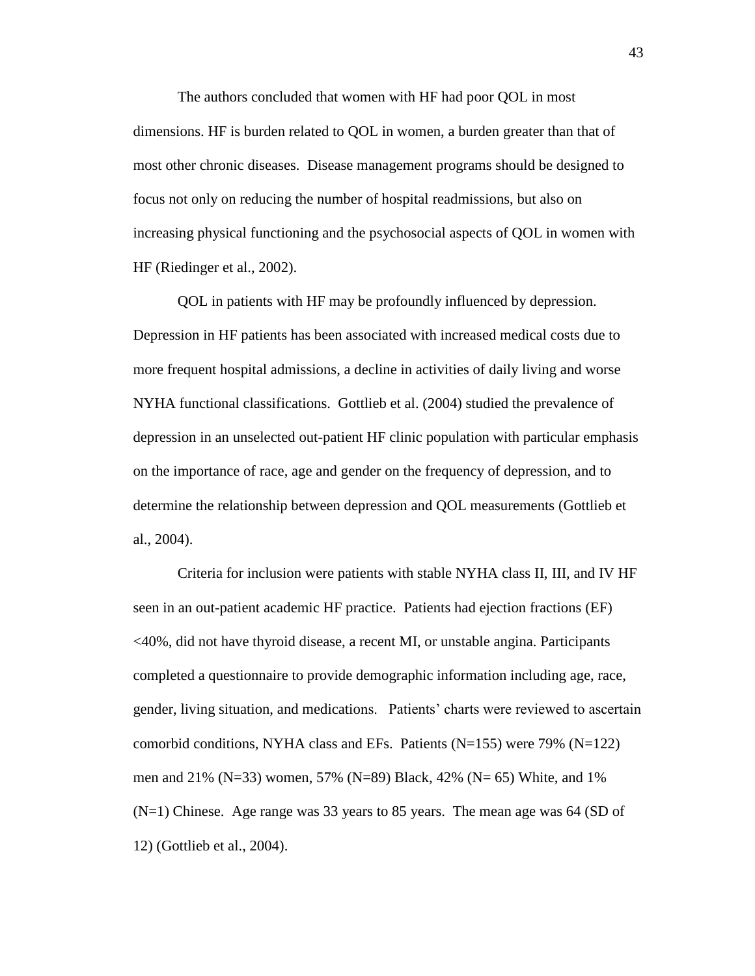The authors concluded that women with HF had poor QOL in most dimensions. HF is burden related to QOL in women, a burden greater than that of most other chronic diseases. Disease management programs should be designed to focus not only on reducing the number of hospital readmissions, but also on increasing physical functioning and the psychosocial aspects of QOL in women with HF (Riedinger et al., 2002).

QOL in patients with HF may be profoundly influenced by depression. Depression in HF patients has been associated with increased medical costs due to more frequent hospital admissions, a decline in activities of daily living and worse NYHA functional classifications. Gottlieb et al. (2004) studied the prevalence of depression in an unselected out-patient HF clinic population with particular emphasis on the importance of race, age and gender on the frequency of depression, and to determine the relationship between depression and QOL measurements (Gottlieb et al., 2004).

Criteria for inclusion were patients with stable NYHA class II, III, and IV HF seen in an out-patient academic HF practice. Patients had ejection fractions (EF) <40%, did not have thyroid disease, a recent MI, or unstable angina. Participants completed a questionnaire to provide demographic information including age, race, gender, living situation, and medications. Patients' charts were reviewed to ascertain comorbid conditions, NYHA class and EFs. Patients  $(N=155)$  were 79%  $(N=122)$ men and 21% (N=33) women, 57% (N=89) Black, 42% (N= 65) White, and 1% (N=1) Chinese. Age range was 33 years to 85 years. The mean age was 64 (SD of 12) (Gottlieb et al., 2004).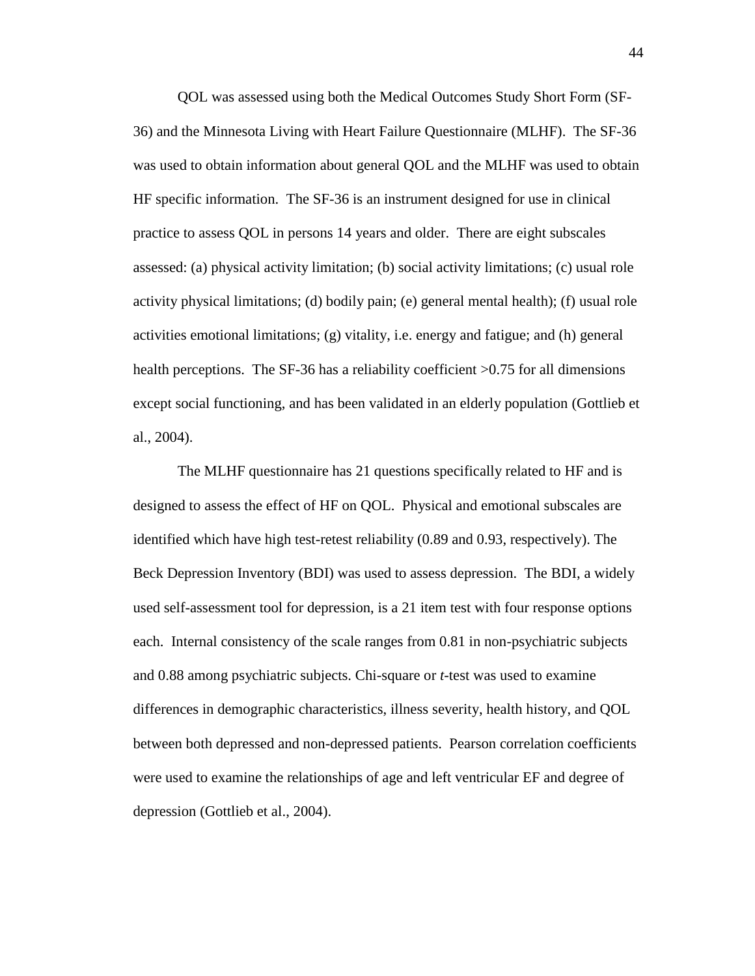QOL was assessed using both the Medical Outcomes Study Short Form (SF-36) and the Minnesota Living with Heart Failure Questionnaire (MLHF). The SF-36 was used to obtain information about general QOL and the MLHF was used to obtain HF specific information. The SF-36 is an instrument designed for use in clinical practice to assess QOL in persons 14 years and older. There are eight subscales assessed: (a) physical activity limitation; (b) social activity limitations; (c) usual role activity physical limitations; (d) bodily pain; (e) general mental health); (f) usual role activities emotional limitations; (g) vitality, i.e. energy and fatigue; and (h) general health perceptions. The SF-36 has a reliability coefficient  $>0.75$  for all dimensions except social functioning, and has been validated in an elderly population (Gottlieb et al., 2004).

 The MLHF questionnaire has 21 questions specifically related to HF and is designed to assess the effect of HF on QOL. Physical and emotional subscales are identified which have high test-retest reliability (0.89 and 0.93, respectively). The Beck Depression Inventory (BDI) was used to assess depression. The BDI, a widely used self-assessment tool for depression, is a 21 item test with four response options each. Internal consistency of the scale ranges from 0.81 in non-psychiatric subjects and 0.88 among psychiatric subjects. Chi-square or *t-*test was used to examine differences in demographic characteristics, illness severity, health history, and QOL between both depressed and non-depressed patients. Pearson correlation coefficients were used to examine the relationships of age and left ventricular EF and degree of depression (Gottlieb et al., 2004).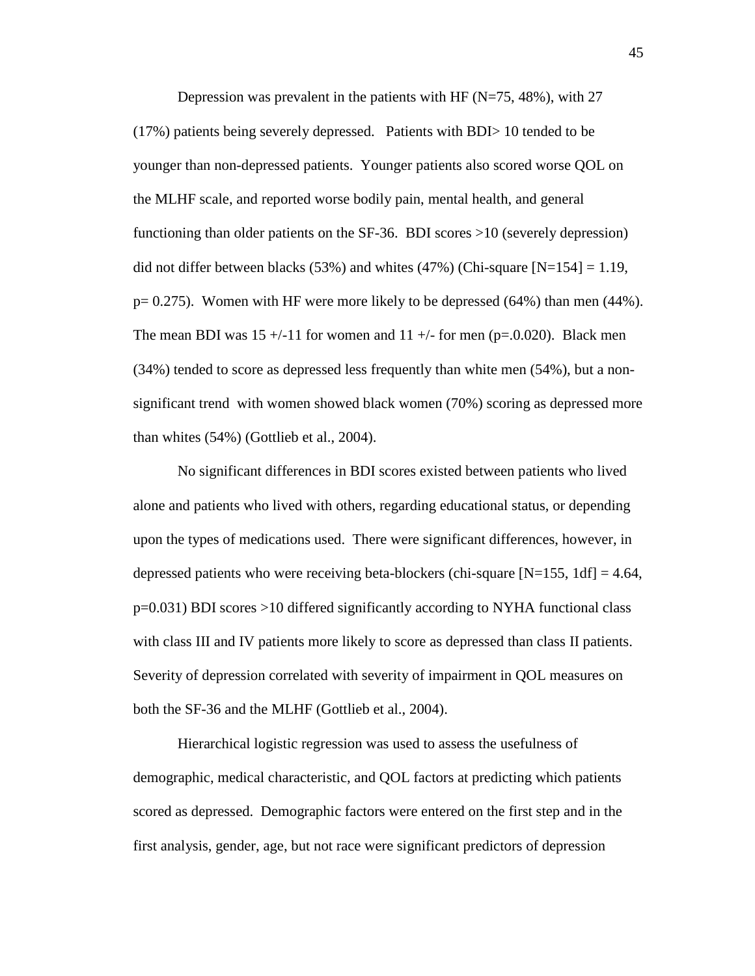Depression was prevalent in the patients with HF ( $N=75, 48\%$ ), with 27 (17%) patients being severely depressed. Patients with BDI> 10 tended to be younger than non-depressed patients. Younger patients also scored worse QOL on the MLHF scale, and reported worse bodily pain, mental health, and general functioning than older patients on the SF-36. BDI scores >10 (severely depression) did not differ between blacks (53%) and whites (47%) (Chi-square  $[N=154] = 1.19$ ,  $p= 0.275$ ). Women with HF were more likely to be depressed (64%) than men (44%). The mean BDI was  $15 + (-11)$  for women and  $11 + (-1)$  for men (p=.0.020). Black men (34%) tended to score as depressed less frequently than white men (54%), but a nonsignificant trend with women showed black women (70%) scoring as depressed more than whites (54%) (Gottlieb et al., 2004).

No significant differences in BDI scores existed between patients who lived alone and patients who lived with others, regarding educational status, or depending upon the types of medications used. There were significant differences, however, in depressed patients who were receiving beta-blockers (chi-square  $[N=155, 1df] = 4.64$ , p=0.031) BDI scores >10 differed significantly according to NYHA functional class with class III and IV patients more likely to score as depressed than class II patients. Severity of depression correlated with severity of impairment in QOL measures on both the SF-36 and the MLHF (Gottlieb et al., 2004).

Hierarchical logistic regression was used to assess the usefulness of demographic, medical characteristic, and QOL factors at predicting which patients scored as depressed. Demographic factors were entered on the first step and in the first analysis, gender, age, but not race were significant predictors of depression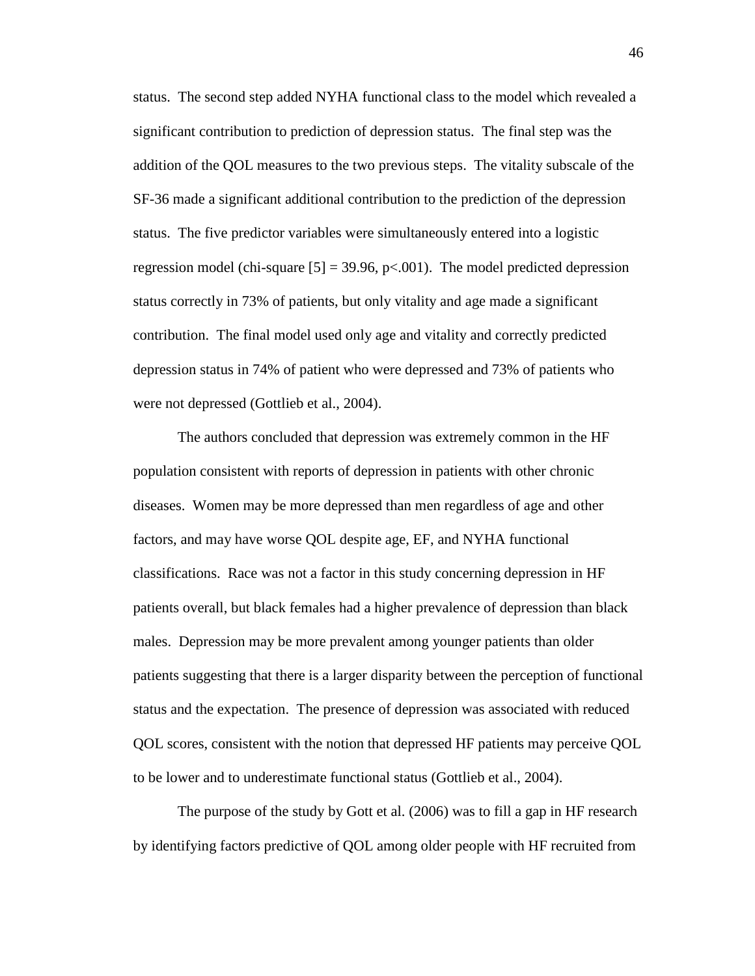status. The second step added NYHA functional class to the model which revealed a significant contribution to prediction of depression status. The final step was the addition of the QOL measures to the two previous steps. The vitality subscale of the SF-36 made a significant additional contribution to the prediction of the depression status. The five predictor variables were simultaneously entered into a logistic regression model (chi-square  $[5] = 39.96$ , p $\lt 0.001$ ). The model predicted depression status correctly in 73% of patients, but only vitality and age made a significant contribution. The final model used only age and vitality and correctly predicted depression status in 74% of patient who were depressed and 73% of patients who were not depressed (Gottlieb et al., 2004).

The authors concluded that depression was extremely common in the HF population consistent with reports of depression in patients with other chronic diseases. Women may be more depressed than men regardless of age and other factors, and may have worse QOL despite age, EF, and NYHA functional classifications. Race was not a factor in this study concerning depression in HF patients overall, but black females had a higher prevalence of depression than black males. Depression may be more prevalent among younger patients than older patients suggesting that there is a larger disparity between the perception of functional status and the expectation. The presence of depression was associated with reduced QOL scores, consistent with the notion that depressed HF patients may perceive QOL to be lower and to underestimate functional status (Gottlieb et al., 2004).

The purpose of the study by Gott et al. (2006) was to fill a gap in HF research by identifying factors predictive of QOL among older people with HF recruited from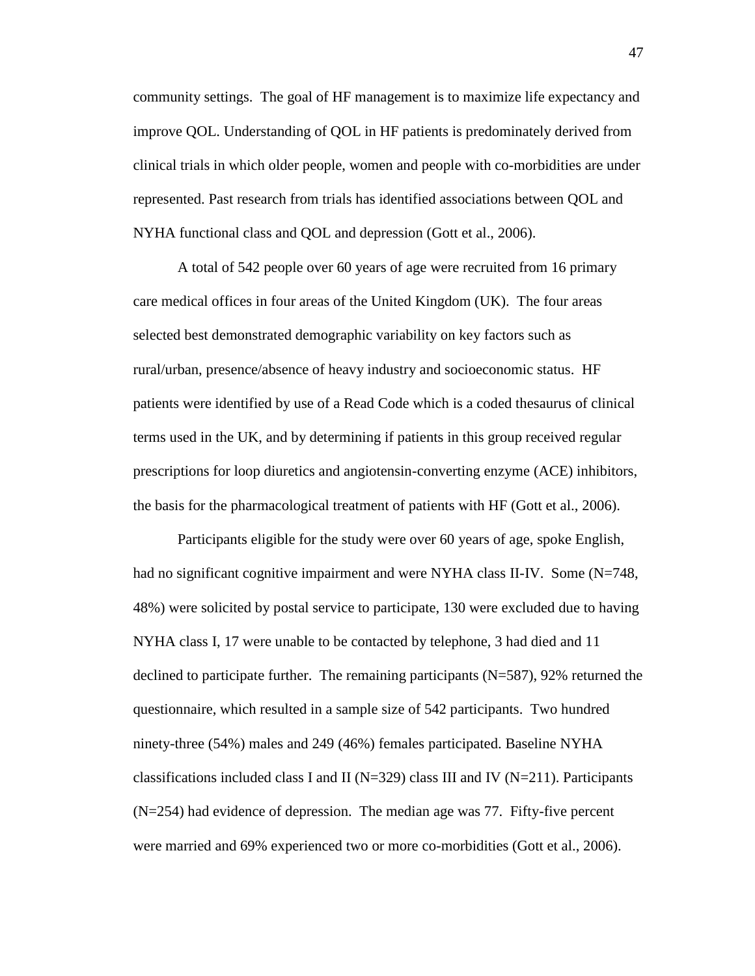community settings. The goal of HF management is to maximize life expectancy and improve QOL. Understanding of QOL in HF patients is predominately derived from clinical trials in which older people, women and people with co-morbidities are under represented. Past research from trials has identified associations between QOL and NYHA functional class and QOL and depression (Gott et al., 2006).

A total of 542 people over 60 years of age were recruited from 16 primary care medical offices in four areas of the United Kingdom (UK). The four areas selected best demonstrated demographic variability on key factors such as rural/urban, presence/absence of heavy industry and socioeconomic status. HF patients were identified by use of a Read Code which is a coded thesaurus of clinical terms used in the UK, and by determining if patients in this group received regular prescriptions for loop diuretics and angiotensin-converting enzyme (ACE) inhibitors, the basis for the pharmacological treatment of patients with HF (Gott et al., 2006).

Participants eligible for the study were over 60 years of age, spoke English, had no significant cognitive impairment and were NYHA class II-IV. Some (N=748, 48%) were solicited by postal service to participate, 130 were excluded due to having NYHA class I, 17 were unable to be contacted by telephone, 3 had died and 11 declined to participate further. The remaining participants  $(N=587)$ , 92% returned the questionnaire, which resulted in a sample size of 542 participants. Two hundred ninety-three (54%) males and 249 (46%) females participated. Baseline NYHA classifications included class I and II ( $N=329$ ) class III and IV ( $N=211$ ). Participants (N=254) had evidence of depression. The median age was 77. Fifty-five percent were married and 69% experienced two or more co-morbidities (Gott et al., 2006).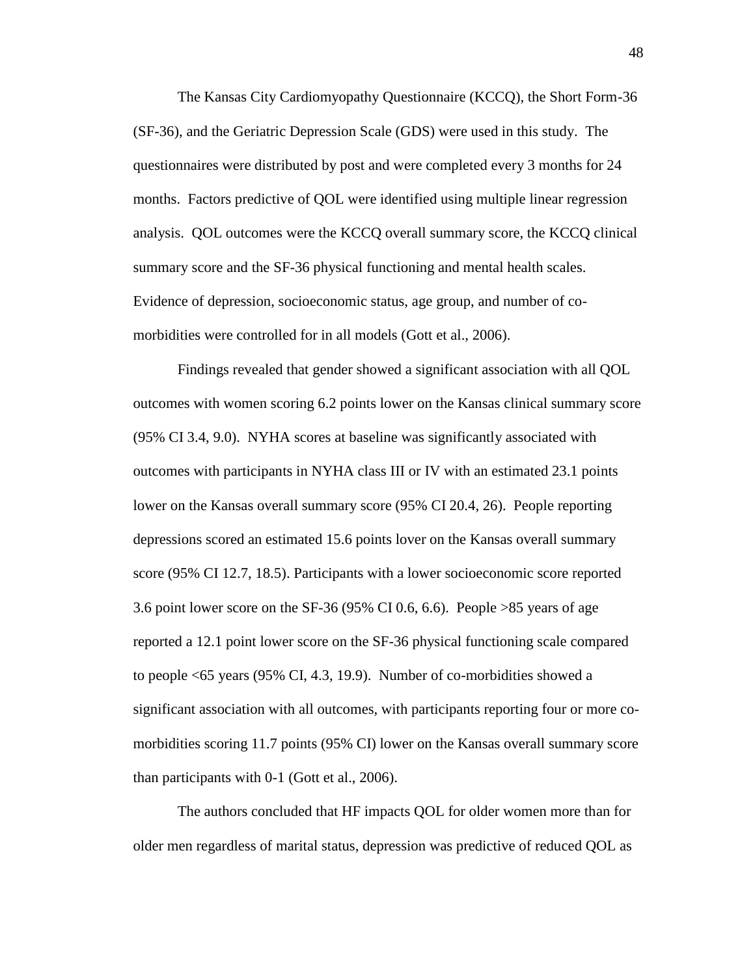The Kansas City Cardiomyopathy Questionnaire (KCCQ), the Short Form-36 (SF-36), and the Geriatric Depression Scale (GDS) were used in this study. The questionnaires were distributed by post and were completed every 3 months for 24 months. Factors predictive of QOL were identified using multiple linear regression analysis. QOL outcomes were the KCCQ overall summary score, the KCCQ clinical summary score and the SF-36 physical functioning and mental health scales. Evidence of depression, socioeconomic status, age group, and number of comorbidities were controlled for in all models (Gott et al., 2006).

Findings revealed that gender showed a significant association with all QOL outcomes with women scoring 6.2 points lower on the Kansas clinical summary score (95% CI 3.4, 9.0). NYHA scores at baseline was significantly associated with outcomes with participants in NYHA class III or IV with an estimated 23.1 points lower on the Kansas overall summary score (95% CI 20.4, 26). People reporting depressions scored an estimated 15.6 points lover on the Kansas overall summary score (95% CI 12.7, 18.5). Participants with a lower socioeconomic score reported 3.6 point lower score on the SF-36 (95% CI 0.6, 6.6). People >85 years of age reported a 12.1 point lower score on the SF-36 physical functioning scale compared to people <65 years (95% CI, 4.3, 19.9). Number of co-morbidities showed a significant association with all outcomes, with participants reporting four or more comorbidities scoring 11.7 points (95% CI) lower on the Kansas overall summary score than participants with 0-1 (Gott et al., 2006).

The authors concluded that HF impacts QOL for older women more than for older men regardless of marital status, depression was predictive of reduced QOL as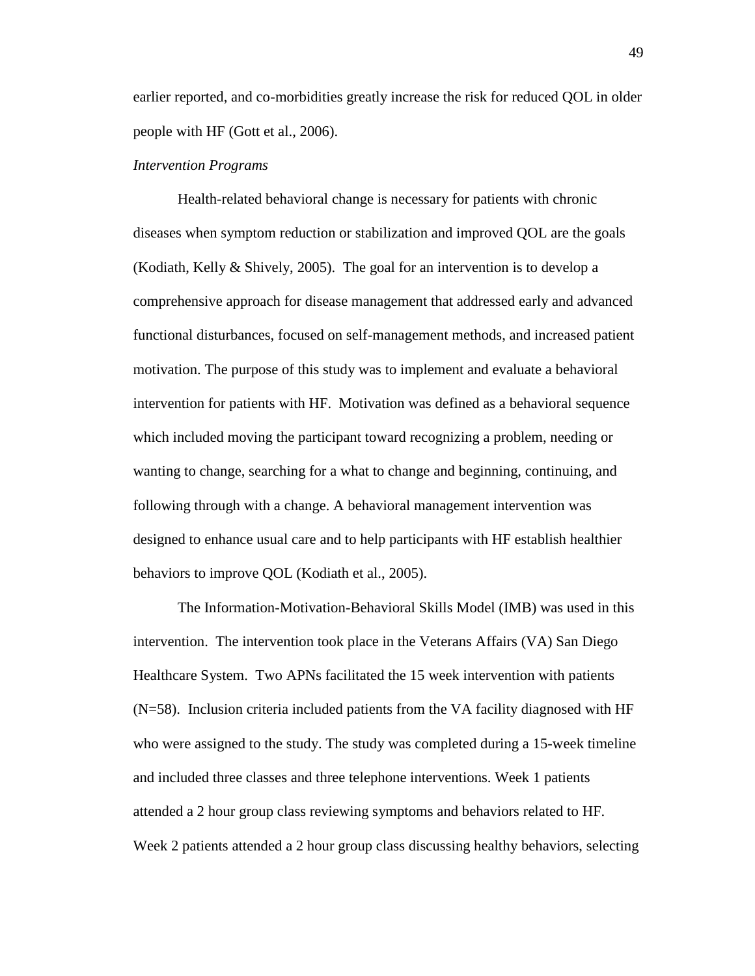earlier reported, and co-morbidities greatly increase the risk for reduced QOL in older people with HF (Gott et al., 2006).

### *Intervention Programs*

Health-related behavioral change is necessary for patients with chronic diseases when symptom reduction or stabilization and improved QOL are the goals (Kodiath, Kelly & Shively, 2005). The goal for an intervention is to develop a comprehensive approach for disease management that addressed early and advanced functional disturbances, focused on self-management methods, and increased patient motivation. The purpose of this study was to implement and evaluate a behavioral intervention for patients with HF. Motivation was defined as a behavioral sequence which included moving the participant toward recognizing a problem, needing or wanting to change, searching for a what to change and beginning, continuing, and following through with a change. A behavioral management intervention was designed to enhance usual care and to help participants with HF establish healthier behaviors to improve QOL (Kodiath et al., 2005).

The Information-Motivation-Behavioral Skills Model (IMB) was used in this intervention. The intervention took place in the Veterans Affairs (VA) San Diego Healthcare System. Two APNs facilitated the 15 week intervention with patients (N=58). Inclusion criteria included patients from the VA facility diagnosed with HF who were assigned to the study. The study was completed during a 15-week timeline and included three classes and three telephone interventions. Week 1 patients attended a 2 hour group class reviewing symptoms and behaviors related to HF. Week 2 patients attended a 2 hour group class discussing healthy behaviors, selecting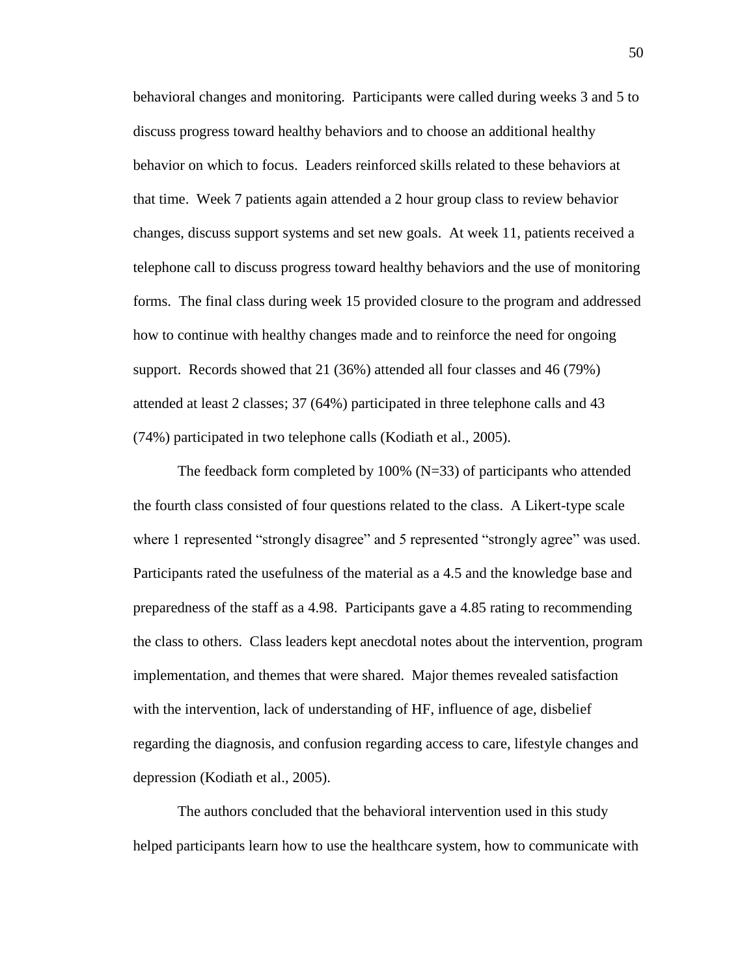behavioral changes and monitoring. Participants were called during weeks 3 and 5 to discuss progress toward healthy behaviors and to choose an additional healthy behavior on which to focus. Leaders reinforced skills related to these behaviors at that time. Week 7 patients again attended a 2 hour group class to review behavior changes, discuss support systems and set new goals. At week 11, patients received a telephone call to discuss progress toward healthy behaviors and the use of monitoring forms. The final class during week 15 provided closure to the program and addressed how to continue with healthy changes made and to reinforce the need for ongoing support. Records showed that 21 (36%) attended all four classes and 46 (79%) attended at least 2 classes; 37 (64%) participated in three telephone calls and 43 (74%) participated in two telephone calls (Kodiath et al., 2005).

The feedback form completed by  $100\%$  (N=33) of participants who attended the fourth class consisted of four questions related to the class. A Likert-type scale where 1 represented "strongly disagree" and 5 represented "strongly agree" was used. Participants rated the usefulness of the material as a 4.5 and the knowledge base and preparedness of the staff as a 4.98. Participants gave a 4.85 rating to recommending the class to others. Class leaders kept anecdotal notes about the intervention, program implementation, and themes that were shared. Major themes revealed satisfaction with the intervention, lack of understanding of HF, influence of age, disbelief regarding the diagnosis, and confusion regarding access to care, lifestyle changes and depression (Kodiath et al., 2005).

The authors concluded that the behavioral intervention used in this study helped participants learn how to use the healthcare system, how to communicate with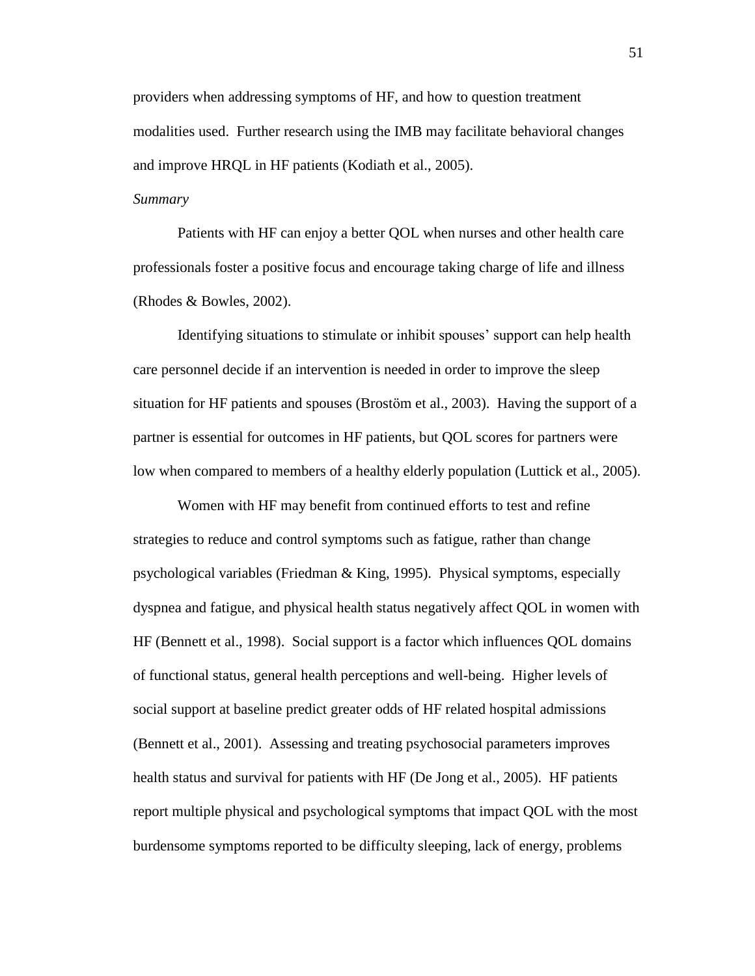providers when addressing symptoms of HF, and how to question treatment modalities used. Further research using the IMB may facilitate behavioral changes and improve HRQL in HF patients (Kodiath et al., 2005).

# *Summary*

Patients with HF can enjoy a better QOL when nurses and other health care professionals foster a positive focus and encourage taking charge of life and illness (Rhodes & Bowles, 2002).

Identifying situations to stimulate or inhibit spouses' support can help health care personnel decide if an intervention is needed in order to improve the sleep situation for HF patients and spouses (Brostöm et al., 2003). Having the support of a partner is essential for outcomes in HF patients, but QOL scores for partners were low when compared to members of a healthy elderly population (Luttick et al., 2005).

Women with HF may benefit from continued efforts to test and refine strategies to reduce and control symptoms such as fatigue, rather than change psychological variables (Friedman & King, 1995). Physical symptoms, especially dyspnea and fatigue, and physical health status negatively affect QOL in women with HF (Bennett et al., 1998). Social support is a factor which influences QOL domains of functional status, general health perceptions and well-being. Higher levels of social support at baseline predict greater odds of HF related hospital admissions (Bennett et al., 2001). Assessing and treating psychosocial parameters improves health status and survival for patients with HF (De Jong et al., 2005). HF patients report multiple physical and psychological symptoms that impact QOL with the most burdensome symptoms reported to be difficulty sleeping, lack of energy, problems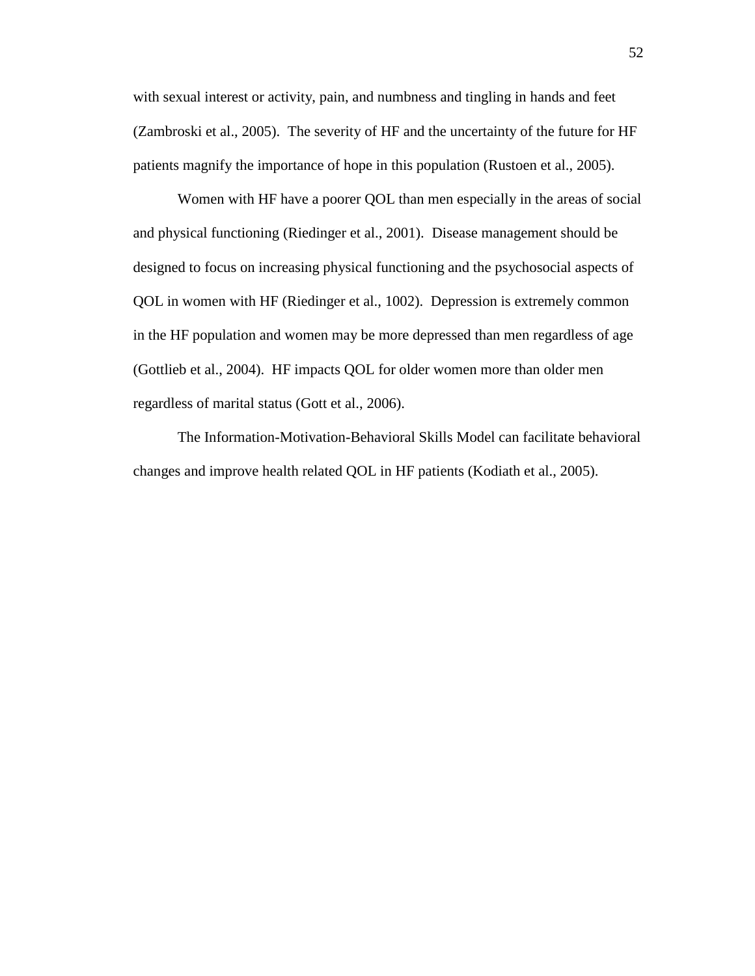with sexual interest or activity, pain, and numbness and tingling in hands and feet (Zambroski et al., 2005). The severity of HF and the uncertainty of the future for HF patients magnify the importance of hope in this population (Rustoen et al., 2005).

Women with HF have a poorer QOL than men especially in the areas of social and physical functioning (Riedinger et al., 2001). Disease management should be designed to focus on increasing physical functioning and the psychosocial aspects of QOL in women with HF (Riedinger et al., 1002). Depression is extremely common in the HF population and women may be more depressed than men regardless of age (Gottlieb et al., 2004). HF impacts QOL for older women more than older men regardless of marital status (Gott et al., 2006).

The Information-Motivation-Behavioral Skills Model can facilitate behavioral changes and improve health related QOL in HF patients (Kodiath et al., 2005).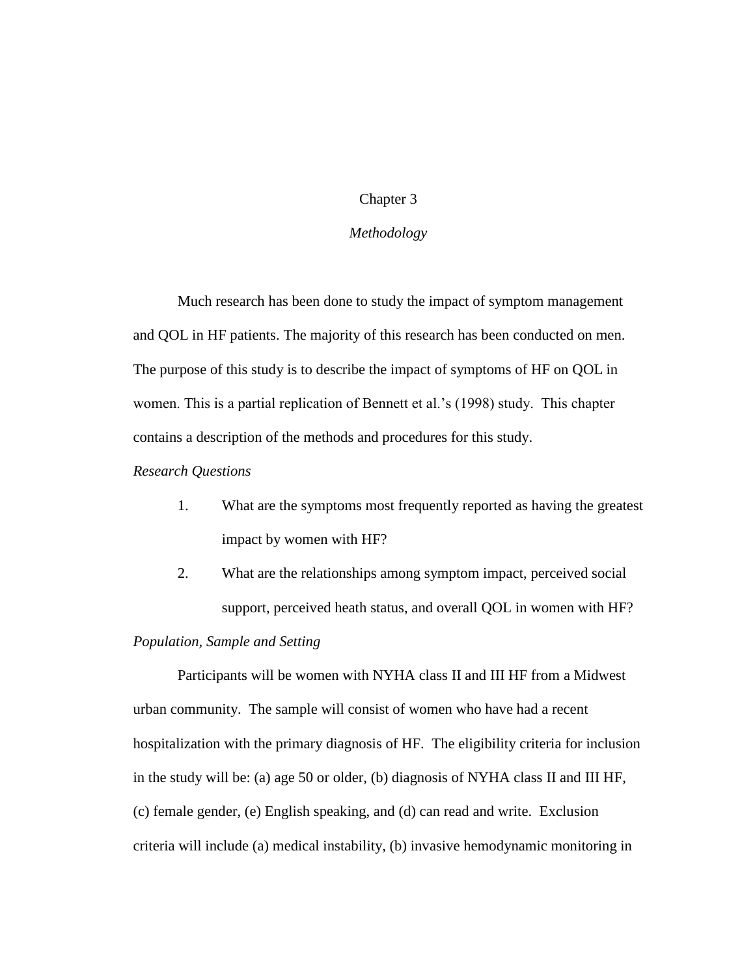# Chapter 3

## *Methodology*

Much research has been done to study the impact of symptom management and QOL in HF patients. The majority of this research has been conducted on men. The purpose of this study is to describe the impact of symptoms of HF on QOL in women. This is a partial replication of Bennett et al.'s (1998) study. This chapter contains a description of the methods and procedures for this study.

# *Research Questions*

- 1. What are the symptoms most frequently reported as having the greatest impact by women with HF?
- 2. What are the relationships among symptom impact, perceived social support, perceived heath status, and overall QOL in women with HF?

### *Population, Sample and Setting*

Participants will be women with NYHA class II and III HF from a Midwest urban community. The sample will consist of women who have had a recent hospitalization with the primary diagnosis of HF. The eligibility criteria for inclusion in the study will be: (a) age 50 or older, (b) diagnosis of NYHA class II and III HF, (c) female gender, (e) English speaking, and (d) can read and write. Exclusion criteria will include (a) medical instability, (b) invasive hemodynamic monitoring in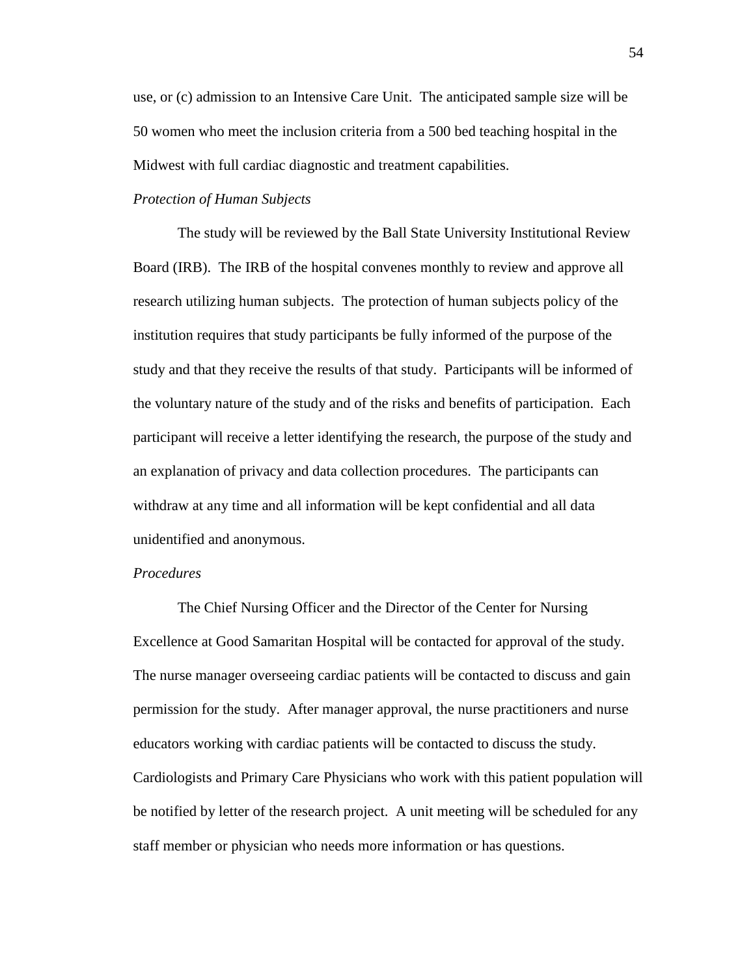use, or (c) admission to an Intensive Care Unit. The anticipated sample size will be 50 women who meet the inclusion criteria from a 500 bed teaching hospital in the Midwest with full cardiac diagnostic and treatment capabilities.

# *Protection of Human Subjects*

The study will be reviewed by the Ball State University Institutional Review Board (IRB). The IRB of the hospital convenes monthly to review and approve all research utilizing human subjects. The protection of human subjects policy of the institution requires that study participants be fully informed of the purpose of the study and that they receive the results of that study. Participants will be informed of the voluntary nature of the study and of the risks and benefits of participation. Each participant will receive a letter identifying the research, the purpose of the study and an explanation of privacy and data collection procedures. The participants can withdraw at any time and all information will be kept confidential and all data unidentified and anonymous.

## *Procedures*

The Chief Nursing Officer and the Director of the Center for Nursing Excellence at Good Samaritan Hospital will be contacted for approval of the study. The nurse manager overseeing cardiac patients will be contacted to discuss and gain permission for the study. After manager approval, the nurse practitioners and nurse educators working with cardiac patients will be contacted to discuss the study. Cardiologists and Primary Care Physicians who work with this patient population will be notified by letter of the research project. A unit meeting will be scheduled for any staff member or physician who needs more information or has questions.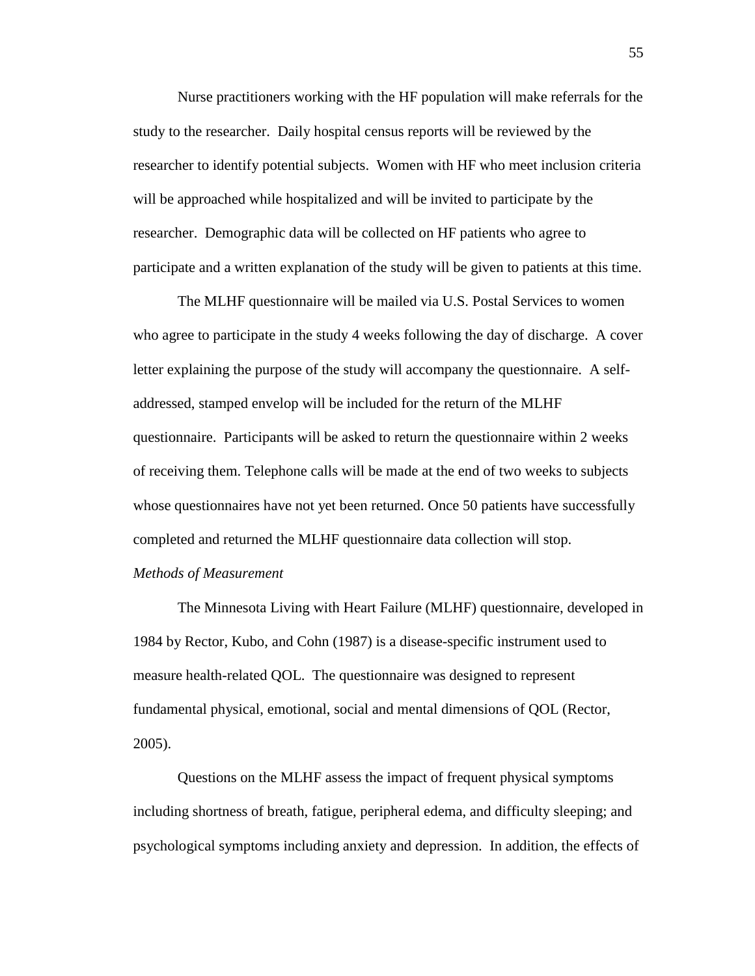Nurse practitioners working with the HF population will make referrals for the study to the researcher. Daily hospital census reports will be reviewed by the researcher to identify potential subjects. Women with HF who meet inclusion criteria will be approached while hospitalized and will be invited to participate by the researcher. Demographic data will be collected on HF patients who agree to participate and a written explanation of the study will be given to patients at this time.

The MLHF questionnaire will be mailed via U.S. Postal Services to women who agree to participate in the study 4 weeks following the day of discharge. A cover letter explaining the purpose of the study will accompany the questionnaire. A selfaddressed, stamped envelop will be included for the return of the MLHF questionnaire. Participants will be asked to return the questionnaire within 2 weeks of receiving them. Telephone calls will be made at the end of two weeks to subjects whose questionnaires have not yet been returned. Once 50 patients have successfully completed and returned the MLHF questionnaire data collection will stop.

## *Methods of Measurement*

The Minnesota Living with Heart Failure (MLHF) questionnaire, developed in 1984 by Rector, Kubo, and Cohn (1987) is a disease-specific instrument used to measure health-related QOL. The questionnaire was designed to represent fundamental physical, emotional, social and mental dimensions of QOL (Rector, 2005).

Questions on the MLHF assess the impact of frequent physical symptoms including shortness of breath, fatigue, peripheral edema, and difficulty sleeping; and psychological symptoms including anxiety and depression. In addition, the effects of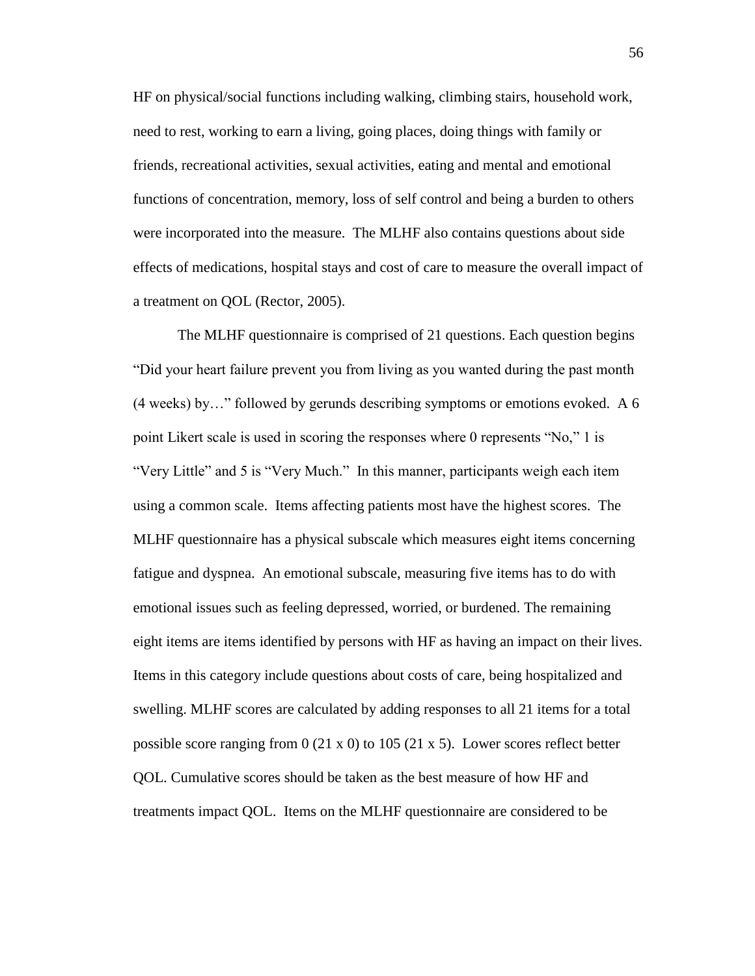HF on physical/social functions including walking, climbing stairs, household work, need to rest, working to earn a living, going places, doing things with family or friends, recreational activities, sexual activities, eating and mental and emotional functions of concentration, memory, loss of self control and being a burden to others were incorporated into the measure. The MLHF also contains questions about side effects of medications, hospital stays and cost of care to measure the overall impact of a treatment on QOL (Rector, 2005).

The MLHF questionnaire is comprised of 21 questions. Each question begins "Did your heart failure prevent you from living as you wanted during the past month (4 weeks) by…" followed by gerunds describing symptoms or emotions evoked. A 6 point Likert scale is used in scoring the responses where 0 represents "No," 1 is "Very Little" and 5 is "Very Much." In this manner, participants weigh each item using a common scale. Items affecting patients most have the highest scores. The MLHF questionnaire has a physical subscale which measures eight items concerning fatigue and dyspnea. An emotional subscale, measuring five items has to do with emotional issues such as feeling depressed, worried, or burdened. The remaining eight items are items identified by persons with HF as having an impact on their lives. Items in this category include questions about costs of care, being hospitalized and swelling. MLHF scores are calculated by adding responses to all 21 items for a total possible score ranging from  $0$  (21 x 0) to 105 (21 x 5). Lower scores reflect better QOL. Cumulative scores should be taken as the best measure of how HF and treatments impact QOL. Items on the MLHF questionnaire are considered to be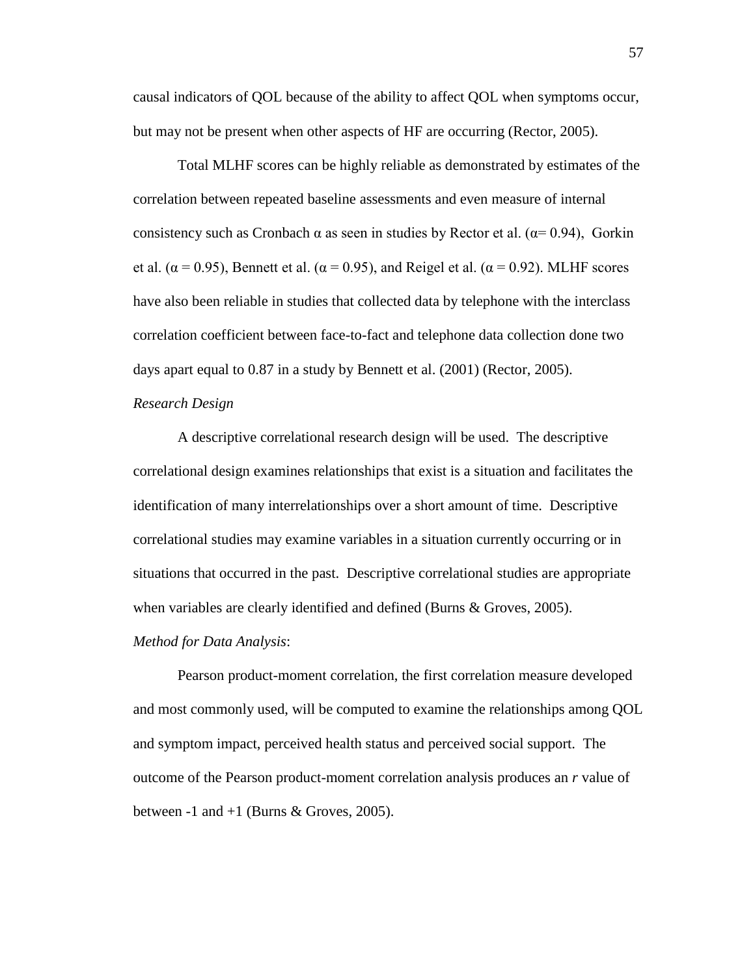causal indicators of QOL because of the ability to affect QOL when symptoms occur, but may not be present when other aspects of HF are occurring (Rector, 2005).

Total MLHF scores can be highly reliable as demonstrated by estimates of the correlation between repeated baseline assessments and even measure of internal consistency such as Cronbach  $\alpha$  as seen in studies by Rector et al. ( $\alpha$ = 0.94), Gorkin et al. ( $\alpha$  = 0.95), Bennett et al. ( $\alpha$  = 0.95), and Reigel et al. ( $\alpha$  = 0.92). MLHF scores have also been reliable in studies that collected data by telephone with the interclass correlation coefficient between face-to-fact and telephone data collection done two days apart equal to 0.87 in a study by Bennett et al. (2001) (Rector, 2005).

# *Research Design*

A descriptive correlational research design will be used. The descriptive correlational design examines relationships that exist is a situation and facilitates the identification of many interrelationships over a short amount of time. Descriptive correlational studies may examine variables in a situation currently occurring or in situations that occurred in the past. Descriptive correlational studies are appropriate when variables are clearly identified and defined (Burns & Groves, 2005).

### *Method for Data Analysis*:

Pearson product-moment correlation, the first correlation measure developed and most commonly used, will be computed to examine the relationships among QOL and symptom impact, perceived health status and perceived social support. The outcome of the Pearson product-moment correlation analysis produces an *r* value of between  $-1$  and  $+1$  (Burns & Groves, 2005).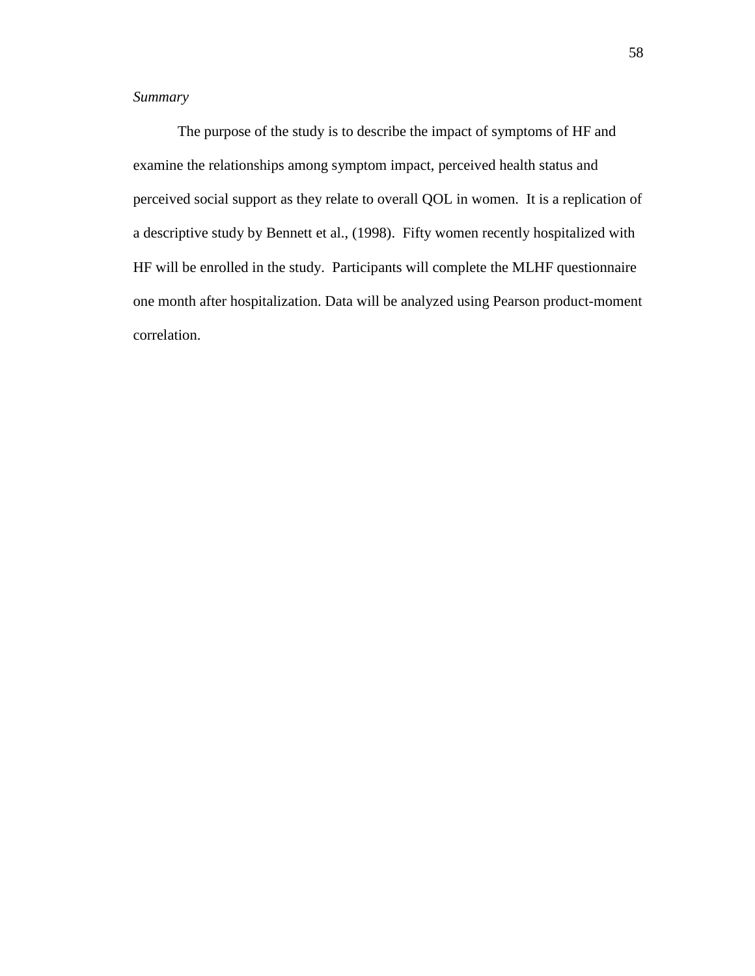# *Summary*

The purpose of the study is to describe the impact of symptoms of HF and examine the relationships among symptom impact, perceived health status and perceived social support as they relate to overall QOL in women. It is a replication of a descriptive study by Bennett et al., (1998). Fifty women recently hospitalized with HF will be enrolled in the study. Participants will complete the MLHF questionnaire one month after hospitalization. Data will be analyzed using Pearson product-moment correlation.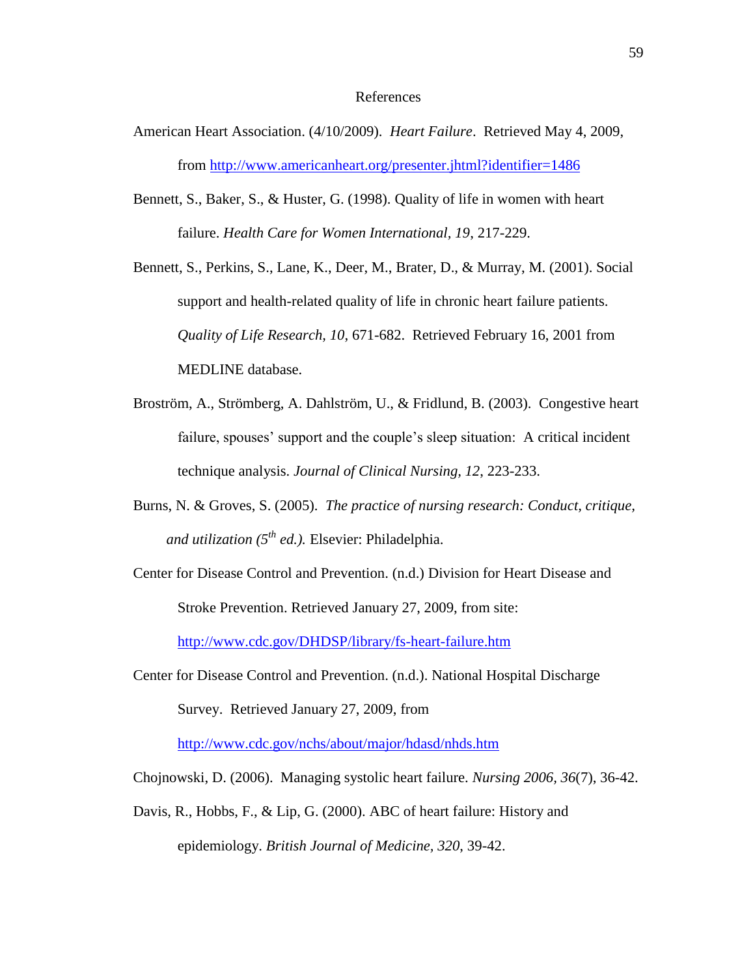#### References

- American Heart Association. (4/10/2009). *Heart Failure*. Retrieved May 4, 2009, from<http://www.americanheart.org/presenter.jhtml?identifier=1486>
- Bennett, S., Baker, S., & Huster, G. (1998). Quality of life in women with heart failure. *Health Care for Women International, 19*, 217-229.

Bennett, S., Perkins, S., Lane, K., Deer, M., Brater, D., & Murray, M. (2001). Social support and health-related quality of life in chronic heart failure patients. *Quality of Life Research, 10*, 671-682. Retrieved February 16, 2001 from MEDLINE database.

- Broström, A., Strömberg, A. Dahlström, U., & Fridlund, B. (2003). Congestive heart failure, spouses' support and the couple's sleep situation: A critical incident technique analysis. *Journal of Clinical Nursing, 12*, 223-233.
- Burns, N. & Groves, S. (2005). *The practice of nursing research: Conduct, critique, and utilization (5th ed.).* Elsevier: Philadelphia.
- Center for Disease Control and Prevention. (n.d.) Division for Heart Disease and Stroke Prevention. Retrieved January 27, 2009, from site: <http://www.cdc.gov/DHDSP/library/fs-heart-failure.htm>

Center for Disease Control and Prevention. (n.d.). National Hospital Discharge Survey. Retrieved January 27, 2009, from

<http://www.cdc.gov/nchs/about/major/hdasd/nhds.htm>

- Chojnowski, D. (2006). Managing systolic heart failure. *Nursing 2006, 36*(7), 36-42.
- Davis, R., Hobbs, F., & Lip, G. (2000). ABC of heart failure: History and epidemiology. *British Journal of Medicine, 320*, 39-42.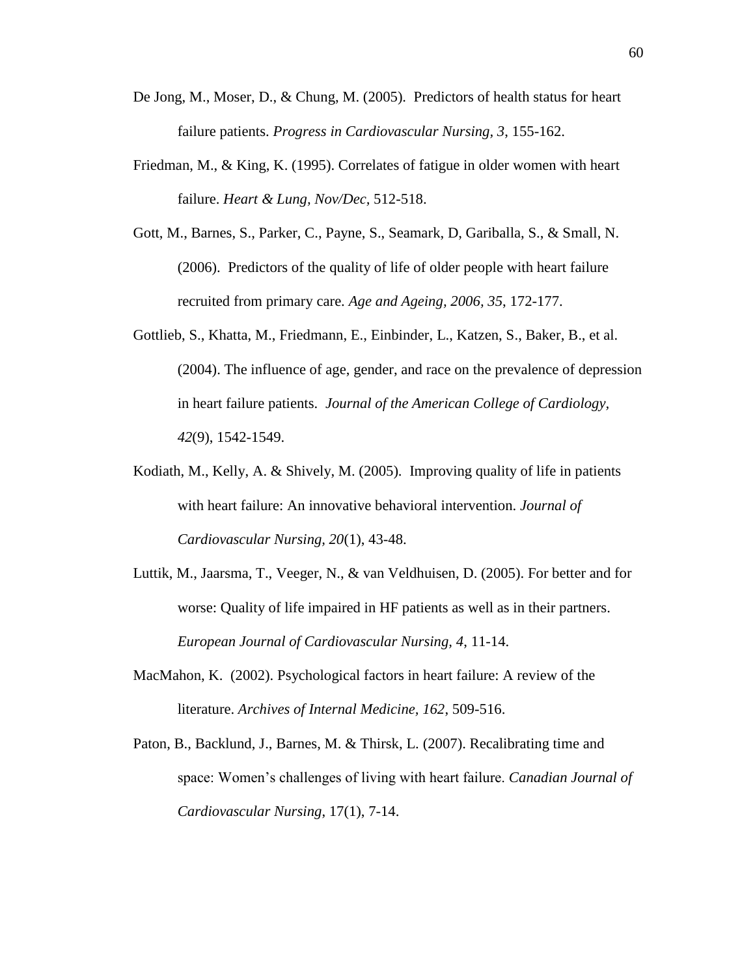- De Jong, M., Moser, D., & Chung, M. (2005). Predictors of health status for heart failure patients. *Progress in Cardiovascular Nursing, 3*, 155-162.
- Friedman, M., & King, K. (1995). Correlates of fatigue in older women with heart failure. *Heart & Lung, Nov/Dec,* 512-518.
- Gott, M., Barnes, S., Parker, C., Payne, S., Seamark, D, Gariballa, S., & Small, N. (2006). Predictors of the quality of life of older people with heart failure recruited from primary care. *Age and Ageing, 2006, 35*, 172-177.
- Gottlieb, S., Khatta, M., Friedmann, E., Einbinder, L., Katzen, S., Baker, B., et al. (2004). The influence of age, gender, and race on the prevalence of depression in heart failure patients. *Journal of the American College of Cardiology, 42*(9), 1542-1549.
- Kodiath, M., Kelly, A. & Shively, M. (2005). Improving quality of life in patients with heart failure: An innovative behavioral intervention. *Journal of Cardiovascular Nursing, 20*(1), 43-48.
- Luttik, M., Jaarsma, T., Veeger, N., & van Veldhuisen, D. (2005). For better and for worse: Quality of life impaired in HF patients as well as in their partners. *European Journal of Cardiovascular Nursing, 4*, 11-14.
- MacMahon, K. (2002). Psychological factors in heart failure: A review of the literature. *Archives of Internal Medicine, 162*, 509-516.
- Paton, B., Backlund, J., Barnes, M. & Thirsk, L. (2007). Recalibrating time and space: Women's challenges of living with heart failure. *Canadian Journal of Cardiovascular Nursing*, 17(1), 7-14.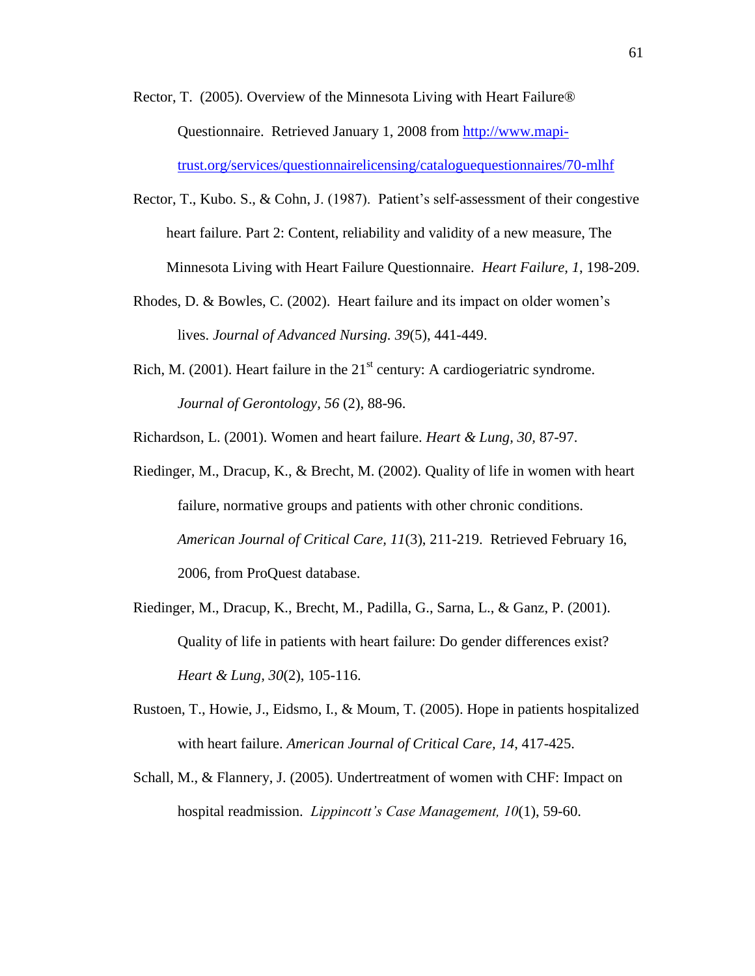- Rector, T. (2005). Overview of the Minnesota Living with Heart Failure® Questionnaire. Retrieved January 1, 2008 from [http://www.mapi](http://www.mapi-trust.org/services/questionnairelicensing/cataloguequestionnaires/70-mlhf)[trust.org/services/questionnairelicensing/cataloguequestionnaires/70-mlhf](http://www.mapi-trust.org/services/questionnairelicensing/cataloguequestionnaires/70-mlhf)
- Rector, T., Kubo. S., & Cohn, J. (1987). Patient's self-assessment of their congestive heart failure. Part 2: Content, reliability and validity of a new measure, The Minnesota Living with Heart Failure Questionnaire. *Heart Failure, 1*, 198-209.
- Rhodes, D. & Bowles, C. (2002). Heart failure and its impact on older women's lives. *Journal of Advanced Nursing. 39*(5), 441-449.
- Rich, M. (2001). Heart failure in the  $21<sup>st</sup>$  century: A cardiogeriatric syndrome. *Journal of Gerontology, 56* (2), 88-96.

Richardson, L. (2001). Women and heart failure. *Heart & Lung, 30,* 87-97.

- Riedinger, M., Dracup, K., & Brecht, M. (2002). Quality of life in women with heart failure, normative groups and patients with other chronic conditions. *American Journal of Critical Care, 11*(3), 211-219. Retrieved February 16, 2006, from ProQuest database.
- Riedinger, M., Dracup, K., Brecht, M., Padilla, G., Sarna, L., & Ganz, P. (2001). Quality of life in patients with heart failure: Do gender differences exist? *Heart & Lung, 30*(2), 105-116.
- Rustoen, T., Howie, J., Eidsmo, I., & Moum, T. (2005). Hope in patients hospitalized with heart failure. *American Journal of Critical Care, 14*, 417-425.
- Schall, M., & Flannery, J. (2005). Undertreatment of women with CHF: Impact on hospital readmission. *Lippincott's Case Management, 10*(1), 59-60.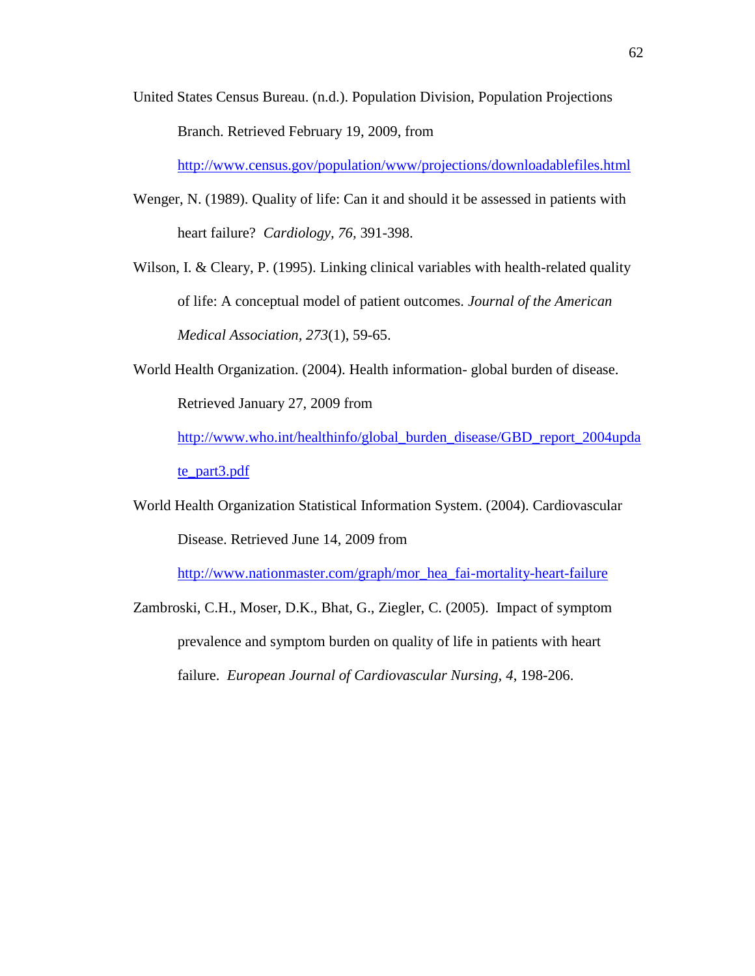United States Census Bureau. (n.d.). Population Division, Population Projections Branch. Retrieved February 19, 2009, from

<http://www.census.gov/population/www/projections/downloadablefiles.html>

- Wenger, N. (1989). Quality of life: Can it and should it be assessed in patients with heart failure? *Cardiology, 76,* 391-398.
- Wilson, I. & Cleary, P. (1995). Linking clinical variables with health-related quality of life: A conceptual model of patient outcomes. *Journal of the American Medical Association, 273*(1), 59-65.
- World Health Organization. (2004). Health information- global burden of disease. Retrieved January 27, 2009 from

[http://www.who.int/healthinfo/global\\_burden\\_disease/GBD\\_report\\_2004upda](http://www.who.int/healthinfo/global_burden_disease/GBD_report_2004update_part3.pdf) [te\\_part3.pdf](http://www.who.int/healthinfo/global_burden_disease/GBD_report_2004update_part3.pdf)

World Health Organization Statistical Information System. (2004). Cardiovascular Disease. Retrieved June 14, 2009 from

[http://www.nationmaster.com/graph/mor\\_hea\\_fai-mortality-heart-failure](http://www.nationmaster.com/graph/mor_hea_fai-mortality-heart-failure)

Zambroski, C.H., Moser, D.K., Bhat, G., Ziegler, C. (2005). Impact of symptom prevalence and symptom burden on quality of life in patients with heart failure. *European Journal of Cardiovascular Nursing, 4*, 198-206.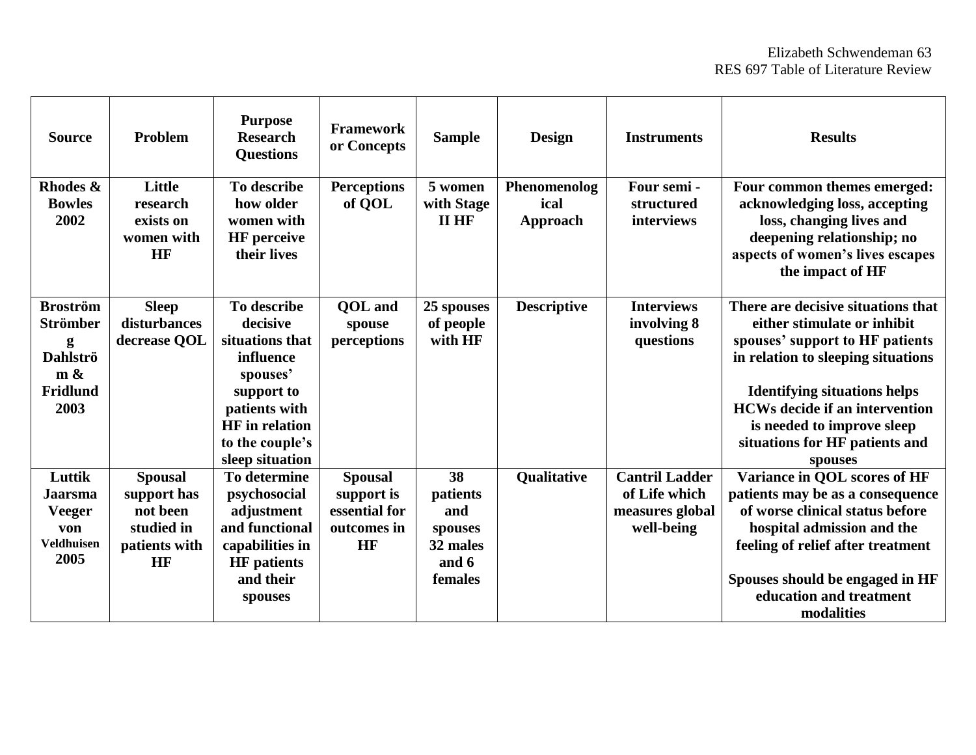| <b>Source</b>                                                                         | Problem                                                                        | <b>Purpose</b><br><b>Research</b><br><b>Questions</b>                                                                                                             | <b>Framework</b><br>or Concepts                                    | <b>Sample</b>                                                    | <b>Design</b>                    | <b>Instruments</b>                                                      | <b>Results</b>                                                                                                                                                                                                                                                                                        |
|---------------------------------------------------------------------------------------|--------------------------------------------------------------------------------|-------------------------------------------------------------------------------------------------------------------------------------------------------------------|--------------------------------------------------------------------|------------------------------------------------------------------|----------------------------------|-------------------------------------------------------------------------|-------------------------------------------------------------------------------------------------------------------------------------------------------------------------------------------------------------------------------------------------------------------------------------------------------|
| Rhodes &<br><b>Bowles</b><br>2002                                                     | Little<br>research<br>exists on<br>women with<br>HF                            | To describe<br>how older<br>women with<br><b>HF</b> perceive<br>their lives                                                                                       | <b>Perceptions</b><br>of QOL                                       | 5 women<br>with Stage<br><b>II HF</b>                            | Phenomenolog<br>ical<br>Approach | Four semi -<br>structured<br>interviews                                 | Four common themes emerged:<br>acknowledging loss, accepting<br>loss, changing lives and<br>deepening relationship; no<br>aspects of women's lives escapes<br>the impact of HF                                                                                                                        |
| <b>Broström</b><br><b>Strömber</b><br>g<br><b>Dahlströ</b><br>m &<br>Fridlund<br>2003 | <b>Sleep</b><br>disturbances<br>decrease QOL                                   | To describe<br>decisive<br>situations that<br>influence<br>spouses'<br>support to<br>patients with<br><b>HF</b> in relation<br>to the couple's<br>sleep situation | <b>OOL</b> and<br>spouse<br>perceptions                            | 25 spouses<br>of people<br>with HF                               | <b>Descriptive</b>               | <b>Interviews</b><br>involving 8<br>questions                           | There are decisive situations that<br>either stimulate or inhibit<br>spouses' support to HF patients<br>in relation to sleeping situations<br><b>Identifying situations helps</b><br><b>HCWs decide if an intervention</b><br>is needed to improve sleep<br>situations for HF patients and<br>spouses |
| Luttik<br><b>Jaarsma</b><br><b>Veeger</b><br>von<br><b>Veldhuisen</b><br>2005         | <b>Spousal</b><br>support has<br>not been<br>studied in<br>patients with<br>HF | To determine<br>psychosocial<br>adjustment<br>and functional<br>capabilities in<br><b>HF</b> patients<br>and their<br>spouses                                     | <b>Spousal</b><br>support is<br>essential for<br>outcomes in<br>HF | 38<br>patients<br>and<br>spouses<br>32 males<br>and 6<br>females | Qualitative                      | <b>Cantril Ladder</b><br>of Life which<br>measures global<br>well-being | Variance in QOL scores of HF<br>patients may be as a consequence<br>of worse clinical status before<br>hospital admission and the<br>feeling of relief after treatment<br>Spouses should be engaged in HF<br>education and treatment<br>modalities                                                    |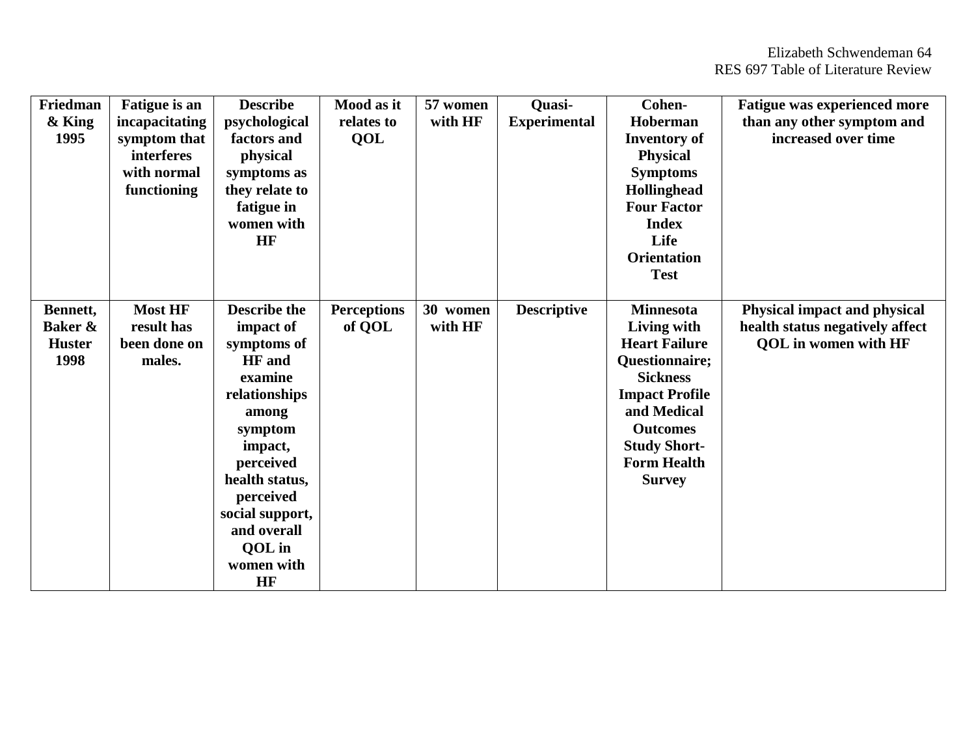| Friedman      | <b>Fatigue</b> is an | <b>Describe</b>     | Mood as it         | 57 women | Quasi-              | Cohen-                | <b>Fatigue was experienced more</b> |
|---------------|----------------------|---------------------|--------------------|----------|---------------------|-----------------------|-------------------------------------|
| $&$ King      | incapacitating       | psychological       | relates to         | with HF  | <b>Experimental</b> | Hoberman              | than any other symptom and          |
| 1995          | symptom that         | factors and         | QOL                |          |                     | <b>Inventory</b> of   | increased over time                 |
|               | <b>interferes</b>    | physical            |                    |          |                     | <b>Physical</b>       |                                     |
|               | with normal          | symptoms as         |                    |          |                     | <b>Symptoms</b>       |                                     |
|               | functioning          | they relate to      |                    |          |                     | Hollinghead           |                                     |
|               |                      | fatigue in          |                    |          |                     | <b>Four Factor</b>    |                                     |
|               |                      | women with          |                    |          |                     | <b>Index</b>          |                                     |
|               |                      | HF                  |                    |          |                     | Life                  |                                     |
|               |                      |                     |                    |          |                     | <b>Orientation</b>    |                                     |
|               |                      |                     |                    |          |                     | <b>Test</b>           |                                     |
|               |                      |                     |                    |          |                     |                       |                                     |
| Bennett,      | <b>Most HF</b>       | <b>Describe the</b> | <b>Perceptions</b> | 30 women | <b>Descriptive</b>  | <b>Minnesota</b>      | <b>Physical impact and physical</b> |
| Baker &       | result has           | impact of           | of QOL             | with HF  |                     | Living with           | health status negatively affect     |
| <b>Huster</b> | been done on         | symptoms of         |                    |          |                     | <b>Heart Failure</b>  | <b>QOL</b> in women with HF         |
| 1998          | males.               | <b>HF</b> and       |                    |          |                     | Questionnaire;        |                                     |
|               |                      | examine             |                    |          |                     | <b>Sickness</b>       |                                     |
|               |                      | relationships       |                    |          |                     | <b>Impact Profile</b> |                                     |
|               |                      | among               |                    |          |                     | and Medical           |                                     |
|               |                      | symptom             |                    |          |                     | <b>Outcomes</b>       |                                     |
|               |                      | impact,             |                    |          |                     | <b>Study Short-</b>   |                                     |
|               |                      | perceived           |                    |          |                     | <b>Form Health</b>    |                                     |
|               |                      | health status,      |                    |          |                     | <b>Survey</b>         |                                     |
|               |                      | perceived           |                    |          |                     |                       |                                     |
|               |                      | social support,     |                    |          |                     |                       |                                     |
|               |                      | and overall         |                    |          |                     |                       |                                     |
|               |                      | QOL in              |                    |          |                     |                       |                                     |
|               |                      | women with          |                    |          |                     |                       |                                     |
|               |                      | <b>HF</b>           |                    |          |                     |                       |                                     |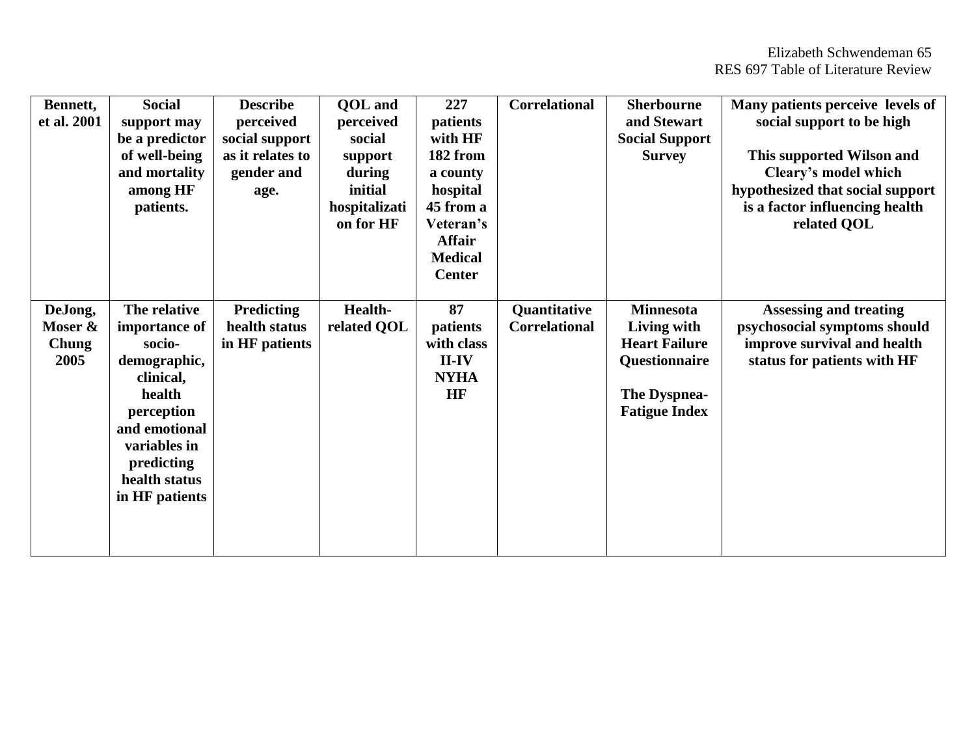| Bennett,     | <b>Social</b>  | <b>Describe</b>   | <b>QOL</b> and | 227            | <b>Correlational</b> | <b>Sherbourne</b>     | Many patients perceive levels of |
|--------------|----------------|-------------------|----------------|----------------|----------------------|-----------------------|----------------------------------|
| et al. 2001  | support may    | perceived         | perceived      | patients       |                      | and Stewart           | social support to be high        |
|              | be a predictor | social support    | social         | with HF        |                      | <b>Social Support</b> |                                  |
|              |                | as it relates to  |                | 182 from       |                      |                       |                                  |
|              | of well-being  |                   | support        |                |                      | <b>Survey</b>         | This supported Wilson and        |
|              | and mortality  | gender and        | during         | a county       |                      |                       | Cleary's model which             |
|              | among HF       | age.              | initial        | hospital       |                      |                       | hypothesized that social support |
|              | patients.      |                   | hospitalizati  | 45 from a      |                      |                       | is a factor influencing health   |
|              |                |                   | on for HF      | Veteran's      |                      |                       | related QOL                      |
|              |                |                   |                | <b>Affair</b>  |                      |                       |                                  |
|              |                |                   |                | <b>Medical</b> |                      |                       |                                  |
|              |                |                   |                | <b>Center</b>  |                      |                       |                                  |
|              |                |                   |                |                |                      |                       |                                  |
| DeJong,      | The relative   | <b>Predicting</b> | <b>Health-</b> | 87             | Quantitative         | <b>Minnesota</b>      | <b>Assessing and treating</b>    |
| Moser &      | importance of  | health status     | related QOL    | patients       | <b>Correlational</b> | Living with           | psychosocial symptoms should     |
| <b>Chung</b> | socio-         | in HF patients    |                | with class     |                      | <b>Heart Failure</b>  | improve survival and health      |
| 2005         | demographic,   |                   |                | $II$ - $IV$    |                      | Questionnaire         | status for patients with HF      |
|              | clinical,      |                   |                | <b>NYHA</b>    |                      |                       |                                  |
|              | health         |                   |                | HF             |                      | The Dyspnea-          |                                  |
|              | perception     |                   |                |                |                      | <b>Fatigue Index</b>  |                                  |
|              |                |                   |                |                |                      |                       |                                  |
|              | and emotional  |                   |                |                |                      |                       |                                  |
|              | variables in   |                   |                |                |                      |                       |                                  |
|              | predicting     |                   |                |                |                      |                       |                                  |
|              | health status  |                   |                |                |                      |                       |                                  |
|              | in HF patients |                   |                |                |                      |                       |                                  |
|              |                |                   |                |                |                      |                       |                                  |
|              |                |                   |                |                |                      |                       |                                  |
|              |                |                   |                |                |                      |                       |                                  |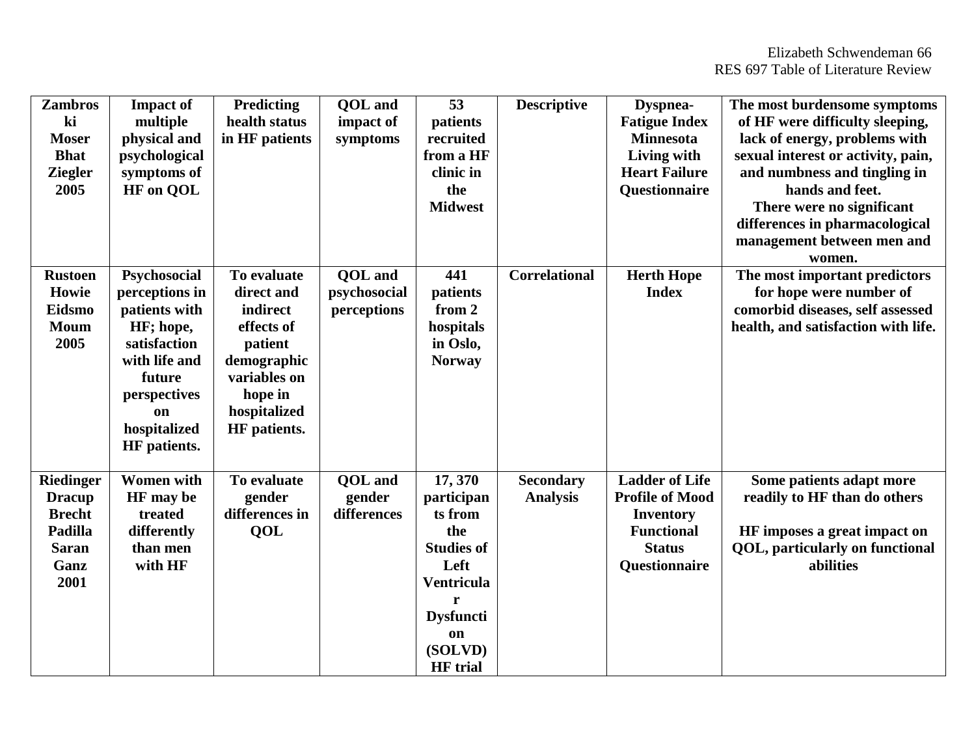| <b>Zambros</b><br>ki<br><b>Moser</b><br><b>Bhat</b><br><b>Ziegler</b><br>2005                 | <b>Impact of</b><br>multiple<br>physical and<br>psychological<br>symptoms of<br><b>HF</b> on QOL                                                                     | <b>Predicting</b><br>health status<br>in HF patients                                                                                     | QOL and<br>impact of<br>symptoms              | 53<br>patients<br>recruited<br>from a HF<br>clinic in<br>the<br><b>Midwest</b>                                                                   | <b>Descriptive</b>                  | Dyspnea-<br><b>Fatigue Index</b><br><b>Minnesota</b><br>Living with<br><b>Heart Failure</b><br>Questionnaire               | The most burdensome symptoms<br>of HF were difficulty sleeping,<br>lack of energy, problems with<br>sexual interest or activity, pain,<br>and numbness and tingling in<br>hands and feet.<br>There were no significant<br>differences in pharmacological<br>management between men and<br>women. |
|-----------------------------------------------------------------------------------------------|----------------------------------------------------------------------------------------------------------------------------------------------------------------------|------------------------------------------------------------------------------------------------------------------------------------------|-----------------------------------------------|--------------------------------------------------------------------------------------------------------------------------------------------------|-------------------------------------|----------------------------------------------------------------------------------------------------------------------------|--------------------------------------------------------------------------------------------------------------------------------------------------------------------------------------------------------------------------------------------------------------------------------------------------|
| <b>Rustoen</b><br>Howie<br>Eidsmo<br><b>Moum</b><br>2005                                      | Psychosocial<br>perceptions in<br>patients with<br>HF; hope,<br>satisfaction<br>with life and<br>future<br>perspectives<br><b>on</b><br>hospitalized<br>HF patients. | To evaluate<br>direct and<br>indirect<br>effects of<br>patient<br>demographic<br>variables on<br>hope in<br>hospitalized<br>HF patients. | <b>QOL</b> and<br>psychosocial<br>perceptions | 441<br>patients<br>from 2<br>hospitals<br>in Oslo,<br><b>Norway</b>                                                                              | <b>Correlational</b>                | <b>Herth Hope</b><br><b>Index</b>                                                                                          | The most important predictors<br>for hope were number of<br>comorbid diseases, self assessed<br>health, and satisfaction with life.                                                                                                                                                              |
| <b>Riedinger</b><br><b>Dracup</b><br><b>Brecht</b><br>Padilla<br><b>Saran</b><br>Ganz<br>2001 | <b>Women</b> with<br>HF may be<br>treated<br>differently<br>than men<br>with HF                                                                                      | To evaluate<br>gender<br>differences in<br>QOL                                                                                           | <b>OOL</b> and<br>gender<br>differences       | 17,370<br>participan<br>ts from<br>the<br><b>Studies of</b><br>Left<br><b>Ventricula</b><br><b>Dysfuncti</b><br>on<br>(SOLVD)<br><b>HF</b> trial | <b>Secondary</b><br><b>Analysis</b> | <b>Ladder of Life</b><br><b>Profile of Mood</b><br><b>Inventory</b><br><b>Functional</b><br><b>Status</b><br>Questionnaire | Some patients adapt more<br>readily to HF than do others<br>HF imposes a great impact on<br><b>QOL</b> , particularly on functional<br>abilities                                                                                                                                                 |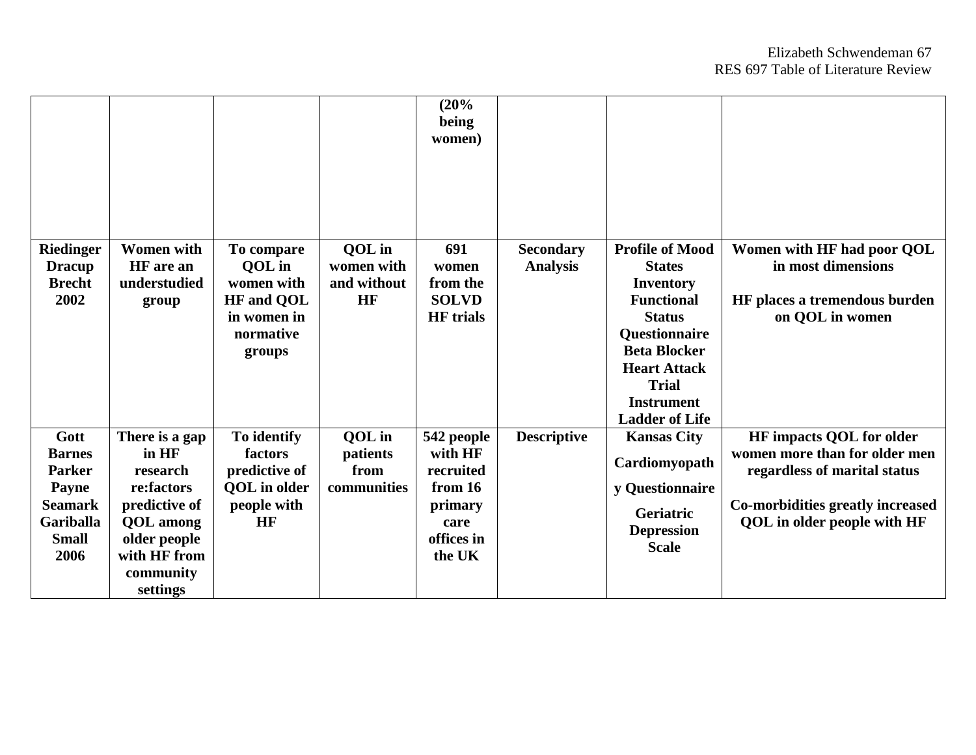|                                                                                                                      |                                                                                                                                                 |                                                                                               |                                           | (20%<br>being<br>women)                                                                  |                                     |                                                                                                                                                                                                                         |                                                                                                                                                                            |
|----------------------------------------------------------------------------------------------------------------------|-------------------------------------------------------------------------------------------------------------------------------------------------|-----------------------------------------------------------------------------------------------|-------------------------------------------|------------------------------------------------------------------------------------------|-------------------------------------|-------------------------------------------------------------------------------------------------------------------------------------------------------------------------------------------------------------------------|----------------------------------------------------------------------------------------------------------------------------------------------------------------------------|
| <b>Riedinger</b><br><b>Dracup</b><br><b>Brecht</b><br>2002                                                           | <b>Women</b> with<br>HF are an<br>understudied<br>group                                                                                         | To compare<br>QOL in<br>women with<br><b>HF</b> and QOL<br>in women in<br>normative<br>groups | QOL in<br>women with<br>and without<br>HF | 691<br>women<br>from the<br><b>SOLVD</b><br><b>HF</b> trials                             | <b>Secondary</b><br><b>Analysis</b> | <b>Profile of Mood</b><br><b>States</b><br>Inventory<br><b>Functional</b><br><b>Status</b><br>Questionnaire<br><b>Beta Blocker</b><br><b>Heart Attack</b><br><b>Trial</b><br><b>Instrument</b><br><b>Ladder of Life</b> | Women with HF had poor QOL<br>in most dimensions<br>HF places a tremendous burden<br>on OOL in women                                                                       |
| Gott<br><b>Barnes</b><br><b>Parker</b><br><b>Payne</b><br><b>Seamark</b><br><b>Gariballa</b><br><b>Small</b><br>2006 | There is a gap<br>in HF<br>research<br>re:factors<br>predictive of<br><b>QOL</b> among<br>older people<br>with HF from<br>community<br>settings | To identify<br>factors<br>predictive of<br><b>QOL</b> in older<br>people with<br>HF           | QOL in<br>patients<br>from<br>communities | 542 people<br>with HF<br>recruited<br>from 16<br>primary<br>care<br>offices in<br>the UK | <b>Descriptive</b>                  | <b>Kansas City</b><br>Cardiomyopath<br>y Questionnaire<br>Geriatric<br><b>Depression</b><br><b>Scale</b>                                                                                                                | <b>HF</b> impacts QOL for older<br>women more than for older men<br>regardless of marital status<br>Co-morbidities greatly increased<br><b>QOL</b> in older people with HF |